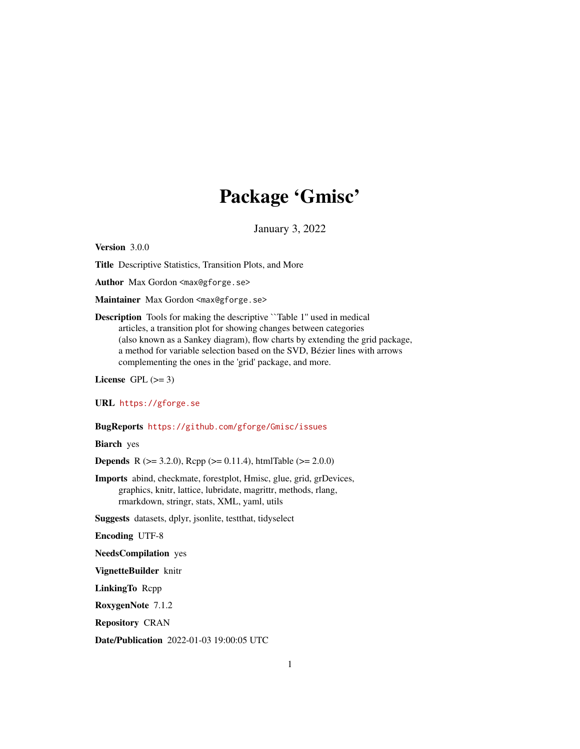# Package 'Gmisc'

January 3, 2022

<span id="page-0-0"></span>Version 3.0.0

Title Descriptive Statistics, Transition Plots, and More

Author Max Gordon <max@gforge.se>

Maintainer Max Gordon <max@gforge.se>

Description Tools for making the descriptive ``Table 1'' used in medical articles, a transition plot for showing changes between categories (also known as a Sankey diagram), flow charts by extending the grid package, a method for variable selection based on the SVD, Bézier lines with arrows complementing the ones in the 'grid' package, and more.

License GPL  $(>= 3)$ 

URL <https://gforge.se>

#### BugReports <https://github.com/gforge/Gmisc/issues>

Biarch yes

**Depends** R ( $>= 3.2.0$ ), Rcpp ( $>= 0.11.4$ ), htmlTable ( $>= 2.0.0$ )

Imports abind, checkmate, forestplot, Hmisc, glue, grid, grDevices, graphics, knitr, lattice, lubridate, magrittr, methods, rlang, rmarkdown, stringr, stats, XML, yaml, utils

Suggests datasets, dplyr, jsonlite, testthat, tidyselect

Encoding UTF-8

NeedsCompilation yes

VignetteBuilder knitr

LinkingTo Rcpp

RoxygenNote 7.1.2

Repository CRAN

Date/Publication 2022-01-03 19:00:05 UTC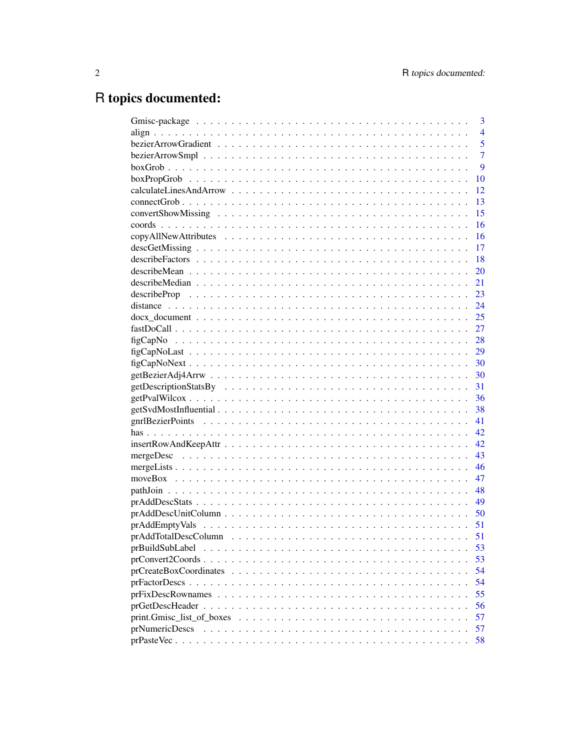# R topics documented:

|                                                                                                      | 3              |
|------------------------------------------------------------------------------------------------------|----------------|
|                                                                                                      | $\overline{4}$ |
|                                                                                                      | 5              |
|                                                                                                      | $\overline{7}$ |
|                                                                                                      | 9              |
|                                                                                                      | 10             |
|                                                                                                      | 12             |
|                                                                                                      | 13             |
|                                                                                                      | 15             |
|                                                                                                      | 16             |
|                                                                                                      | 16             |
|                                                                                                      | 17             |
|                                                                                                      | 18             |
|                                                                                                      | 20             |
|                                                                                                      | 21             |
|                                                                                                      | 23             |
|                                                                                                      | 24             |
|                                                                                                      | 25             |
|                                                                                                      | 27             |
|                                                                                                      | 28             |
|                                                                                                      | 29             |
|                                                                                                      |                |
|                                                                                                      | 30             |
|                                                                                                      | 31             |
|                                                                                                      | 36             |
|                                                                                                      | 38             |
|                                                                                                      | 41             |
|                                                                                                      | 42             |
|                                                                                                      | 42             |
|                                                                                                      | 43             |
|                                                                                                      | 46             |
|                                                                                                      | 47             |
|                                                                                                      | 48             |
|                                                                                                      | 49             |
|                                                                                                      | 50             |
|                                                                                                      | 51             |
|                                                                                                      | 51             |
|                                                                                                      | 53             |
|                                                                                                      | 53             |
|                                                                                                      | 54             |
|                                                                                                      | 54             |
|                                                                                                      | 55             |
|                                                                                                      | 56             |
| $print.Gmisc\_list_of_boxes \dots \dots \dots \dots \dots \dots \dots \dots \dots \dots \dots \dots$ | 57             |
| prNumericDescs                                                                                       | 57             |
|                                                                                                      | 58             |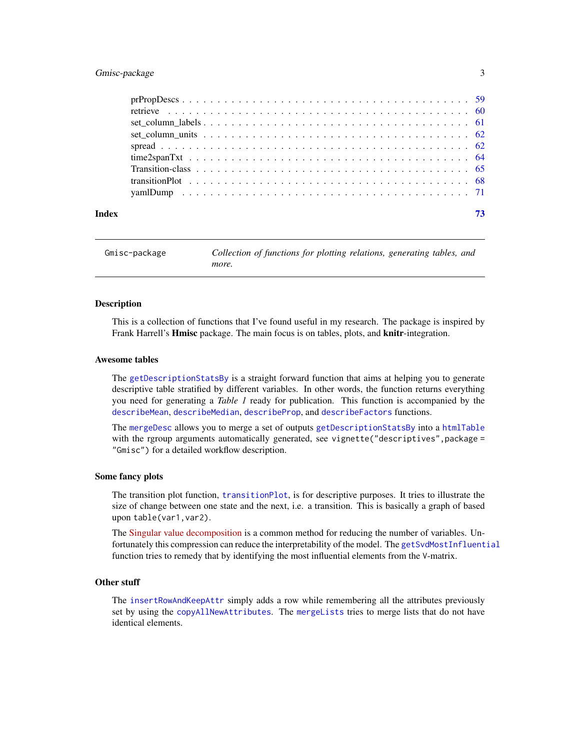# <span id="page-2-0"></span>Gmisc-package 3

| Index |  |
|-------|--|

Gmisc-package *Collection of functions for plotting relations, generating tables, and more.*

#### Description

This is a collection of functions that I've found useful in my research. The package is inspired by Frank Harrell's Hmisc package. The main focus is on tables, plots, and knitr-integration.

#### Awesome tables

The [getDescriptionStatsBy](#page-30-1) is a straight forward function that aims at helping you to generate descriptive table stratified by different variables. In other words, the function returns everything you need for generating a *Table 1* ready for publication. This function is accompanied by the [describeMean](#page-19-1), [describeMedian](#page-20-1), [describeProp](#page-22-1), and [describeFactors](#page-17-1) functions.

The [mergeDesc](#page-42-1) allows you to merge a set of outputs [getDescriptionStatsBy](#page-30-1) into a [htmlTable](#page-0-0) with the rgroup arguments automatically generated, see vignette("descriptives",package = "Gmisc") for a detailed workflow description.

#### Some fancy plots

The transition plot function, [transitionPlot](#page-67-1), is for descriptive purposes. It tries to illustrate the size of change between one state and the next, i.e. a transition. This is basically a graph of based upon table(var1,var2).

The [Singular value decomposition](https://en.wikipedia.org/wiki/Singular_value_decomposition) is a common method for reducing the number of variables. Unfortunately this compression can reduce the interpretability of the model. The [getSvdMostInfluential](#page-37-1) function tries to remedy that by identifying the most influential elements from the V-matrix.

# Other stuff

The [insertRowAndKeepAttr](#page-41-1) simply adds a row while remembering all the attributes previously set by using the [copyAllNewAttributes](#page-15-1). The [mergeLists](#page-45-1) tries to merge lists that do not have identical elements.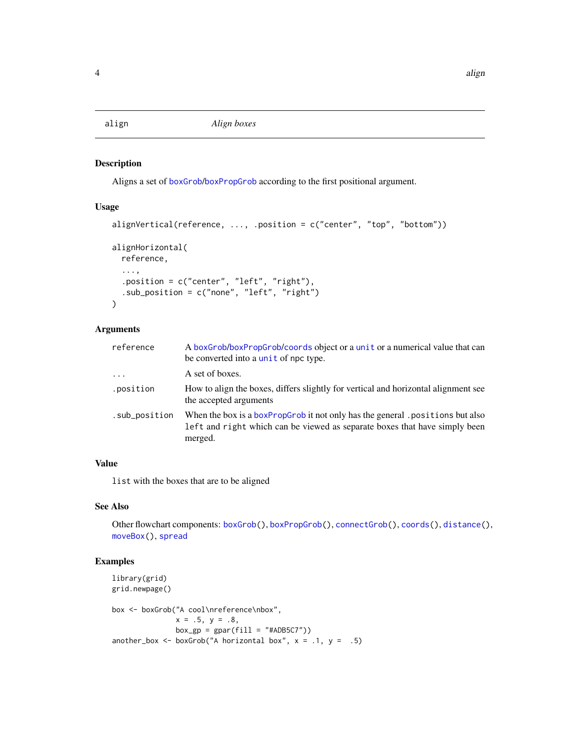<span id="page-3-1"></span><span id="page-3-0"></span>

# Description

Aligns a set of [boxGrob](#page-8-1)/[boxPropGrob](#page-9-1) according to the first positional argument.

#### Usage

```
alignVertical(reference, ..., .position = c("center", "top", "bottom"))
alignHorizontal(
  reference,
  ...,
  .position = c("center", "left", "right"),
  .sub_position = c("none", "left", "right")
)
```
## Arguments

| A boxGrob/boxPropGrob/coords object or a unit or a numerical value that can<br>be converted into a unit of npc type.                                                  |
|-----------------------------------------------------------------------------------------------------------------------------------------------------------------------|
| A set of boxes.                                                                                                                                                       |
| How to align the boxes, differs slightly for vertical and horizontal alignment see<br>the accepted arguments                                                          |
| When the box is a boxPropGrob it not only has the general positions but also<br>left and right which can be viewed as separate boxes that have simply been<br>merged. |
|                                                                                                                                                                       |

# Value

list with the boxes that are to be aligned

# See Also

Other flowchart components: [boxGrob\(](#page-8-1)), [boxPropGrob\(](#page-9-1)), [connectGrob\(](#page-12-1)), [coords\(](#page-15-2)), [distance\(](#page-23-1)), [moveBox\(](#page-46-1)), [spread](#page-61-1)

```
library(grid)
grid.newpage()
box <- boxGrob("A cool\nreference\nbox",
              x = .5, y = .8,box\_gp = gpar(fill = "#ADB5C7")another_box <- boxGrob("A horizontal box", x = .1, y = .5)
```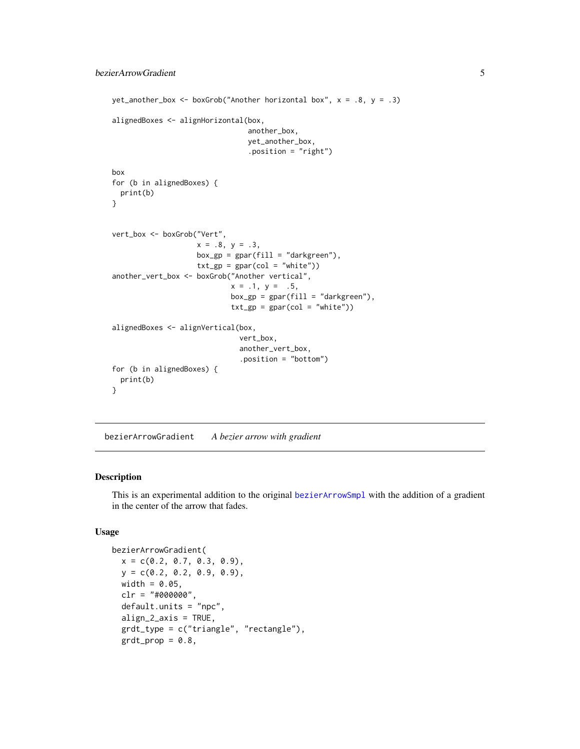```
yet_another_box <- boxGrob("Another horizontal box", x = .8, y = .3)
alignedBoxes <- alignHorizontal(box,
                                another_box,
                                yet_another_box,
                                .position = "right")
box
for (b in alignedBoxes) {
 print(b)
}
vert_box <- boxGrob("Vert",
                    x = .8, y = .3,box_gp = gpar(fill = "darkgreen"),
                    txt_sp = gpar(col = "white")another_vert_box <- boxGrob("Another vertical",
                            x = .1, y = .5,box\_gp = gpar(fill = "darkgreen"),
                            txt_sp = gpar(col = "white")alignedBoxes <- alignVertical(box,
                              vert_box,
                              another_vert_box,
                              .position = "bottom")
for (b in alignedBoxes) {
 print(b)
}
```
bezierArrowGradient *A bezier arrow with gradient*

#### Description

This is an experimental addition to the original [bezierArrowSmpl](#page-6-1) with the addition of a gradient in the center of the arrow that fades.

```
bezierArrowGradient(
 x = c(0.2, 0.7, 0.3, 0.9),
 y = c(0.2, 0.2, 0.9, 0.9),
 width = 0.05,
 clr = "#000000",default.units = "npc",align_2_axis = TRUE,
  grdt_type = c("triangle", "rectangle"),
 grdt\_prop = 0.8,
```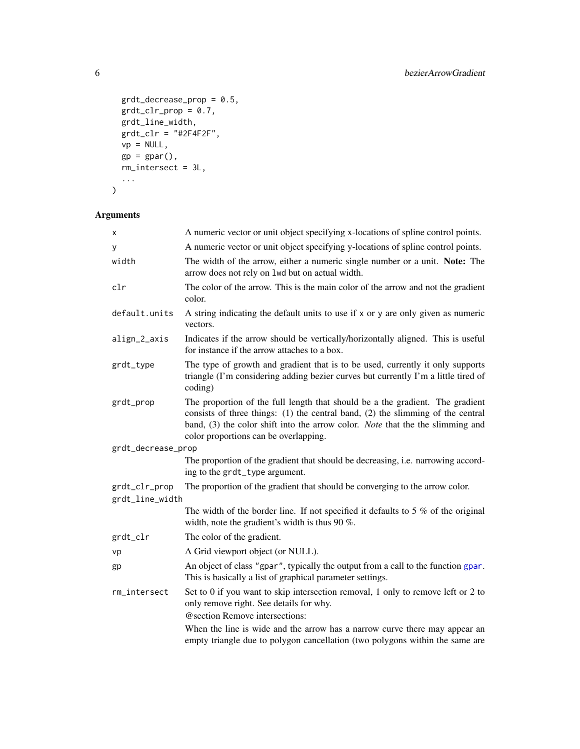```
grdt_decrease_prop = 0.5,
grdt_clr\_prop = 0.7,grdt_line_width,
grdt_clr = "#2F4F2F",vp = NULL,gp = gpar(),
rm_intersect = 3L,
...
```

```
\mathcal{L}
```

| x                  | A numeric vector or unit object specifying x-locations of spline control points.                                                                                                                                                                                                                |
|--------------------|-------------------------------------------------------------------------------------------------------------------------------------------------------------------------------------------------------------------------------------------------------------------------------------------------|
| y                  | A numeric vector or unit object specifying y-locations of spline control points.                                                                                                                                                                                                                |
| width              | The width of the arrow, either a numeric single number or a unit. Note: The<br>arrow does not rely on 1wd but on actual width.                                                                                                                                                                  |
| clr                | The color of the arrow. This is the main color of the arrow and not the gradient<br>color.                                                                                                                                                                                                      |
| default.units      | A string indicating the default units to use if x or y are only given as numeric<br>vectors.                                                                                                                                                                                                    |
| align_2_axis       | Indicates if the arrow should be vertically/horizontally aligned. This is useful<br>for instance if the arrow attaches to a box.                                                                                                                                                                |
| grdt_type          | The type of growth and gradient that is to be used, currently it only supports<br>triangle (I'm considering adding bezier curves but currently I'm a little tired of<br>coding)                                                                                                                 |
| grdt_prop          | The proportion of the full length that should be a the gradient. The gradient<br>consists of three things: $(1)$ the central band, $(2)$ the slimming of the central<br>band, (3) the color shift into the arrow color. Note that the the slimming and<br>color proportions can be overlapping. |
| grdt_decrease_prop |                                                                                                                                                                                                                                                                                                 |
|                    | The proportion of the gradient that should be decreasing, i.e. narrowing accord-<br>ing to the grdt_type argument.                                                                                                                                                                              |
| grdt_clr_prop      | The proportion of the gradient that should be converging to the arrow color.                                                                                                                                                                                                                    |
| grdt_line_width    |                                                                                                                                                                                                                                                                                                 |
|                    | The width of the border line. If not specified it defaults to 5 $%$ of the original<br>width, note the gradient's width is thus 90 $\%$ .                                                                                                                                                       |
| grdt_clr           | The color of the gradient.                                                                                                                                                                                                                                                                      |
| vp                 | A Grid viewport object (or NULL).                                                                                                                                                                                                                                                               |
| gp                 | An object of class "gpar", typically the output from a call to the function gpar.<br>This is basically a list of graphical parameter settings.                                                                                                                                                  |
| rm_intersect       | Set to 0 if you want to skip intersection removal, 1 only to remove left or 2 to<br>only remove right. See details for why.                                                                                                                                                                     |
|                    | @section Remove intersections:                                                                                                                                                                                                                                                                  |
|                    | When the line is wide and the arrow has a narrow curve there may appear an<br>empty triangle due to polygon cancellation (two polygons within the same are                                                                                                                                      |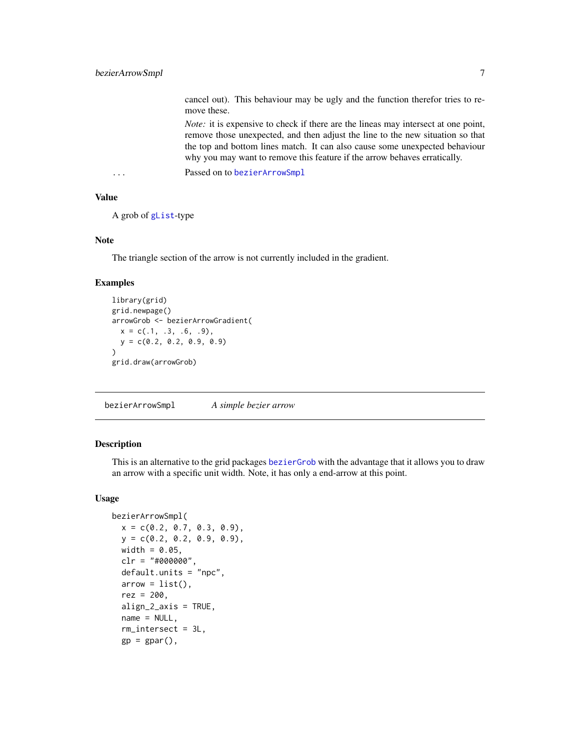<span id="page-6-0"></span>cancel out). This behaviour may be ugly and the function therefor tries to remove these.

*Note:* it is expensive to check if there are the lineas may intersect at one point, remove those unexpected, and then adjust the line to the new situation so that the top and bottom lines match. It can also cause some unexpected behaviour why you may want to remove this feature if the arrow behaves erratically.

... Passed on to [bezierArrowSmpl](#page-6-1)

# Value

```
A grob of gList-type
```
# Note

The triangle section of the arrow is not currently included in the gradient.

#### Examples

```
library(grid)
grid.newpage()
arrowGrob <- bezierArrowGradient(
  x = c(.1, .3, .6, .9),
  y = c(0.2, 0.2, 0.9, 0.9)\lambdagrid.draw(arrowGrob)
```
<span id="page-6-1"></span>bezierArrowSmpl *A simple bezier arrow*

#### Description

This is an alternative to the grid packages [bezierGrob](#page-0-0) with the advantage that it allows you to draw an arrow with a specific unit width. Note, it has only a end-arrow at this point.

```
bezierArrowSmpl(
 x = c(0.2, 0.7, 0.3, 0.9),
 y = c(0.2, 0.2, 0.9, 0.9),
 width = 0.05,
  clr = "#000000",default.units = "npc",
  arrow = list(),
  rez = 200,align_2_axis = TRUE,
  name = NULL,rm_intersect = 3L,
  gp = gpar(),
```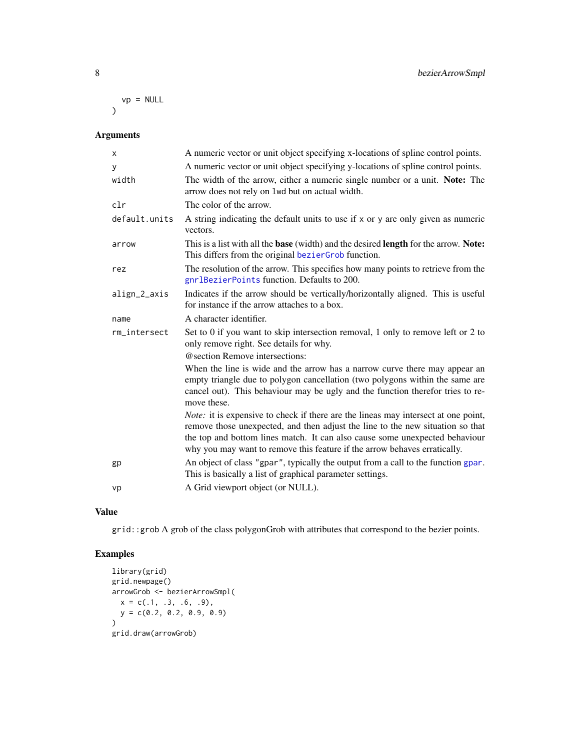$vp = NULL$  $\mathcal{L}$ 

# Arguments

| X             | A numeric vector or unit object specifying x-locations of spline control points.                                                                                                                                                                                                                                                        |
|---------------|-----------------------------------------------------------------------------------------------------------------------------------------------------------------------------------------------------------------------------------------------------------------------------------------------------------------------------------------|
| У             | A numeric vector or unit object specifying y-locations of spline control points.                                                                                                                                                                                                                                                        |
| width         | The width of the arrow, either a numeric single number or a unit. Note: The<br>arrow does not rely on 1wd but on actual width.                                                                                                                                                                                                          |
| clr           | The color of the arrow.                                                                                                                                                                                                                                                                                                                 |
| default.units | A string indicating the default units to use if x or y are only given as numeric<br>vectors.                                                                                                                                                                                                                                            |
| arrow         | This is a list with all the base (width) and the desired length for the arrow. Note:<br>This differs from the original bezierGrob function.                                                                                                                                                                                             |
| rez           | The resolution of the arrow. This specifies how many points to retrieve from the<br>gnrlBezierPoints function. Defaults to 200.                                                                                                                                                                                                         |
| align_2_axis  | Indicates if the arrow should be vertically/horizontally aligned. This is useful<br>for instance if the arrow attaches to a box.                                                                                                                                                                                                        |
| name          | A character identifier.                                                                                                                                                                                                                                                                                                                 |
| rm_intersect  | Set to 0 if you want to skip intersection removal, 1 only to remove left or 2 to<br>only remove right. See details for why.                                                                                                                                                                                                             |
|               | @section Remove intersections:                                                                                                                                                                                                                                                                                                          |
|               | When the line is wide and the arrow has a narrow curve there may appear an<br>empty triangle due to polygon cancellation (two polygons within the same are<br>cancel out). This behaviour may be ugly and the function therefor tries to re-<br>move these.                                                                             |
|               | <i>Note:</i> it is expensive to check if there are the lineas may intersect at one point,<br>remove those unexpected, and then adjust the line to the new situation so that<br>the top and bottom lines match. It can also cause some unexpected behaviour<br>why you may want to remove this feature if the arrow behaves erratically. |
| gp            | An object of class "gpar", typically the output from a call to the function gpar.<br>This is basically a list of graphical parameter settings.                                                                                                                                                                                          |
| vp            | A Grid viewport object (or NULL).                                                                                                                                                                                                                                                                                                       |
|               |                                                                                                                                                                                                                                                                                                                                         |

#### Value

grid::grob A grob of the class polygonGrob with attributes that correspond to the bezier points.

```
library(grid)
grid.newpage()
arrowGrob <- bezierArrowSmpl(
  x = c(.1, .3, .6, .9),y = c(0.2, 0.2, 0.9, 0.9)
\lambdagrid.draw(arrowGrob)
```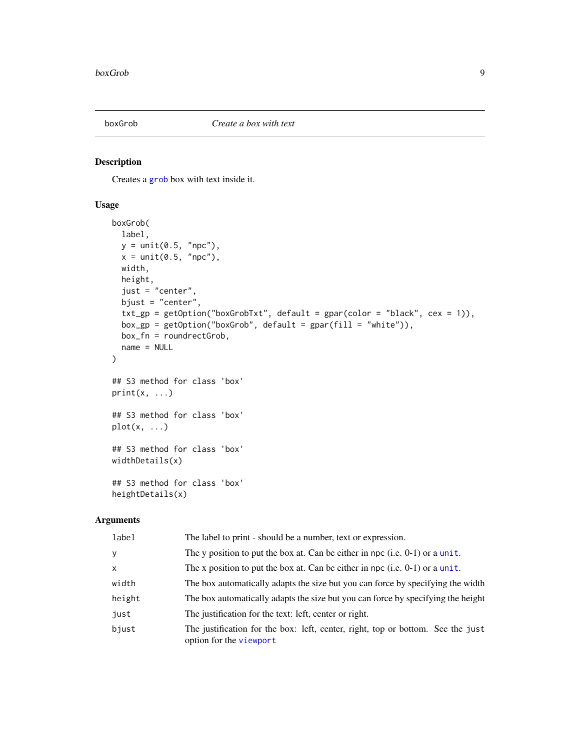<span id="page-8-1"></span><span id="page-8-0"></span>

# Description

Creates a [grob](#page-0-0) box with text inside it.

#### Usage

```
boxGrob(
  label,
 y = unit(0.5, "npc"),x = unit(0.5, "npc"),
 width,
 height,
  just = "center",
 bjust = "center",
  txt\_gp = getOption("boxGrobTxt", default = gpar(color = "black", cex = 1)),box_gp = getOption("boxGrob", default = gpar(fill = "white")),
 box_fn = roundrectGrob,
 name = NULL
)
## S3 method for class 'box'
print(x, \ldots)## S3 method for class 'box'
plot(x, \ldots)## S3 method for class 'box'
widthDetails(x)
## S3 method for class 'box'
heightDetails(x)
```

| label        | The label to print - should be a number, text or expression.                                               |
|--------------|------------------------------------------------------------------------------------------------------------|
| <b>y</b>     | The y position to put the box at. Can be either in npc (i.e. $0-1$ ) or a unit.                            |
| $\mathsf{x}$ | The x position to put the box at. Can be either in npc (i.e. $0-1$ ) or a unit.                            |
| width        | The box automatically adapts the size but you can force by specifying the width                            |
| height       | The box automatically adapts the size but you can force by specifying the height                           |
| just         | The justification for the text: left, center or right.                                                     |
| bjust        | The justification for the box: left, center, right, top or bottom. See the just<br>option for the viewport |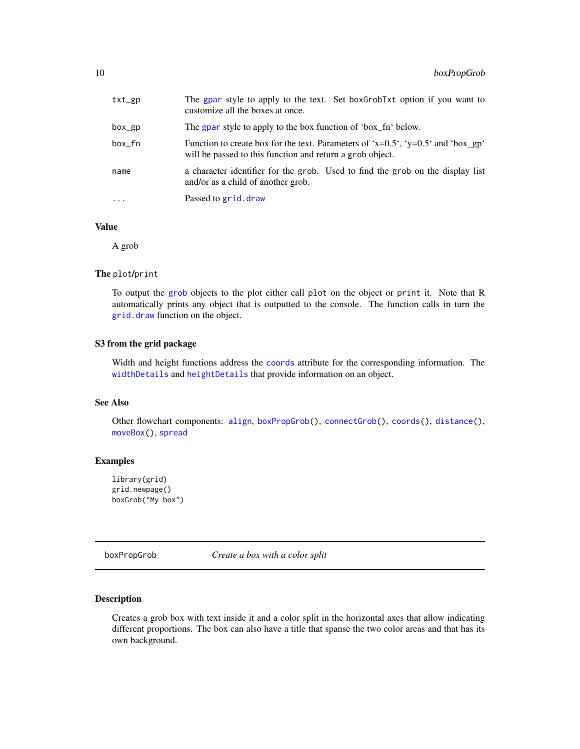<span id="page-9-0"></span>

| txt_gp   | The gpar style to apply to the text. Set boxGrobTxt option if you want to<br>customize all the boxes at once.                                         |
|----------|-------------------------------------------------------------------------------------------------------------------------------------------------------|
| box_gp   | The gpar style to apply to the box function of 'box_fn' below.                                                                                        |
| box fn   | Function to create box for the text. Parameters of 'x= $0.5$ ', 'y= $0.5$ ' and 'box_gp'<br>will be passed to this function and return a grob object. |
| name     | a character identifier for the grob. Used to find the grob on the display list<br>and/or as a child of another grob.                                  |
| $\cdots$ | Passed to grid. draw                                                                                                                                  |

#### Value

A grob

#### The plot/print

To output the [grob](#page-0-0) objects to the plot either call plot on the object or print it. Note that R automatically prints any object that is outputted to the console. The function calls in turn the [grid.draw](#page-0-0) function on the object.

#### S3 from the grid package

Width and height functions address the [coords](#page-15-2) attribute for the corresponding information. The [widthDetails](#page-0-0) and [heightDetails](#page-0-0) that provide information on an object.

# See Also

Other flowchart components: [align](#page-3-1), [boxPropGrob\(](#page-9-1)), [connectGrob\(](#page-12-1)), [coords\(](#page-15-2)), [distance\(](#page-23-1)), [moveBox\(](#page-46-1)), [spread](#page-61-1)

#### Examples

```
library(grid)
grid.newpage()
boxGrob("My box")
```
<span id="page-9-1"></span>boxPropGrob *Create a box with a color split*

#### Description

Creates a grob box with text inside it and a color split in the horizontal axes that allow indicating different proportions. The box can also have a title that spanse the two color areas and that has its own background.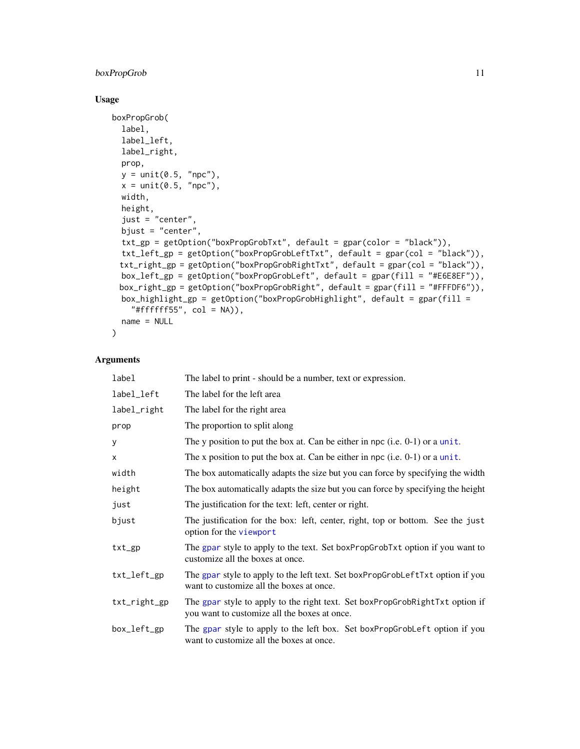# boxPropGrob 11

# Usage

```
boxPropGrob(
  label,
  label_left,
  label_right,
 prop,
 y = unit(0.5, "npc"),
  x = unit(0.5, "npc"),width,
 height,
  just = "center",
  bjust = "center",
  txt_gp = getOption("boxPropGrobTxt", default = gpar(color = "black")),
  txt_left_gp = getOption("boxPropGrobLeftTxt", default = gpar(col = "black")),
 txt_right_gp = getOption("boxPropGrobRightTxt", default = gpar(col = "black")),
 box_left_gp = getOption("boxPropGrobLeft", default = gpar(fill = "#E6E8EF")),
 box_right_gp = getOption("boxPropGrobRight", default = gpar(fill = "#FFFDF6")),
 box_highlight_gp = getOption("boxPropGrobHighlight", default = gpar(fill =
    "#fffffff55", col = NA)),
  name = NULL
\mathcal{E}
```

| label        | The label to print - should be a number, text or expression.                                                                 |
|--------------|------------------------------------------------------------------------------------------------------------------------------|
| label_left   | The label for the left area                                                                                                  |
| label_right  | The label for the right area                                                                                                 |
| prop         | The proportion to split along                                                                                                |
| у            | The y position to put the box at. Can be either in npc (i.e. $(0-1)$ ) or a unit.                                            |
| X            | The x position to put the box at. Can be either in npc (i.e. $0-1$ ) or a unit.                                              |
| width        | The box automatically adapts the size but you can force by specifying the width                                              |
| height       | The box automatically adapts the size but you can force by specifying the height                                             |
| just         | The justification for the text: left, center or right.                                                                       |
| bjust        | The justification for the box: left, center, right, top or bottom. See the just<br>option for the viewport                   |
| $txt_g$      | The gpar style to apply to the text. Set boxPropGrobTxt option if you want to<br>customize all the boxes at once.            |
| txt_left_gp  | The gpar style to apply to the left text. Set boxPropGrobLeftTxt option if you<br>want to customize all the boxes at once.   |
| txt_right_gp | The gpar style to apply to the right text. Set boxPropGrobRightTxt option if<br>you want to customize all the boxes at once. |
| box_left_gp  | The gpar style to apply to the left box. Set boxPropGrobLeft option if you<br>want to customize all the boxes at once.       |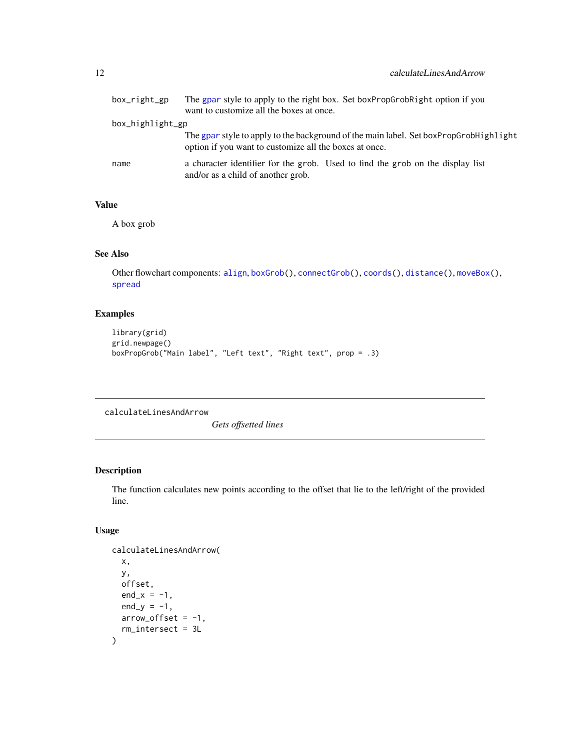<span id="page-11-0"></span>

| box_right_gp     | The gpar style to apply to the right box. Set boxPropGrobRight option if you<br>want to customize all the boxes at once.                        |
|------------------|-------------------------------------------------------------------------------------------------------------------------------------------------|
| box_highlight_gp |                                                                                                                                                 |
|                  | The gpar style to apply to the background of the main label. Set boxPropGrobHighlight<br>option if you want to customize all the boxes at once. |
| name             | a character identifier for the grob. Used to find the grob on the display list<br>and/or as a child of another grob.                            |

# Value

A box grob

# See Also

Other flowchart components: [align](#page-3-1), [boxGrob\(](#page-8-1)), [connectGrob\(](#page-12-1)), [coords\(](#page-15-2)), [distance\(](#page-23-1)), [moveBox\(](#page-46-1)), [spread](#page-61-1)

# Examples

```
library(grid)
grid.newpage()
boxPropGrob("Main label", "Left text", "Right text", prop = .3)
```
calculateLinesAndArrow

*Gets offsetted lines*

# Description

The function calculates new points according to the offset that lie to the left/right of the provided line.

```
calculateLinesAndArrow(
  x,
  y,
  offset,
  end_x = -1,
  end_y = -1,
  arrow\_offset = -1,
  rm_intersect = 3L
\mathcal{E}
```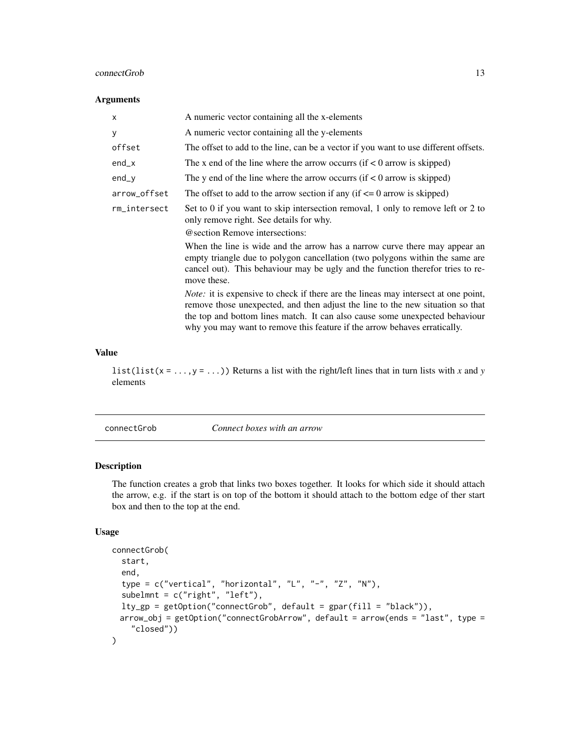#### <span id="page-12-0"></span>connectGrob 13

#### Arguments

| x            | A numeric vector containing all the x-elements                                                                                                                                                                                                                                                                                          |
|--------------|-----------------------------------------------------------------------------------------------------------------------------------------------------------------------------------------------------------------------------------------------------------------------------------------------------------------------------------------|
| y            | A numeric vector containing all the y-elements                                                                                                                                                                                                                                                                                          |
| offset       | The offset to add to the line, can be a vector if you want to use different offsets.                                                                                                                                                                                                                                                    |
| end_x        | The x end of the line where the arrow occurrs (if $\lt 0$ arrow is skipped)                                                                                                                                                                                                                                                             |
| end_y        | The y end of the line where the arrow occurrs (if $< 0$ arrow is skipped)                                                                                                                                                                                                                                                               |
| arrow_offset | The offset to add to the arrow section if any (if $\leq 0$ arrow is skipped)                                                                                                                                                                                                                                                            |
| rm_intersect | Set to 0 if you want to skip intersection removal, 1 only to remove left or 2 to<br>only remove right. See details for why.                                                                                                                                                                                                             |
|              | @ section Remove intersections:                                                                                                                                                                                                                                                                                                         |
|              | When the line is wide and the arrow has a narrow curve there may appear an<br>empty triangle due to polygon cancellation (two polygons within the same are<br>cancel out). This behaviour may be ugly and the function therefor tries to re-<br>move these.                                                                             |
|              | <i>Note:</i> it is expensive to check if there are the lineas may intersect at one point,<br>remove those unexpected, and then adjust the line to the new situation so that<br>the top and bottom lines match. It can also cause some unexpected behaviour<br>why you may want to remove this feature if the arrow behaves erratically. |

#### Value

list(list(x = ...,y = ...)) Returns a list with the right/left lines that in turn lists with *x* and *y* elements

<span id="page-12-1"></span>connectGrob *Connect boxes with an arrow*

#### Description

The function creates a grob that links two boxes together. It looks for which side it should attach the arrow, e.g. if the start is on top of the bottom it should attach to the bottom edge of ther start box and then to the top at the end.

```
connectGrob(
  start,
  end,
  type = c("vertical", "horizontal", "L", "-", "Z", "N"),
  subelmnt = c("right", "left"),
  lty_sp = getOption("connectGrob", default = gpar(fill = "black")),
 arrow_obj = getOption("connectGrobArrow", default = arrow(ends = "last", type =
    "closed"))
\mathcal{E}
```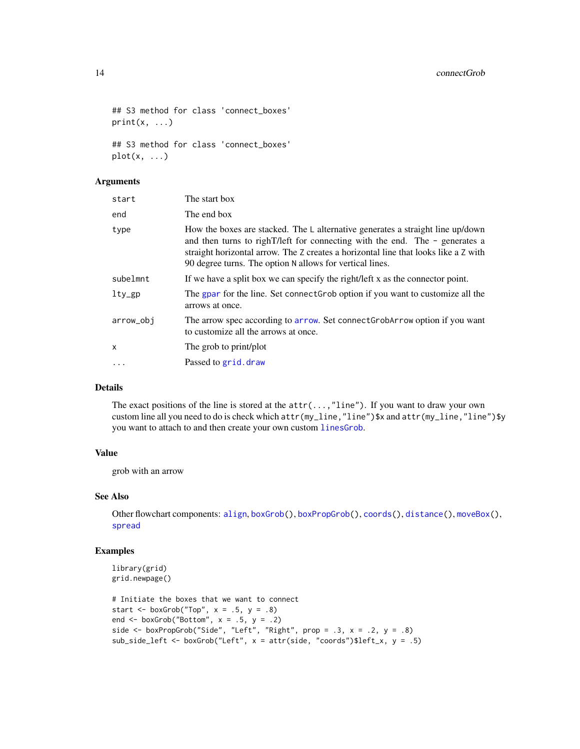```
## S3 method for class 'connect_boxes'
print(x, \ldots)
```
## S3 method for class 'connect\_boxes'  $plot(x, \ldots)$ 

# Arguments

| start     | The start box                                                                                                                                                                                                                                                                                                                    |
|-----------|----------------------------------------------------------------------------------------------------------------------------------------------------------------------------------------------------------------------------------------------------------------------------------------------------------------------------------|
| end       | The end box                                                                                                                                                                                                                                                                                                                      |
| type      | How the boxes are stacked. The $\mathsf{L}$ alternative generates a straight line up/down<br>and then turns to right $T$ /left for connecting with the end. The - generates a<br>straight horizontal arrow. The Z creates a horizontal line that looks like a Z with<br>90 degree turns. The option N allows for vertical lines. |
| subelmnt  | If we have a split box we can specify the right/left x as the connector point.                                                                                                                                                                                                                                                   |
| $lty_sp$  | The gpar for the line. Set connect Grob option if you want to customize all the<br>arrows at once.                                                                                                                                                                                                                               |
| arrow_obj | The arrow spec according to arrow. Set connect GrobArrow option if you want<br>to customize all the arrows at once.                                                                                                                                                                                                              |
| X         | The grob to print/plot                                                                                                                                                                                                                                                                                                           |
| $\cdot$   | Passed to grid. draw                                                                                                                                                                                                                                                                                                             |

# Details

The exact positions of the line is stored at the attr(...,"line"). If you want to draw your own custom line all you need to do is check which attr(my\_line,"line")\$x and attr(my\_line,"line")\$y you want to attach to and then create your own custom [linesGrob](#page-0-0).

# Value

grob with an arrow

# See Also

Other flowchart components: [align](#page-3-1), [boxGrob\(](#page-8-1)), [boxPropGrob\(](#page-9-1)), [coords\(](#page-15-2)), [distance\(](#page-23-1)), [moveBox\(](#page-46-1)), [spread](#page-61-1)

```
library(grid)
grid.newpage()
# Initiate the boxes that we want to connect
start \leq boxGrob("Top", x = .5, y = .8)
end \leq boxGrob("Bottom", x = .5, y = .2)
side \leq boxPropGrob("Side", "Left", "Right", prop = .3, x = .2, y = .8)
sub_side_left <- boxGrob("Left", x = attr(side, "coords")$left_x, y = .5)
```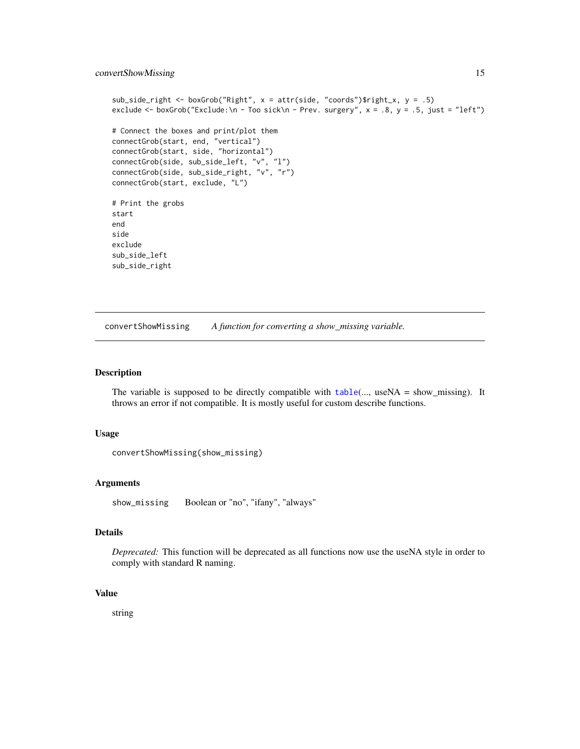```
sub_side_right <- boxGrob("Right", x = attr(side, "coords")$right_x, y = .5)
exclude <- boxGrob("Exclude:\n - Too sick\n - Prev. surgery", x = .8, y = .5, just = "left")
# Connect the boxes and print/plot them
connectGrob(start, end, "vertical")
connectGrob(start, side, "horizontal")
connectGrob(side, sub_side_left, "v", "l")
connectGrob(side, sub_side_right, "v", "r")
connectGrob(start, exclude, "L")
# Print the grobs
start
end
side
exclude
sub_side_left
sub_side_right
```
convertShowMissing *A function for converting a show\_missing variable.*

#### Description

The variable is supposed to be directly compatible with  $table(..., useNA = show\_missing)$  $table(..., useNA = show\_missing)$ . It throws an error if not compatible. It is mostly useful for custom describe functions.

#### Usage

```
convertShowMissing(show_missing)
```
# Arguments

show\_missing Boolean or "no", "ifany", "always"

#### Details

*Deprecated:* This function will be deprecated as all functions now use the useNA style in order to comply with standard R naming.

#### Value

string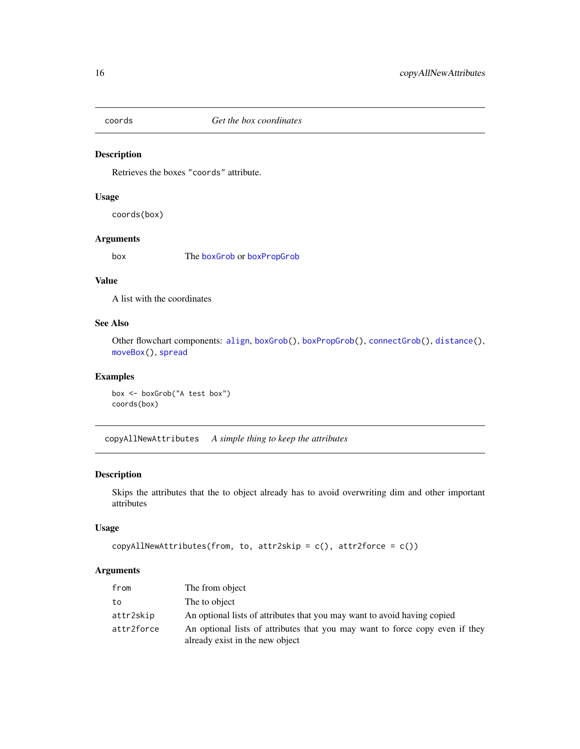<span id="page-15-2"></span><span id="page-15-0"></span>

# Description

Retrieves the boxes "coords" attribute.

# Usage

coords(box)

# Arguments

box The [boxGrob](#page-8-1) or [boxPropGrob](#page-9-1)

# Value

A list with the coordinates

# See Also

Other flowchart components: [align](#page-3-1), [boxGrob\(](#page-8-1)), [boxPropGrob\(](#page-9-1)), [connectGrob\(](#page-12-1)), [distance\(](#page-23-1)), [moveBox\(](#page-46-1)), [spread](#page-61-1)

#### Examples

```
box <- boxGrob("A test box")
coords(box)
```
<span id="page-15-1"></span>copyAllNewAttributes *A simple thing to keep the attributes*

### Description

Skips the attributes that the to object already has to avoid overwriting dim and other important attributes

# Usage

```
copyAllNewAttributes(from, to, attr2skip = c(), attr2force = c())
```

| from       | The from object                                                                                                 |
|------------|-----------------------------------------------------------------------------------------------------------------|
| to         | The to object                                                                                                   |
| attr2skip  | An optional lists of attributes that you may want to avoid having copied                                        |
| attr2force | An optional lists of attributes that you may want to force copy even if they<br>already exist in the new object |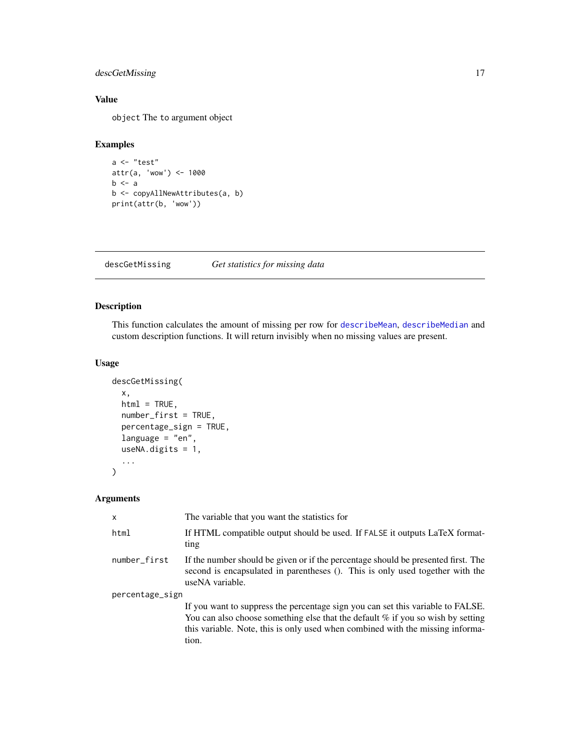# <span id="page-16-0"></span>descGetMissing 17

# Value

object The to argument object

#### Examples

```
a <- "test"
attr(a, 'wow') < - 1000b \leq ab <- copyAllNewAttributes(a, b)
print(attr(b, 'wow'))
```
descGetMissing *Get statistics for missing data*

# Description

This function calculates the amount of missing per row for [describeMean](#page-19-1), [describeMedian](#page-20-1) and custom description functions. It will return invisibly when no missing values are present.

# Usage

```
descGetMissing(
  x,
 html = TRUE,number_first = TRUE,
 percentage_sign = TRUE,
  language = "en",
  useNA.digits = 1,
  ...
\mathcal{L}
```

| $\mathsf{x}$    | The variable that you want the statistics for                                                                                                                                                                                                                   |  |
|-----------------|-----------------------------------------------------------------------------------------------------------------------------------------------------------------------------------------------------------------------------------------------------------------|--|
| html            | If HTML compatible output should be used. If FALSE it outputs LaTeX format-<br>ting                                                                                                                                                                             |  |
| number_first    | If the number should be given or if the percentage should be presented first. The<br>second is encapsulated in parentheses (). This is only used together with the<br>useNA variable.                                                                           |  |
| percentage_sign |                                                                                                                                                                                                                                                                 |  |
|                 | If you want to suppress the percentage sign you can set this variable to FALSE.<br>You can also choose something else that the default $%$ if you so wish by setting<br>this variable. Note, this is only used when combined with the missing informa-<br>tion. |  |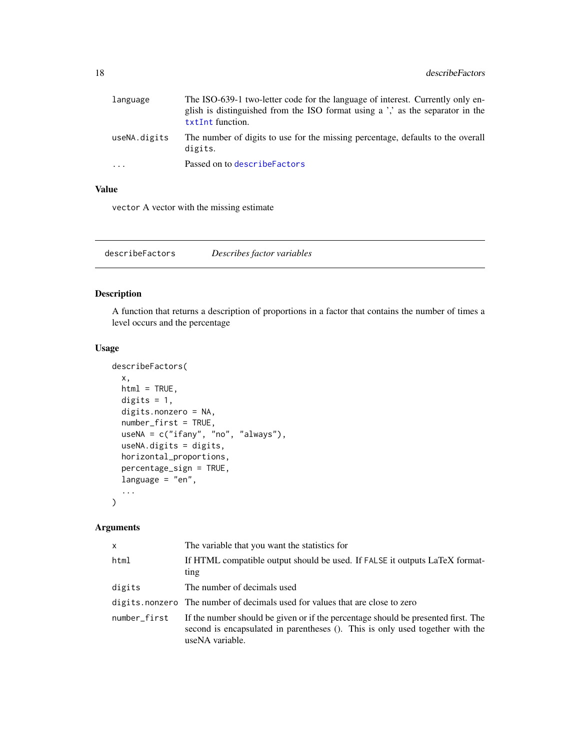<span id="page-17-0"></span>

| language     | The ISO-639-1 two-letter code for the language of interest. Currently only en-<br>glish is distinguished from the ISO format using a ',' as the separator in the<br>txtInt function. |
|--------------|--------------------------------------------------------------------------------------------------------------------------------------------------------------------------------------|
| useNA.digits | The number of digits to use for the missing percentage, defaults to the overall<br>digits.                                                                                           |
| $\cdot$      | Passed on to describe Factors                                                                                                                                                        |

# Value

vector A vector with the missing estimate

<span id="page-17-1"></span>describeFactors *Describes factor variables*

#### Description

A function that returns a description of proportions in a factor that contains the number of times a level occurs and the percentage

# Usage

```
describeFactors(
  x,
 html = TRUE,digits = 1,
  digits.nonzero = NA,
  number_first = TRUE,
 useNA = c("ifany", "no", "always"),
  useNA.digits = digits,
  horizontal_proportions,
  percentage_sign = TRUE,
  language = "en",
  ...
)
```

| X            | The variable that you want the statistics for                                                                                                                                         |
|--------------|---------------------------------------------------------------------------------------------------------------------------------------------------------------------------------------|
| html         | If HTML compatible output should be used. If FALSE it outputs LaTeX format-<br>ting                                                                                                   |
| digits       | The number of decimals used                                                                                                                                                           |
|              | digits.nonzero The number of decimals used for values that are close to zero                                                                                                          |
| number_first | If the number should be given or if the percentage should be presented first. The<br>second is encapsulated in parentheses (). This is only used together with the<br>useNA variable. |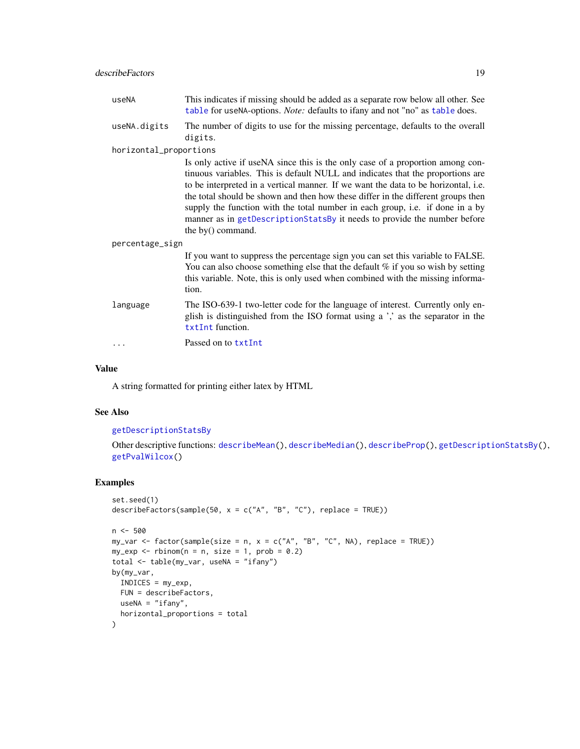### describeFactors 19

| useNA                  | This indicates if missing should be added as a separate row below all other. See<br>table for useNA-options. Note: defaults to ifany and not "no" as table does.                                                                                                                                                                                                                                                                                                                                                               |  |
|------------------------|--------------------------------------------------------------------------------------------------------------------------------------------------------------------------------------------------------------------------------------------------------------------------------------------------------------------------------------------------------------------------------------------------------------------------------------------------------------------------------------------------------------------------------|--|
| useNA.digits           | The number of digits to use for the missing percentage, defaults to the overall<br>digits.                                                                                                                                                                                                                                                                                                                                                                                                                                     |  |
| horizontal_proportions |                                                                                                                                                                                                                                                                                                                                                                                                                                                                                                                                |  |
|                        | Is only active if useNA since this is the only case of a proportion among con-<br>tinuous variables. This is default NULL and indicates that the proportions are<br>to be interpreted in a vertical manner. If we want the data to be horizontal, i.e.<br>the total should be shown and then how these differ in the different groups then<br>supply the function with the total number in each group, i.e. if done in a by<br>manner as in getDescriptionStatsBy it needs to provide the number before<br>the $by()$ command. |  |
| percentage_sign        |                                                                                                                                                                                                                                                                                                                                                                                                                                                                                                                                |  |
|                        | If you want to suppress the percentage sign you can set this variable to FALSE.<br>You can also choose something else that the default % if you so wish by setting<br>this variable. Note, this is only used when combined with the missing informa-<br>tion.                                                                                                                                                                                                                                                                  |  |
| language               | The ISO-639-1 two-letter code for the language of interest. Currently only en-<br>glish is distinguished from the ISO format using a ',' as the separator in the<br>txtInt function.                                                                                                                                                                                                                                                                                                                                           |  |
|                        | Passed on to txtInt                                                                                                                                                                                                                                                                                                                                                                                                                                                                                                            |  |

#### Value

A string formatted for printing either latex by HTML

#### See Also

# [getDescriptionStatsBy](#page-30-1)

Other descriptive functions: [describeMean\(](#page-19-1)), [describeMedian\(](#page-20-1)), [describeProp\(](#page-22-1)), [getDescriptionStatsBy\(](#page-30-1)), [getPvalWilcox\(](#page-35-1))

```
set.seed(1)
describeFactors(sample(50, x = c("A", "B", "C"), replace = TRUE))
n <- 500
my\_var \leftarrow factor(sample(size = n, x = c("A", "B", "C", NA), replace = TRUE))my\text{ }exp \leftarrow \text{rbinom}(n = n, \text{ size } = 1, \text{ prob } = 0.2)total <- table(my_var, useNA = "ifany")
by(my_var,
 INDICES = my_exp,
 FUN = describeFactors,
 useNA = "ifany",horizontal_proportions = total
)
```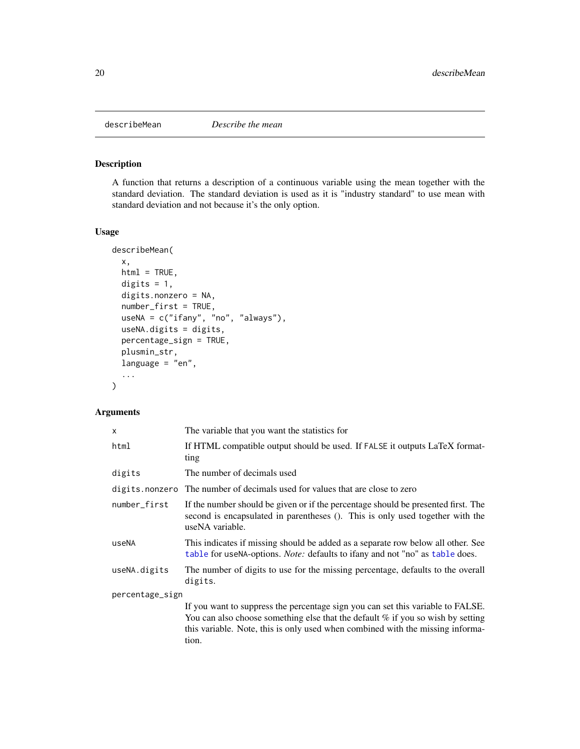<span id="page-19-1"></span><span id="page-19-0"></span>

# Description

A function that returns a description of a continuous variable using the mean together with the standard deviation. The standard deviation is used as it is "industry standard" to use mean with standard deviation and not because it's the only option.

#### Usage

```
describeMean(
  x,
 html = TRUE,digits = 1,
  digits.nonzero = NA,
  number_first = TRUE,
  useNA = c("ifany", "no", "always"),
  useNA.digits = digits,
  percentage_sign = TRUE,
  plusmin_str,
  language = "en",
  ...
\mathcal{E}
```

| X               | The variable that you want the statistics for                                                                                                                                                                                                                   |
|-----------------|-----------------------------------------------------------------------------------------------------------------------------------------------------------------------------------------------------------------------------------------------------------------|
| html            | If HTML compatible output should be used. If FALSE it outputs LaTeX format-<br>ting                                                                                                                                                                             |
| digits          | The number of decimals used                                                                                                                                                                                                                                     |
| digits.nonzero  | The number of decimals used for values that are close to zero                                                                                                                                                                                                   |
| number_first    | If the number should be given or if the percentage should be presented first. The<br>second is encapsulated in parentheses (). This is only used together with the<br>useNA variable.                                                                           |
| useNA           | This indicates if missing should be added as a separate row below all other. See<br>table for useNA-options. <i>Note:</i> defaults to ifany and not "no" as table does.                                                                                         |
| useNA.digits    | The number of digits to use for the missing percentage, defaults to the overall<br>digits.                                                                                                                                                                      |
| percentage_sign |                                                                                                                                                                                                                                                                 |
|                 | If you want to suppress the percentage sign you can set this variable to FALSE.<br>You can also choose something else that the default $%$ if you so wish by setting<br>this variable. Note, this is only used when combined with the missing informa-<br>tion. |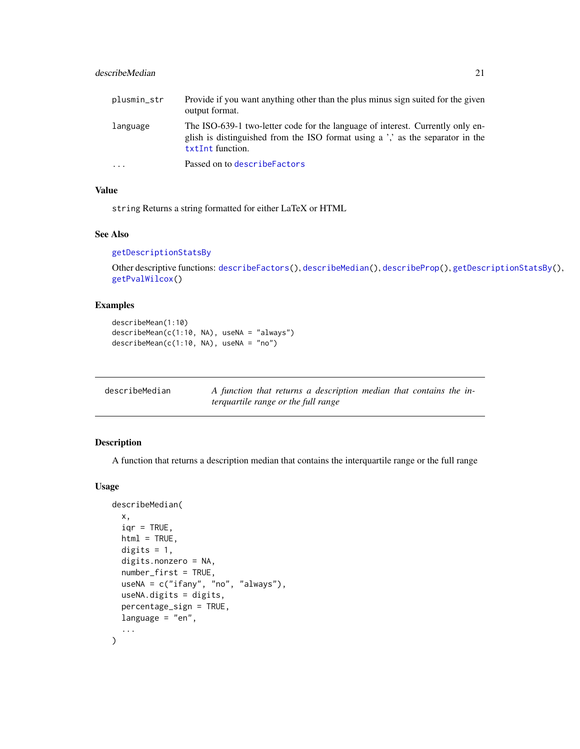# <span id="page-20-0"></span>describeMedian 21

| plusmin_str | Provide if you want anything other than the plus minus sign suited for the given<br>output format.                                                                                   |
|-------------|--------------------------------------------------------------------------------------------------------------------------------------------------------------------------------------|
| language    | The ISO-639-1 two-letter code for the language of interest. Currently only en-<br>glish is distinguished from the ISO format using a ',' as the separator in the<br>txtInt function. |
| $\ddotsc$   | Passed on to describe Factors                                                                                                                                                        |

# Value

string Returns a string formatted for either LaTeX or HTML

#### See Also

#### [getDescriptionStatsBy](#page-30-1)

Other descriptive functions: [describeFactors\(](#page-17-1)), [describeMedian\(](#page-20-1)), [describeProp\(](#page-22-1)), [getDescriptionStatsBy\(](#page-30-1)), [getPvalWilcox\(](#page-35-1))

#### Examples

```
describeMean(1:10)
describeMean(c(1:10, NA), useNA = "always")
describeMean(c(1:10, NA), useNA = "no")
```
<span id="page-20-1"></span>

| describeMedian | A function that returns a description median that contains the in- |
|----------------|--------------------------------------------------------------------|
|                | terquartile range or the full range                                |

# Description

A function that returns a description median that contains the interquartile range or the full range

```
describeMedian(
 x,
  iqr = TRUE,html = TRUE,digits = 1,
  digits.nonzero = NA,
  number_first = TRUE,
 useNA = c("ifany", "no", "always"),
 useNA.digits = digits,
 percentage_sign = TRUE,
 language = "en",...
\mathcal{E}
```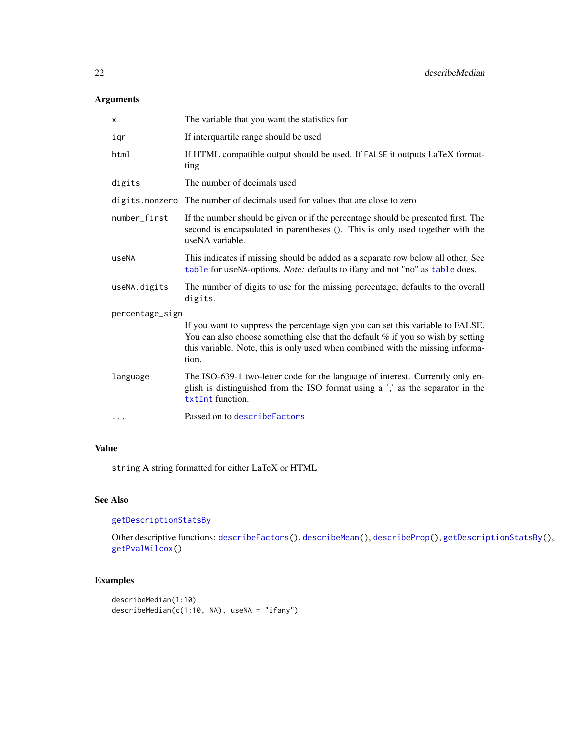# Arguments

| X               | The variable that you want the statistics for                                                                                                                                                                                                                 |  |
|-----------------|---------------------------------------------------------------------------------------------------------------------------------------------------------------------------------------------------------------------------------------------------------------|--|
| iqr             | If interquartile range should be used                                                                                                                                                                                                                         |  |
| html            | If HTML compatible output should be used. If FALSE it outputs LaTeX format-<br>ting                                                                                                                                                                           |  |
| digits          | The number of decimals used                                                                                                                                                                                                                                   |  |
| digits.nonzero  | The number of decimals used for values that are close to zero                                                                                                                                                                                                 |  |
| number_first    | If the number should be given or if the percentage should be presented first. The<br>second is encapsulated in parentheses (). This is only used together with the<br>useNA variable.                                                                         |  |
| useNA           | This indicates if missing should be added as a separate row below all other. See<br>table for useNA-options. Note: defaults to ifany and not "no" as table does.                                                                                              |  |
| useNA.digits    | The number of digits to use for the missing percentage, defaults to the overall<br>digits.                                                                                                                                                                    |  |
| percentage_sign |                                                                                                                                                                                                                                                               |  |
|                 | If you want to suppress the percentage sign you can set this variable to FALSE.<br>You can also choose something else that the default % if you so wish by setting<br>this variable. Note, this is only used when combined with the missing informa-<br>tion. |  |
| language        | The ISO-639-1 two-letter code for the language of interest. Currently only en-<br>glish is distinguished from the ISO format using a ',' as the separator in the<br>txtInt function.                                                                          |  |
| $\cdots$        | Passed on to describe Factors                                                                                                                                                                                                                                 |  |

# Value

string A string formatted for either LaTeX or HTML

# See Also

# [getDescriptionStatsBy](#page-30-1)

Other descriptive functions: [describeFactors\(](#page-17-1)), [describeMean\(](#page-19-1)), [describeProp\(](#page-22-1)), [getDescriptionStatsBy\(](#page-30-1)), [getPvalWilcox\(](#page-35-1))

```
describeMedian(1:10)
describeMedian(c(1:10, NA), useNA = "ifany")
```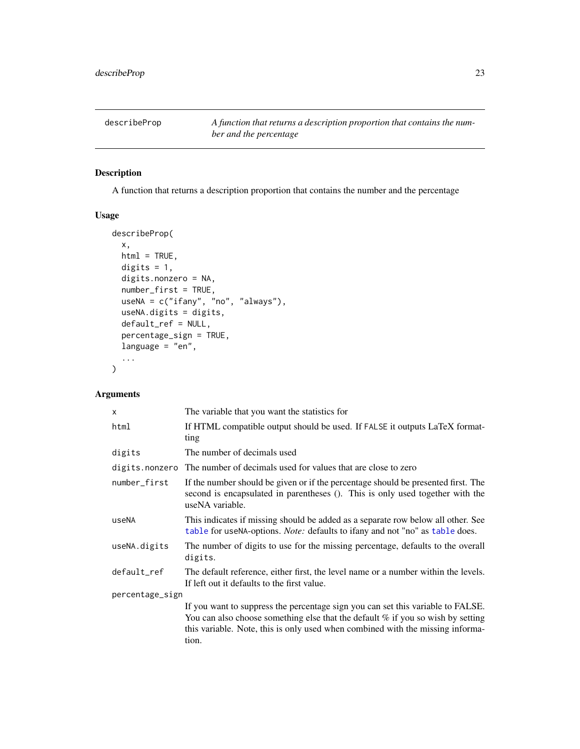<span id="page-22-1"></span><span id="page-22-0"></span>describeProp *A function that returns a description proportion that contains the number and the percentage*

# Description

A function that returns a description proportion that contains the number and the percentage

# Usage

```
describeProp(
  x,
 html = TRUE,digits = 1,
  digits.nonzero = NA,
  number_first = TRUE,
 useNA = c("ifany", "no", "always"),
 useNA.digits = digits,
  default_ref = NULL,
 percentage_sign = TRUE,
  language = "en",...
\mathcal{L}
```

| X              | The variable that you want the statistics for                                                                                                                                                                                                                   |  |  |
|----------------|-----------------------------------------------------------------------------------------------------------------------------------------------------------------------------------------------------------------------------------------------------------------|--|--|
| html           | If HTML compatible output should be used. If FALSE it outputs LaTeX format-<br>ting                                                                                                                                                                             |  |  |
| digits         | The number of decimals used                                                                                                                                                                                                                                     |  |  |
| digits.nonzero | The number of decimals used for values that are close to zero                                                                                                                                                                                                   |  |  |
| number_first   | If the number should be given or if the percentage should be presented first. The<br>second is encapsulated in parentheses (). This is only used together with the<br>useNA variable.                                                                           |  |  |
| useNA          | This indicates if missing should be added as a separate row below all other. See<br>table for useNA-options. <i>Note:</i> defaults to ifany and not "no" as table does.                                                                                         |  |  |
| useNA.digits   | The number of digits to use for the missing percentage, defaults to the overall<br>digits.                                                                                                                                                                      |  |  |
| default_ref    | The default reference, either first, the level name or a number within the levels.<br>If left out it defaults to the first value.                                                                                                                               |  |  |
|                | percentage_sign                                                                                                                                                                                                                                                 |  |  |
|                | If you want to suppress the percentage sign you can set this variable to FALSE.<br>You can also choose something else that the default $%$ if you so wish by setting<br>this variable. Note, this is only used when combined with the missing informa-<br>tion. |  |  |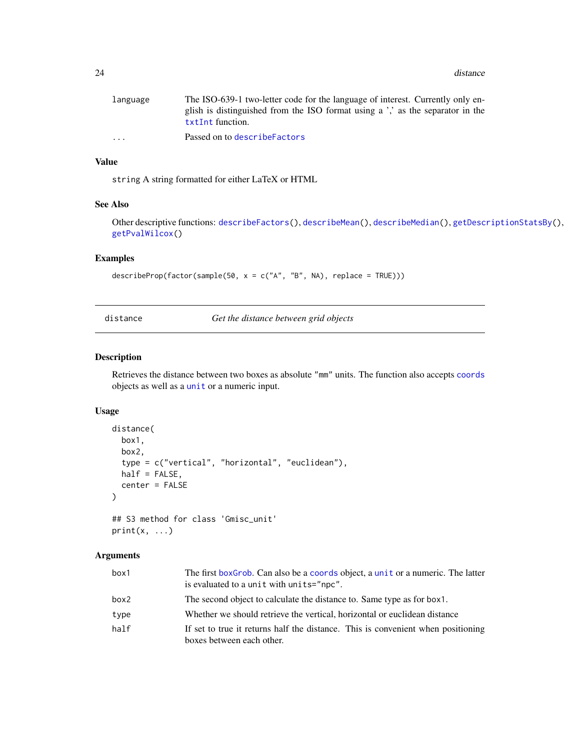<span id="page-23-0"></span>24 distance and the contract of the contract of the contract of the contract of the contract of the contract of the contract of the contract of the contract of the contract of the contract of the contract of the contract o

| language                | The ISO-639-1 two-letter code for the language of interest. Currently only en- |
|-------------------------|--------------------------------------------------------------------------------|
|                         | glish is distinguished from the ISO format using a ',' as the separator in the |
|                         | txtInt function.                                                               |
| $\cdot$ $\cdot$ $\cdot$ | Passed on to describe Factors                                                  |

# Value

string A string formatted for either LaTeX or HTML

#### See Also

Other descriptive functions: [describeFactors\(](#page-17-1)), [describeMean\(](#page-19-1)), [describeMedian\(](#page-20-1)), [getDescriptionStatsBy\(](#page-30-1)), [getPvalWilcox\(](#page-35-1))

#### Examples

describeProp(factor(sample(50,  $x = c("A", "B", NA)$ , replace = TRUE)))

<span id="page-23-1"></span>distance *Get the distance between grid objects*

#### Description

Retrieves the distance between two boxes as absolute "mm" units. The function also accepts [coords](#page-15-2) objects as well as a [unit](#page-0-0) or a numeric input.

#### Usage

```
distance(
 box1,
  box2,
  type = c("vertical", "horizontal", "euclidean"),
  half = FALSE,center = FALSE
)
```

```
## S3 method for class 'Gmisc_unit'
print(x, \ldots)
```

| box1 | The first boxGrob. Can also be a coords object, a unit or a numeric. The latter<br>is evaluated to a unit with units="npc". |
|------|-----------------------------------------------------------------------------------------------------------------------------|
| box2 | The second object to calculate the distance to. Same type as for box1.                                                      |
| type | Whether we should retrieve the vertical, horizontal or euclidean distance                                                   |
| half | If set to true it returns half the distance. This is convenient when positioning<br>boxes between each other.               |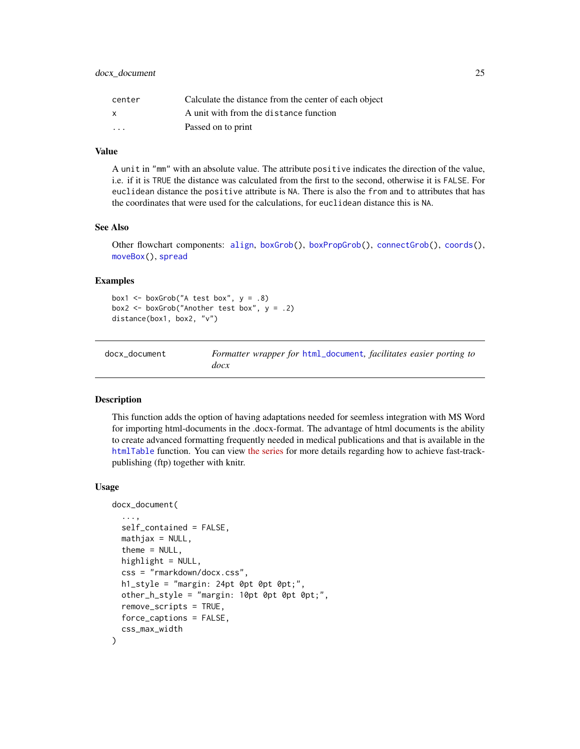<span id="page-24-0"></span>

| center                  | Calculate the distance from the center of each object |
|-------------------------|-------------------------------------------------------|
| x                       | A unit with from the distance function                |
| $\cdot$ $\cdot$ $\cdot$ | Passed on to print                                    |

#### Value

A unit in "mm" with an absolute value. The attribute positive indicates the direction of the value, i.e. if it is TRUE the distance was calculated from the first to the second, otherwise it is FALSE. For euclidean distance the positive attribute is NA. There is also the from and to attributes that has the coordinates that were used for the calculations, for euclidean distance this is NA.

#### See Also

Other flowchart components: [align](#page-3-1), [boxGrob\(](#page-8-1)), [boxPropGrob\(](#page-9-1)), [connectGrob\(](#page-12-1)), [coords\(](#page-15-2)), [moveBox\(](#page-46-1)), [spread](#page-61-1)

#### Examples

```
box1 <- boxGrob("A test box", y = .8)
box2 <- boxGrob("Another test box", y = .2)
distance(box1, box2, "v")
```
docx\_document *Formatter wrapper for* [html\\_document](#page-0-0)*, facilitates easier porting to docx*

# Description

This function adds the option of having adaptations needed for seemless integration with MS Word for importing html-documents in the .docx-format. The advantage of html documents is the ability to create advanced formatting frequently needed in medical publications and that is available in the [htmlTable](#page-0-0) function. You can view [the series](https://gforge.se/2014/07/fast-track-publishing-using-rmarkdown/) for more details regarding how to achieve fast-trackpublishing (ftp) together with knitr.

```
docx_document(
  ...,
  self_contained = FALSE,
  mathiathjax = NULL,
  theme = NULL,
  highlight = NULL,css = "rmarkdown/docx.css",
  h1_style = "margin: 24pt 0pt 0pt 0pt;",
  other_h_style = "margin: 10pt 0pt 0pt 0pt;",
  remove_scripts = TRUE,
  force_captions = FALSE,
  css_max_width
)
```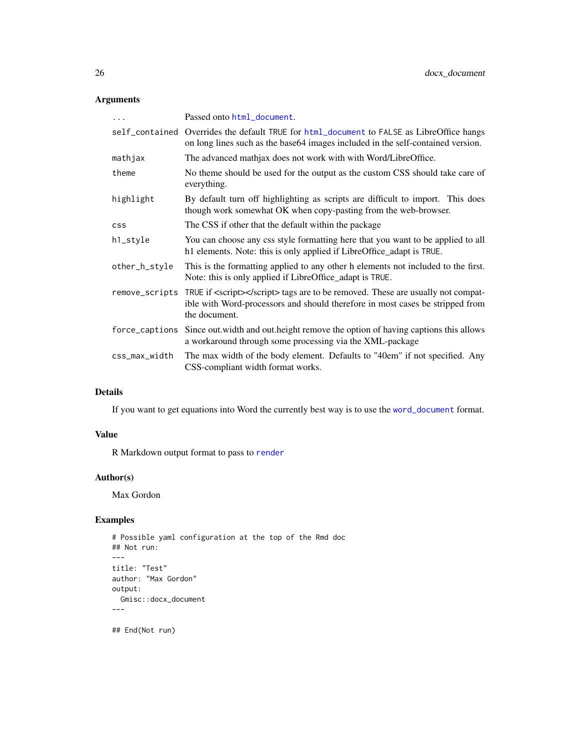# Arguments

| $\cdots$       | Passed onto html_document.                                                                                                                                                                       |
|----------------|--------------------------------------------------------------------------------------------------------------------------------------------------------------------------------------------------|
|                | self_contained Overrides the default TRUE for html_document to FALSE as LibreOffice hangs<br>on long lines such as the base64 images included in the self-contained version.                     |
| mathjax        | The advanced mathjax does not work with with Word/LibreOffice.                                                                                                                                   |
| theme          | No theme should be used for the output as the custom CSS should take care of<br>everything.                                                                                                      |
| highlight      | By default turn off highlighting as scripts are difficult to import. This does<br>though work somewhat OK when copy-pasting from the web-browser.                                                |
| <b>CSS</b>     | The CSS if other that the default within the package                                                                                                                                             |
| h1_style       | You can choose any css style formatting here that you want to be applied to all<br>h1 elements. Note: this is only applied if LibreOffice_adapt is TRUE.                                         |
| other_h_style  | This is the formatting applied to any other h elements not included to the first.<br>Note: this is only applied if LibreOffice_adapt is TRUE.                                                    |
|                | remove_scripts TRUE if <script></script> tags are to be removed. These are usually not compat-<br>ible with Word-processors and should therefore in most cases be stripped from<br>the document. |
| force_captions | Since out width and out height remove the option of having captions this allows<br>a workaround through some processing via the XML-package                                                      |
| css_max_width  | The max width of the body element. Defaults to "40em" if not specified. Any<br>CSS-compliant width format works.                                                                                 |

#### Details

If you want to get equations into Word the currently best way is to use the [word\\_document](#page-0-0) format.

#### Value

R Markdown output format to pass to [render](#page-0-0)

# Author(s)

Max Gordon

# Examples

```
# Possible yaml configuration at the top of the Rmd doc
## Not run:
---
title: "Test"
author: "Max Gordon"
output:
 Gmisc::docx_document
---
```
## End(Not run)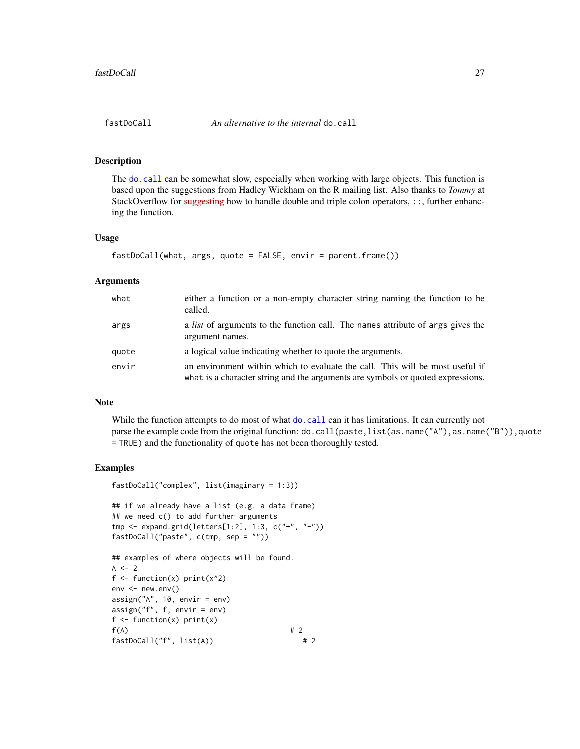<span id="page-26-0"></span>

# Description

The [do.call](#page-0-0) can be somewhat slow, especially when working with large objects. This function is based upon the suggestions from Hadley Wickham on the R mailing list. Also thanks to *Tommy* at StackOverflow for [suggesting](https://stackoverflow.com/questions/10022436/do-call-in-combination-with) how to handle double and triple colon operators, ::, further enhancing the function.

#### Usage

```
fastDoCall(what, args, quote = FALSE, envir = parent.frame())
```
#### Arguments

| what  | either a function or a non-empty character string naming the function to be<br>called.                                                                           |
|-------|------------------------------------------------------------------------------------------------------------------------------------------------------------------|
| args  | a <i>list</i> of arguments to the function call. The names attribute of args gives the<br>argument names.                                                        |
| quote | a logical value indicating whether to quote the arguments.                                                                                                       |
| envir | an environment within which to evaluate the call. This will be most useful if<br>what is a character string and the arguments are symbols or quoted expressions. |

#### Note

While the function attempts to do most of what [do.call](#page-0-0) can it has limitations. It can currently not parse the example code from the original function: do.call(paste,list(as.name("A"),as.name("B")),quote = TRUE) and the functionality of quote has not been thoroughly tested.

```
fastDoCall("complex", list(imaginary = 1:3))
```

```
## if we already have a list (e.g. a data frame)
## we need c() to add further arguments
tmp <- expand.grid(letters[1:2], 1:3, c("+", "-"))
fastDoCall("paste", c(tmp, sep = ""))
```

```
## examples of where objects will be found.
A \le -2f \leftarrow function(x) print(x^2)env < -newenv()assign("A", 10, envir = env)
assign("f", f, envir = env)
f \leftarrow function(x) print(x)f(A) # 2
fastDoCall("f", list(A)) # 2
```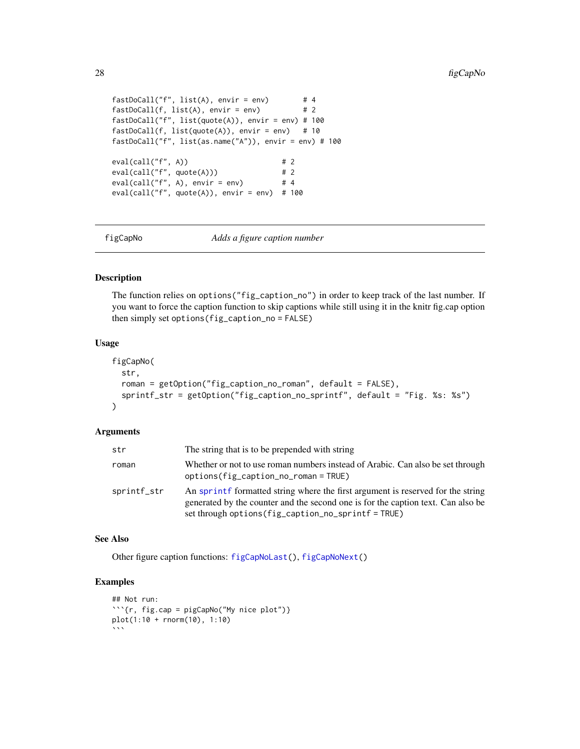```
fastDoCall("f", list(A), envir = env) # 4
fastDoCall(f, list(A), envir = env) # 2
fastDoCall("f", list(quote(A)), envir = env) # 100
fastDoCall(f, list(quote(A)), envir = env) # 10
fastDoCall("f", list(as.name("A")), envir = env) # 100
eval(call("f", A)) # 2
eval(call("f", quote(A))) # 2
eval(call("f", A), envir = env) # 4
eval(call("f", quote(A)), envir = env) # 100
```
<span id="page-27-1"></span>

figCapNo *Adds a figure caption number*

#### Description

The function relies on options("fig\_caption\_no") in order to keep track of the last number. If you want to force the caption function to skip captions while still using it in the knitr fig.cap option then simply set options(fig\_caption\_no = FALSE)

# Usage

```
figCapNo(
  str,
  roman = getOption("fig_caption_no_roman", default = FALSE),
  sprintf_str = getOption("fig_caption_no_sprintf", default = "Fig. %s: %s")
)
```
#### Arguments

| str         | The string that is to be prepended with string                                                                                                                                                                             |
|-------------|----------------------------------------------------------------------------------------------------------------------------------------------------------------------------------------------------------------------------|
| roman       | Whether or not to use roman numbers instead of Arabic. Can also be set through<br>$options(fig_caption_no_roman = TRUE)$                                                                                                   |
| sprintf_str | An sprintf formatted string where the first argument is reserved for the string<br>generated by the counter and the second one is for the caption text. Can also be<br>set through options (fig_caption_no_sprintf = TRUE) |

#### See Also

Other figure caption functions: [figCapNoLast\(](#page-28-1)), [figCapNoNext\(](#page-29-1))

```
## Not run:
```{r, fig.cap = pigCapNo("My nice plot")}
plot(1:10 + rnorm(10), 1:10)
\ddot{\phantom{0}}
```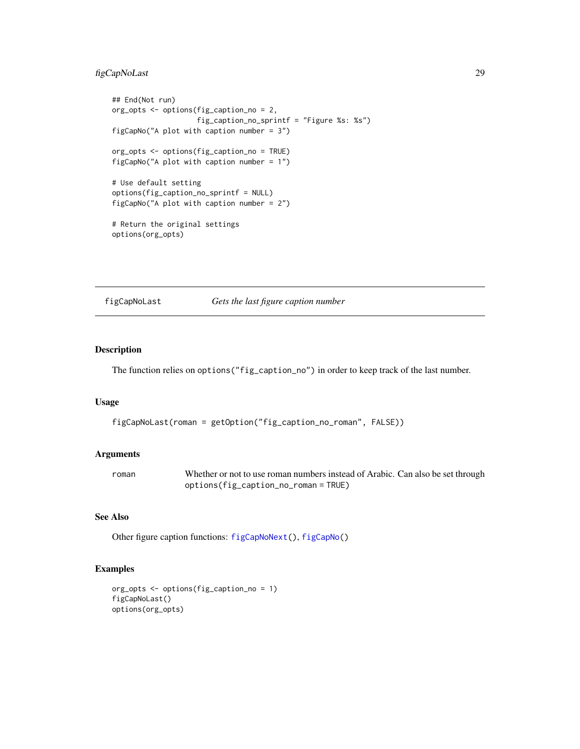# <span id="page-28-0"></span>figCapNoLast 29

```
## End(Not run)
org_opts <- options(fig_caption_no = 2,
                    fig_caption_no_sprintf = "Figure %s: %s")
figCapNo("A plot with caption number = 3")
org_opts <- options(fig_caption_no = TRUE)
figCapNo("A plot with caption number = 1")
# Use default setting
options(fig_caption_no_sprintf = NULL)
figCapNo("A plot with caption number = 2")
# Return the original settings
options(org_opts)
```
<span id="page-28-1"></span>

figCapNoLast *Gets the last figure caption number*

#### Description

The function relies on options("fig\_caption\_no") in order to keep track of the last number.

#### Usage

```
figCapNoLast(roman = getOption("fig_caption_no_roman", FALSE))
```
#### Arguments

| roman | Whether or not to use roman numbers instead of Arabic. Can also be set through |
|-------|--------------------------------------------------------------------------------|
|       | options(fig_caption_no_roman = TRUE)                                           |

#### See Also

Other figure caption functions: [figCapNoNext\(](#page-29-1)), [figCapNo\(](#page-27-1))

```
org_opts <- options(fig_caption_no = 1)
figCapNoLast()
options(org_opts)
```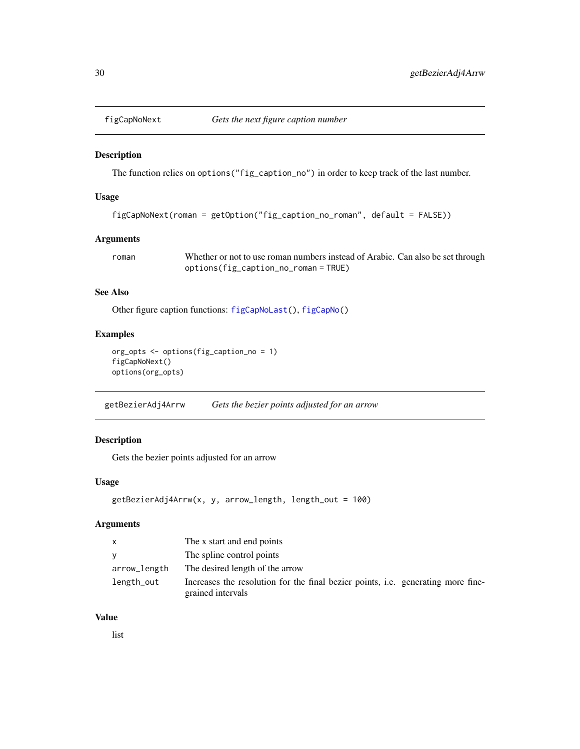<span id="page-29-1"></span><span id="page-29-0"></span>

#### Description

The function relies on options("fig\_caption\_no") in order to keep track of the last number.

# Usage

```
figCapNoNext(roman = getOption("fig_caption_no_roman", default = FALSE))
```
# Arguments

roman Whether or not to use roman numbers instead of Arabic. Can also be set through options(fig\_caption\_no\_roman = TRUE)

# See Also

Other figure caption functions: [figCapNoLast\(](#page-28-1)), [figCapNo\(](#page-27-1))

#### Examples

```
org_opts <- options(fig_caption_no = 1)
figCapNoNext()
options(org_opts)
```
getBezierAdj4Arrw *Gets the bezier points adjusted for an arrow*

# Description

Gets the bezier points adjusted for an arrow

#### Usage

```
getBezierAdj4Arrw(x, y, arrow_length, length_out = 100)
```
# Arguments

| $\mathsf{X}$ | The x start and end points                                                                                   |
|--------------|--------------------------------------------------------------------------------------------------------------|
| <b>V</b>     | The spline control points                                                                                    |
| arrow_length | The desired length of the arrow                                                                              |
| length_out   | Increases the resolution for the final bezier points, <i>i.e.</i> generating more fine-<br>grained intervals |

# Value

list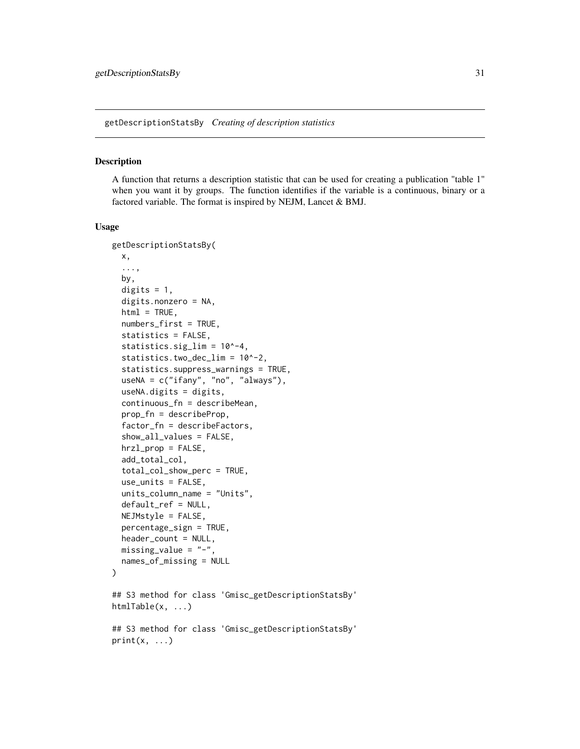<span id="page-30-1"></span><span id="page-30-0"></span>getDescriptionStatsBy *Creating of description statistics*

#### Description

A function that returns a description statistic that can be used for creating a publication "table 1" when you want it by groups. The function identifies if the variable is a continuous, binary or a factored variable. The format is inspired by NEJM, Lancet & BMJ.

```
getDescriptionStatsBy(
 x,
  ...,
 by,
  digits = 1,
  digits.nonzero = NA,
  html = TRUE,numbers_first = TRUE,
  statistics = FALSE,
  statistics.sig_lim = 10^-4,
  statistics.two_dec_lim = 10^-2,
  statistics.suppress_warnings = TRUE,
  useNA = c("ifany", "no", "always"),
  useNA.digits = digits,
  continuous_fn = describeMean,
  prop_fn = describeProp,
  factor_fn = describeFactors,
  show_all_values = FALSE,
  hrzl_prop = FALSE,
  add_total_col,
  total_col_show_perc = TRUE,
  use_units = FALSE,
  units_column_name = "Units",
  default_ref = NULL,
 NEJMstyle = FALSE,percentage_sign = TRUE,
  header_count = NULL,missing_value = "-",
  names_of_missing = NULL
)
## S3 method for class 'Gmisc_getDescriptionStatsBy'
htmlTable(x, ...)
## S3 method for class 'Gmisc_getDescriptionStatsBy'
print(x, \ldots)
```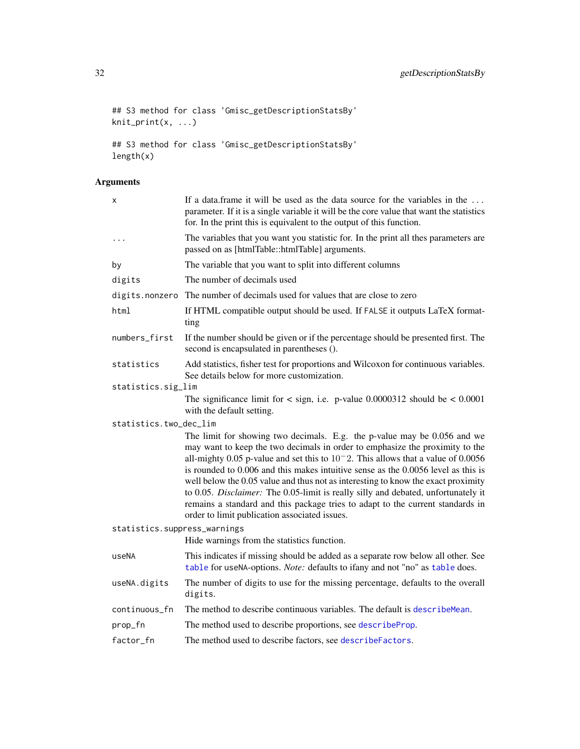```
## S3 method for class 'Gmisc_getDescriptionStatsBy'
knit_print(x, ...)
## S3 method for class 'Gmisc_getDescriptionStatsBy'
length(x)
```

| If a data frame it will be used as the data source for the variables in the<br>parameter. If it is a single variable it will be the core value that want the statistics<br>for. In the print this is equivalent to the output of this function.                                                                                                                                                                                                                                                                                                                                                                                                      |
|------------------------------------------------------------------------------------------------------------------------------------------------------------------------------------------------------------------------------------------------------------------------------------------------------------------------------------------------------------------------------------------------------------------------------------------------------------------------------------------------------------------------------------------------------------------------------------------------------------------------------------------------------|
| The variables that you want you statistic for. In the print all thes parameters are<br>passed on as [htmlTable::htmlTable] arguments.                                                                                                                                                                                                                                                                                                                                                                                                                                                                                                                |
| The variable that you want to split into different columns                                                                                                                                                                                                                                                                                                                                                                                                                                                                                                                                                                                           |
| The number of decimals used                                                                                                                                                                                                                                                                                                                                                                                                                                                                                                                                                                                                                          |
| The number of decimals used for values that are close to zero                                                                                                                                                                                                                                                                                                                                                                                                                                                                                                                                                                                        |
| If HTML compatible output should be used. If FALSE it outputs LaTeX format-<br>ting                                                                                                                                                                                                                                                                                                                                                                                                                                                                                                                                                                  |
| If the number should be given or if the percentage should be presented first. The<br>second is encapsulated in parentheses ().                                                                                                                                                                                                                                                                                                                                                                                                                                                                                                                       |
| Add statistics, fisher test for proportions and Wilcoxon for continuous variables.<br>See details below for more customization.                                                                                                                                                                                                                                                                                                                                                                                                                                                                                                                      |
| statistics.sig_lim                                                                                                                                                                                                                                                                                                                                                                                                                                                                                                                                                                                                                                   |
| The significance limit for $\langle$ sign, i.e. p-value 0.0000312 should be $\langle$ 0.0001<br>with the default setting.                                                                                                                                                                                                                                                                                                                                                                                                                                                                                                                            |
| statistics.two_dec_lim                                                                                                                                                                                                                                                                                                                                                                                                                                                                                                                                                                                                                               |
| The limit for showing two decimals. E.g. the p-value may be 0.056 and we<br>may want to keep the two decimals in order to emphasize the proximity to the<br>all-mighty 0.05 p-value and set this to $10^{-2}$ . This allows that a value of 0.0056<br>is rounded to 0.006 and this makes intuitive sense as the 0.0056 level as this is<br>well below the 0.05 value and thus not as interesting to know the exact proximity<br>to 0.05. Disclaimer: The 0.05-limit is really silly and debated, unfortunately it<br>remains a standard and this package tries to adapt to the current standards in<br>order to limit publication associated issues. |
| statistics.suppress_warnings<br>Hide warnings from the statistics function.                                                                                                                                                                                                                                                                                                                                                                                                                                                                                                                                                                          |
| This indicates if missing should be added as a separate row below all other. See<br>table for useNA-options. Note: defaults to ifany and not "no" as table does.                                                                                                                                                                                                                                                                                                                                                                                                                                                                                     |
| The number of digits to use for the missing percentage, defaults to the overall<br>digits.                                                                                                                                                                                                                                                                                                                                                                                                                                                                                                                                                           |
| The method to describe continuous variables. The default is describe Mean.                                                                                                                                                                                                                                                                                                                                                                                                                                                                                                                                                                           |
| The method used to describe proportions, see describeProp.                                                                                                                                                                                                                                                                                                                                                                                                                                                                                                                                                                                           |
| The method used to describe factors, see describeFactors.                                                                                                                                                                                                                                                                                                                                                                                                                                                                                                                                                                                            |
|                                                                                                                                                                                                                                                                                                                                                                                                                                                                                                                                                                                                                                                      |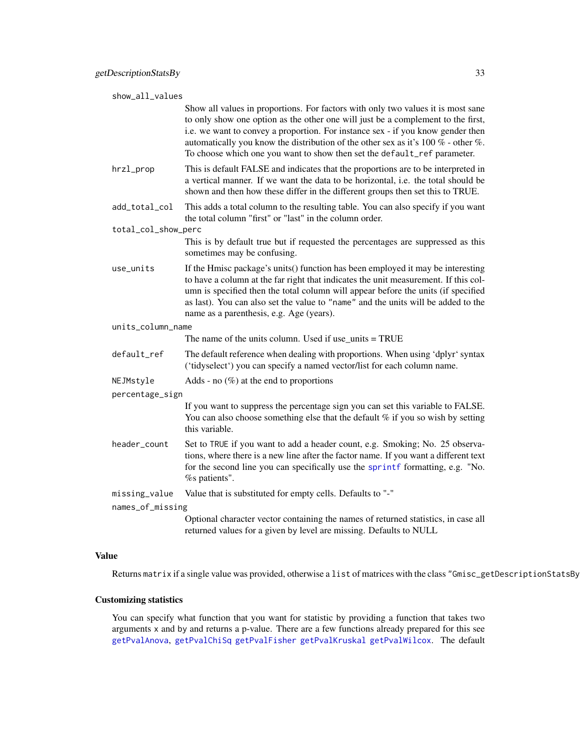| show_all_values     |                                                                                                                                                                                                                                                                                                                                                                                                                               |
|---------------------|-------------------------------------------------------------------------------------------------------------------------------------------------------------------------------------------------------------------------------------------------------------------------------------------------------------------------------------------------------------------------------------------------------------------------------|
|                     | Show all values in proportions. For factors with only two values it is most sane<br>to only show one option as the other one will just be a complement to the first,<br>i.e. we want to convey a proportion. For instance sex - if you know gender then<br>automatically you know the distribution of the other sex as it's 100 $%$ - other $%$ .<br>To choose which one you want to show then set the default_ref parameter. |
| hrzl_prop           | This is default FALSE and indicates that the proportions are to be interpreted in<br>a vertical manner. If we want the data to be horizontal, i.e. the total should be<br>shown and then how these differ in the different groups then set this to TRUE.                                                                                                                                                                      |
| add_total_col       | This adds a total column to the resulting table. You can also specify if you want<br>the total column "first" or "last" in the column order.                                                                                                                                                                                                                                                                                  |
| total_col_show_perc |                                                                                                                                                                                                                                                                                                                                                                                                                               |
|                     | This is by default true but if requested the percentages are suppressed as this<br>sometimes may be confusing.                                                                                                                                                                                                                                                                                                                |
| use_units           | If the Hmisc package's units() function has been employed it may be interesting<br>to have a column at the far right that indicates the unit measurement. If this col-<br>umn is specified then the total column will appear before the units (if specified<br>as last). You can also set the value to "name" and the units will be added to the<br>name as a parenthesis, e.g. Age (years).                                  |
| units_column_name   |                                                                                                                                                                                                                                                                                                                                                                                                                               |
|                     | The name of the units column. Used if use_units $= TRUE$                                                                                                                                                                                                                                                                                                                                                                      |
| default_ref         | The default reference when dealing with proportions. When using 'dplyr' syntax<br>('tidyselect') you can specify a named vector/list for each column name.                                                                                                                                                                                                                                                                    |
| NEJMstyle           | Adds - no $(\%)$ at the end to proportions                                                                                                                                                                                                                                                                                                                                                                                    |
| percentage_sign     |                                                                                                                                                                                                                                                                                                                                                                                                                               |
|                     | If you want to suppress the percentage sign you can set this variable to FALSE.<br>You can also choose something else that the default $%$ if you so wish by setting<br>this variable.                                                                                                                                                                                                                                        |
| header_count        | Set to TRUE if you want to add a header count, e.g. Smoking; No. 25 observa-<br>tions, where there is a new line after the factor name. If you want a different text<br>for the second line you can specifically use the sprintf formatting, e.g. "No.<br>% patients".                                                                                                                                                        |
| missing_value       | Value that is substituted for empty cells. Defaults to "-"                                                                                                                                                                                                                                                                                                                                                                    |
| names_of_missing    |                                                                                                                                                                                                                                                                                                                                                                                                                               |
|                     | Optional character vector containing the names of returned statistics, in case all<br>returned values for a given by level are missing. Defaults to NULL                                                                                                                                                                                                                                                                      |

#### Value

Returns matrix if a single value was provided, otherwise a list of matrices with the class "Gmisc\_getDescriptionStatsBy".

# Customizing statistics

You can specify what function that you want for statistic by providing a function that takes two arguments x and by and returns a p-value. There are a few functions already prepared for this see [getPvalAnova](#page-35-2), [getPvalChiSq](#page-35-2) [getPvalFisher](#page-35-2) [getPvalKruskal](#page-35-2) [getPvalWilcox](#page-35-1). The default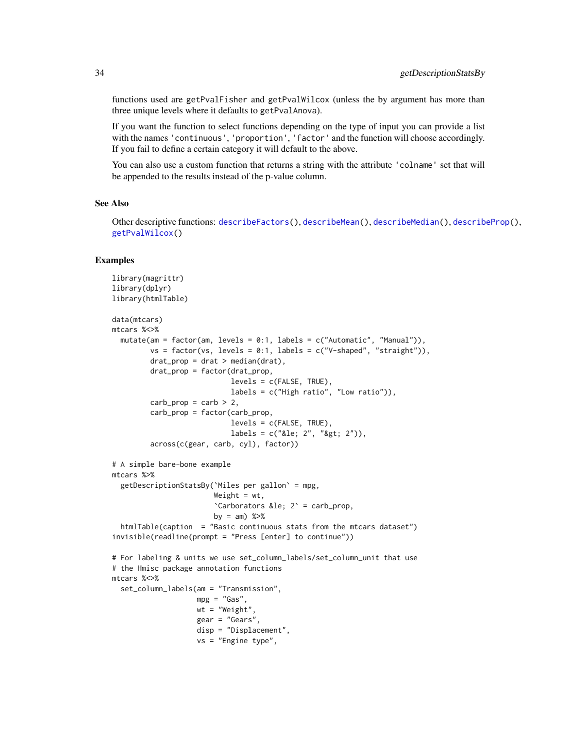functions used are getPvalFisher and getPvalWilcox (unless the by argument has more than three unique levels where it defaults to getPvalAnova).

If you want the function to select functions depending on the type of input you can provide a list with the names 'continuous', 'proportion', 'factor' and the function will choose accordingly. If you fail to define a certain category it will default to the above.

You can also use a custom function that returns a string with the attribute 'colname' set that will be appended to the results instead of the p-value column.

# See Also

Other descriptive functions: [describeFactors\(](#page-17-1)), [describeMean\(](#page-19-1)), [describeMedian\(](#page-20-1)), [describeProp\(](#page-22-1)), [getPvalWilcox\(](#page-35-1))

```
library(magrittr)
library(dplyr)
library(htmlTable)
data(mtcars)
mtcars %<>%
  mutate(am = factor(am, levels = 0:1, labels = c("Automatic", "Manual")),
         vs = factor(vs, levels = 0:1, labels = c("V-shaped", "straight")),
         drat\_prop = drat > median(drat),
         drat_prop = factor(drat_prop,
                            levels = c(FALSE, TRUE),
                            labels = c("High ratio", "Low ratio")),
         carb\_prop = carb > 2,
         carb_prop = factor(carb_prop,
                            levels = c(FALSE, TRUE),
                            labels = c("≤ 2", ">; 2")),
         across(c(gear, carb, cyl), factor))
# A simple bare-bone example
mtcars %>%
  getDescriptionStatsBy(`Miles per gallon` = mpg,
                        Weight = wt,
                        'Carborators ≤ 2' = \text{carb\_prop},
                        by = am) %>%
  htmlTable(caption = "Basic continuous stats from the mtcars dataset")
invisible(readline(prompt = "Press [enter] to continue"))
# For labeling & units we use set_column_labels/set_column_unit that use
# the Hmisc package annotation functions
mtcars %<>%
  set_column_labels(am = "Transmission",
                    mpg = "Gas",wt = "Weight",gear = "Gears",
                    disp = "Displacement",
                    vs = "Engine type",
```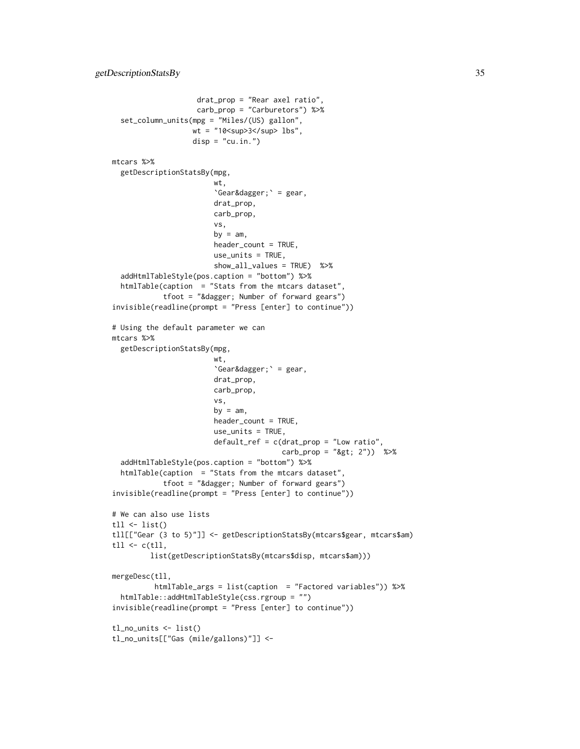```
drat_prop = "Rear axel ratio",
                    carb_prop = "Carburetors") %>%
 set_column_units(mpg = "Miles/(US) gallon",
                   wt = "10<sup>3</sup> lbs",
                   disp = "cu.in."mtcars %>%
 getDescriptionStatsBy(mpg,
                        wt,
                        \degreeGear†\degree = gear,
                        drat_prop,
                        carb_prop,
                        vs,
                        by = am,
                        header_count = TRUE,
                        use_units = TRUE,
                        show_all_values = TRUE) %>%
 addHtmlTableStyle(pos.caption = "bottom") %>%
 htmlTable(caption = "Stats from the mtcars dataset",
            tfoot = "&<i>diager</i>; Number of forward years")invisible(readline(prompt = "Press [enter] to continue"))
# Using the default parameter we can
mtcars %>%
 getDescriptionStatsBy(mpg,
                        wt,
                        \text{`Gear&dagger}; \text{' = gear},drat_prop,
                        carb_prop,
                        vs,
                        by = am,
                        header_count = TRUE,
                        use_units = TRUE,
                        default_ref = c(drat_prop = "Low ratio",
                                        carb\_prop = "8gt; 2") %>%
 addHtmlTableStyle(pos.caption = "bottom") %>%
 htmlTable(caption = "Stats from the mtcars dataset",
            tfoot = "† Number of forward gears")
invisible(readline(prompt = "Press [enter] to continue"))
# We can also use lists
tll \leftarrow list()
tll[["Gear (3 to 5)"]] <- getDescriptionStatsBy(mtcars$gear, mtcars$am)
tll \leq c(tll,
         list(getDescriptionStatsBy(mtcars$disp, mtcars$am)))
mergeDesc(tll,
          htmlTable_args = list(caption = "Factored variables")) %>%
 htmlTable::addHtmlTableStyle(css.rgroup = "")
invisible(readline(prompt = "Press [enter] to continue"))
tl_no_units <- list()
tl_no_units[["Gas (mile/gallons)"]] <-
```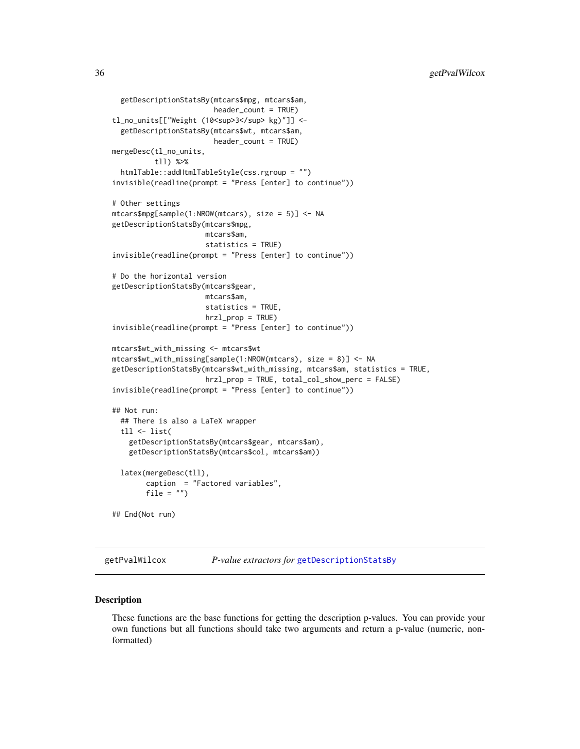```
getDescriptionStatsBy(mtcars$mpg, mtcars$am,
                        header_count = TRUE)
tl_no_units[["Weight (10<sup>3</sup> kg)"]] <-
 getDescriptionStatsBy(mtcars$wt, mtcars$am,
                        header_count = TRUE)
mergeDesc(tl_no_units,
          tll) %>%
 htmlTable::addHtmlTableStyle(css.rgroup = "")
invisible(readline(prompt = "Press [enter] to continue"))
# Other settings
mtcars$mpg[sample(1:NROW(mtcars), size = 5)] <- NA
getDescriptionStatsBy(mtcars$mpg,
                      mtcars$am,
                      statistics = TRUE)
invisible(readline(prompt = "Press [enter] to continue"))
# Do the horizontal version
getDescriptionStatsBy(mtcars$gear,
                      mtcars$am,
                      statistics = TRUE,
                      hrzl_prop = TRUE)
invisible(readline(prompt = "Press [enter] to continue"))
mtcars$wt_with_missing <- mtcars$wt
mtcars$wt_with_missing[sample(1:NROW(mtcars), size = 8)] <- NA
getDescriptionStatsBy(mtcars$wt_with_missing, mtcars$am, statistics = TRUE,
                      hrzl_prop = TRUE, total_col_show_perc = FALSE)
invisible(readline(prompt = "Press [enter] to continue"))
## Not run:
 ## There is also a LaTeX wrapper
 tll <- list(
   getDescriptionStatsBy(mtcars$gear, mtcars$am),
   getDescriptionStatsBy(mtcars$col, mtcars$am))
 latex(mergeDesc(tll),
       caption = "Factored variables",
       file = "")## End(Not run)
```
<span id="page-35-1"></span>getPvalWilcox *P-value extractors for* [getDescriptionStatsBy](#page-30-1)

#### <span id="page-35-2"></span>Description

These functions are the base functions for getting the description p-values. You can provide your own functions but all functions should take two arguments and return a p-value (numeric, nonformatted)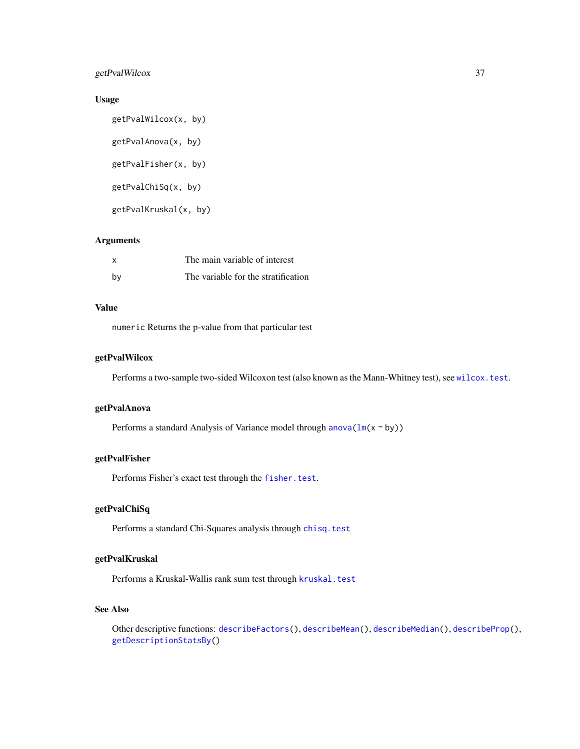## getPvalWilcox 37

## Usage

getPvalWilcox(x, by) getPvalAnova(x, by) getPvalFisher(x, by) getPvalChiSq(x, by) getPvalKruskal(x, by)

### Arguments

| x  | The main variable of interest       |
|----|-------------------------------------|
| bv | The variable for the stratification |

## Value

numeric Returns the p-value from that particular test

## getPvalWilcox

Performs a two-sample two-sided Wilcoxon test (also known as the Mann-Whitney test), see [wilcox.test](#page-0-0).

## getPvalAnova

Performs a standard Analysis of Variance model through anova $(\ln(x \sim by))$ 

### getPvalFisher

Performs Fisher's exact test through the [fisher.test](#page-0-0).

## getPvalChiSq

Performs a standard Chi-Squares analysis through [chisq.test](#page-0-0)

#### getPvalKruskal

Performs a Kruskal-Wallis rank sum test through [kruskal.test](#page-0-0)

### See Also

Other descriptive functions: [describeFactors\(](#page-17-0)), [describeMean\(](#page-19-0)), [describeMedian\(](#page-20-0)), [describeProp\(](#page-22-0)), [getDescriptionStatsBy\(](#page-30-0))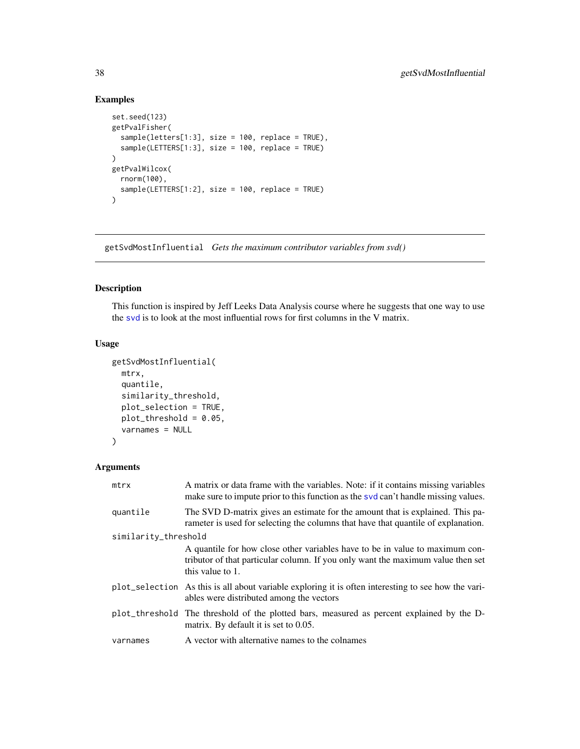## Examples

```
set.seed(123)
getPvalFisher(
  sample(letters[1:3], size = 100, replace = TRUE),
  sample(LETTERS[1:3], size = 100, replace = TRUE)
\lambdagetPvalWilcox(
  rnorm(100),
  sample(LETTERS[1:2], size = 100, replace = TRUE)
\lambda
```
getSvdMostInfluential *Gets the maximum contributor variables from svd()*

## Description

This function is inspired by Jeff Leeks Data Analysis course where he suggests that one way to use the [svd](#page-0-0) is to look at the most influential rows for first columns in the V matrix.

## Usage

```
getSvdMostInfluential(
 mtrx,
  quantile,
  similarity_threshold,
 plot_selection = TRUE,
 plot_threshold = 0.05,
  varnames = NULL
)
```
## Arguments

| mtrx                 | A matrix or data frame with the variables. Note: if it contains missing variables<br>make sure to impute prior to this function as the syd can't handle missing values.             |  |
|----------------------|-------------------------------------------------------------------------------------------------------------------------------------------------------------------------------------|--|
| quantile             | The SVD D-matrix gives an estimate for the amount that is explained. This pa-<br>rameter is used for selecting the columns that have that quantile of explanation.                  |  |
| similarity_threshold |                                                                                                                                                                                     |  |
|                      | A quantile for how close other variables have to be in value to maximum con-<br>tributor of that particular column. If you only want the maximum value then set<br>this value to 1. |  |
|                      | plot_selection As this is all about variable exploring it is often interesting to see how the vari-<br>ables were distributed among the vectors                                     |  |
|                      | plot_threshold The threshold of the plotted bars, measured as percent explained by the D-<br>matrix. By default it is set to $0.05$ .                                               |  |
| varnames             | A vector with alternative names to the colnames                                                                                                                                     |  |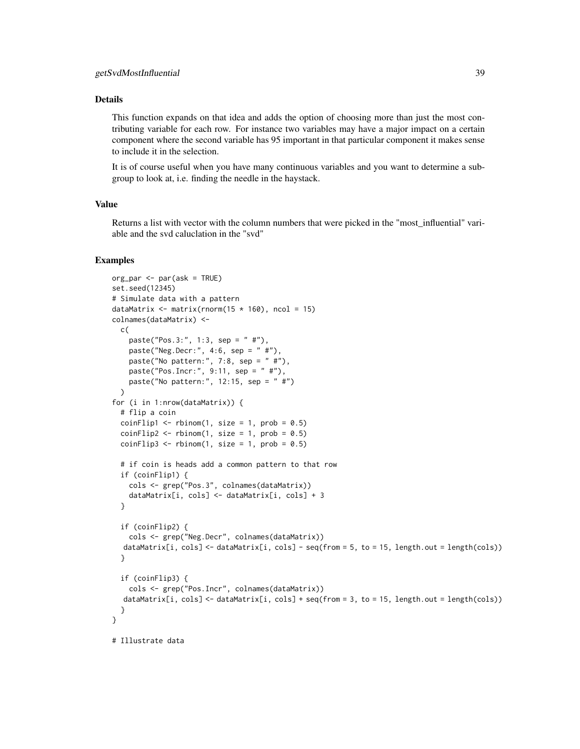#### Details

This function expands on that idea and adds the option of choosing more than just the most contributing variable for each row. For instance two variables may have a major impact on a certain component where the second variable has 95 important in that particular component it makes sense to include it in the selection.

It is of course useful when you have many continuous variables and you want to determine a subgroup to look at, i.e. finding the needle in the haystack.

#### Value

Returns a list with vector with the column numbers that were picked in the "most\_influential" variable and the svd caluclation in the "svd"

```
org_par <- par(ask = TRUE)
set.seed(12345)
# Simulate data with a pattern
dataMatrix \leq matrix(rnorm(15 \star 160), ncol = 15)
colnames(dataMatrix) <-
 c(
    paste("Pos.3:", 1:3, sep = " #"),
   paste("Neg.Decr:", 4:6, sep = " #"),
    paste("No pattern:", 7:8, sep = " #"),
   paste("Pos.Incr:", 9:11, sep = " #"),
   paste("No pattern:", 12:15, sep = " #")
 \lambdafor (i in 1:nrow(dataMatrix)) {
 # flip a coin
 coinFlip1 \le rbinom(1, size = 1, prob = 0.5)
 coinFlip2 \leq rbinom(1, size = 1, prob = 0.5)coinFlip3 \leq rbinom(1, size = 1, prob = 0.5)# if coin is heads add a common pattern to that row
 if (coinFlip1) {
    cols <- grep("Pos.3", colnames(dataMatrix))
    dataMatrix[i, cols] <- dataMatrix[i, cols] + 3
 }
 if (coinFlip2) {
    cols <- grep("Neg.Decr", colnames(dataMatrix))
  dataMatrix[i, cols] <- dataMatrix[i, cols] - seq(from = 5, to = 15, length.out = length(cols))
 }
 if (coinFlip3) {
    cols <- grep("Pos.Incr", colnames(dataMatrix))
  dataMatrix[i, cols] \leq dataMatrix[i, cols] + seq(from = 3, to = 15, length.out = length(cols))
 }
}
# Illustrate data
```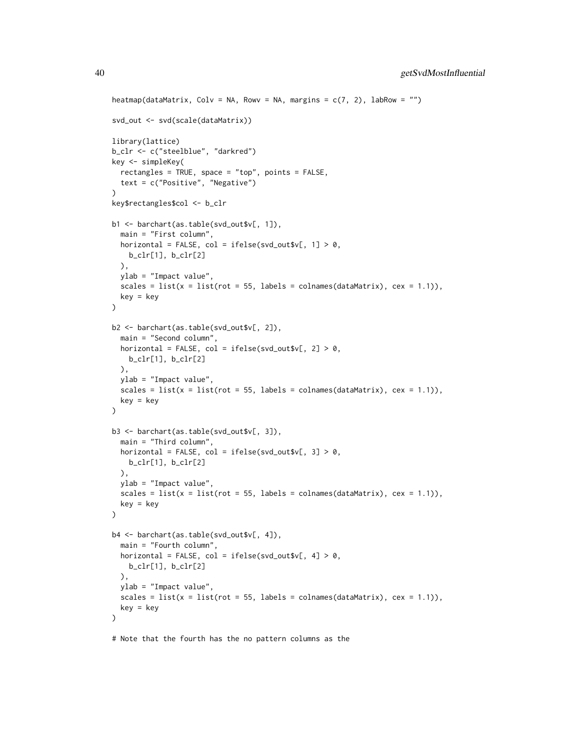```
heatmap(dataMatrix, Colv = NA, Rowv = NA, margins = c(7, 2), labRow = "")
svd_out <- svd(scale(dataMatrix))
library(lattice)
b_clr <- c("steelblue", "darkred")
key <- simpleKey(
 rectangles = TRUE, space = "top", points = FALSE,
  text = c("Positive", "Negative")
\lambdakey$rectangles$col <- b_clr
b1 <- barchart(as.table(svd_out$v[, 1]),
  main = "First column",
  horizontal = FALSE, col = ifelse(svd_out $v[, 1] > 0,
   b_clr[1], b_clr[2]
  ),
 ylab = "Impact value",
  scales = list(x = list(rot = 55, labels = colnames(dataMatrix), cex = 1.1)),
  key = key
\mathcal{L}b2 <- barchart(as.table(svd_out$v[, 2]),
  main = "Second column",
  horizontal = FALSE, col = ifelse(svd_out $v[, 2] > 0,
   b_clr[1], b_clr[2]
  ),
  ylab = "Impact value",
  scales = list(x = list(root = 55, labels = colnames(dataMatrix), cex = 1.1)),key = key
)
b3 <- barchart(as.table(svd_out$v[, 3]),
  main = "Third column",
  horizontal = FALSE, col = ifelse(svd_out $v[, 3] > 0,
   b_clr[1], b_clr[2]
  ),
  ylab = "Impact value",
  scales = list(x = list(root = 55, labels = colnames(dataMatrix), cex = 1.1)),key = key
)
b4 <- barchart(as.table(svd_out$v[, 4]),
  main = "Fourth column",
 horizontal = FALSE, col = ifelse(svd_out $v[, 4] > 0,
   b_clr[1], b_clr[2]
  ),
 ylab = "Impact value",
  scales = list(x = list(root = 55, labels = colnames(dataMatrix), cex = 1.1)),key = key
\mathcal{L}
```
# Note that the fourth has the no pattern columns as the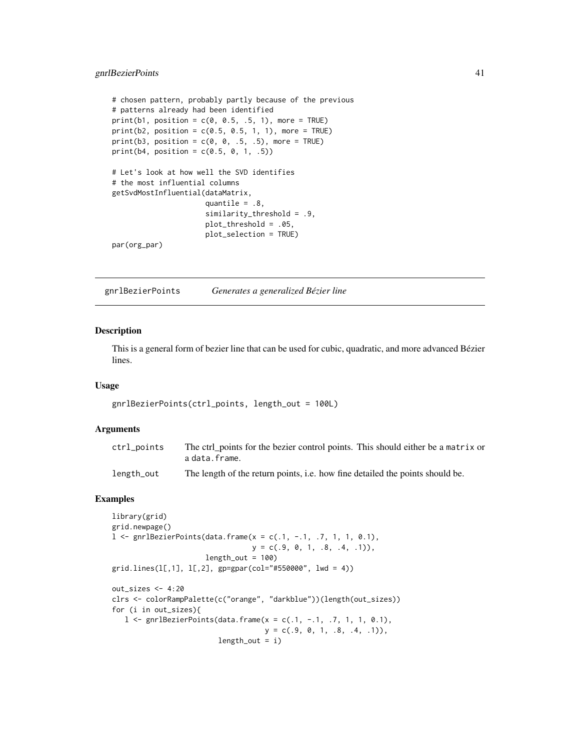### gnrlBezierPoints 41

```
# chosen pattern, probably partly because of the previous
# patterns already had been identified
print(b1, position = c(0, 0.5, .5, 1), more = TRUE)print(b2, position = c(0.5, 0.5, 1, 1), more = TRUE)print(b3, position = c(0, 0, .5, .5), more = TRUE)print(b4, position = c(0.5, 0, 1, .5))# Let's look at how well the SVD identifies
# the most influential columns
getSvdMostInfluential(dataMatrix,
                     quantile = .8,
                     similarity_threshold = .9,
                     plot_threshold = .05,
                     plot_selection = TRUE)
par(org_par)
```
gnrlBezierPoints *Generates a generalized Bézier line*

#### Description

This is a general form of bezier line that can be used for cubic, quadratic, and more advanced Bézier lines.

#### Usage

```
gnrlBezierPoints(ctrl_points, length_out = 100L)
```
#### Arguments

| ctrl_points | The ctrl points for the bezier control points. This should either be a matrix or<br>adata.frame. |
|-------------|--------------------------------------------------------------------------------------------------|
| length_out  | The length of the return points, <i>i.e.</i> how fine detailed the points should be.             |

```
library(grid)
grid.newpage()
1 \le gnrlBezierPoints(data.frame(x = c(.1, -.1, .7, 1, 1, 0.1),
                                y = c(.9, 0, 1, .8, .4, .1),
                      length_out = 100)
grid.lines(l[,1], l[,2], gp=gpar(col="#550000", lwd = 4))
out_sizes <- 4:20
clrs <- colorRampPalette(c("orange", "darkblue"))(length(out_sizes))
for (i in out_sizes){
  1 \le gnrlBezierPoints(data.frame(x = c(.1, -.1, .7, 1, 1, 0.1),
                                   y = c(.9, 0, 1, .8, .4, .1),
                         length_out = i)
```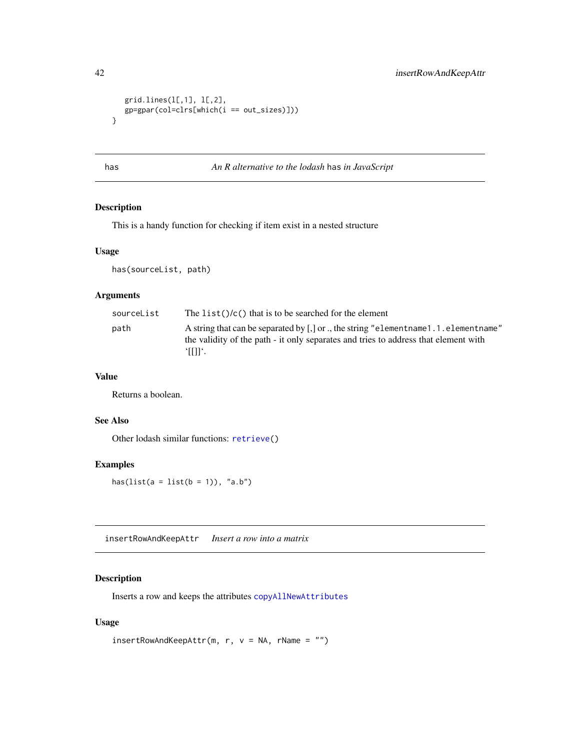```
grid.lines(l[,1], l[,2],
  gp=gpar(col=clrs[which(i == out_sizes)]))
}
```
<span id="page-41-0"></span>has *An R alternative to the lodash* has *in JavaScript*

## Description

This is a handy function for checking if item exist in a nested structure

#### Usage

has(sourceList, path)

## Arguments

| sourceList | The list( $\frac{1}{c}$ ) that is to be searched for the element                                                                                                                               |
|------------|------------------------------------------------------------------------------------------------------------------------------------------------------------------------------------------------|
| path       | A string that can be separated by $\lceil$ , or ., the string "element name 1.1. element name"<br>the validity of the path - it only separates and tries to address that element with<br>'⊞l'. |

#### Value

Returns a boolean.

#### See Also

Other lodash similar functions: [retrieve\(](#page-59-0))

#### Examples

has( $list(a = list(b = 1)), "a.b")$ 

insertRowAndKeepAttr *Insert a row into a matrix*

#### Description

Inserts a row and keeps the attributes [copyAllNewAttributes](#page-15-0)

```
insertRowAndKeepAttr(m, r, v = NA, rName = ''")
```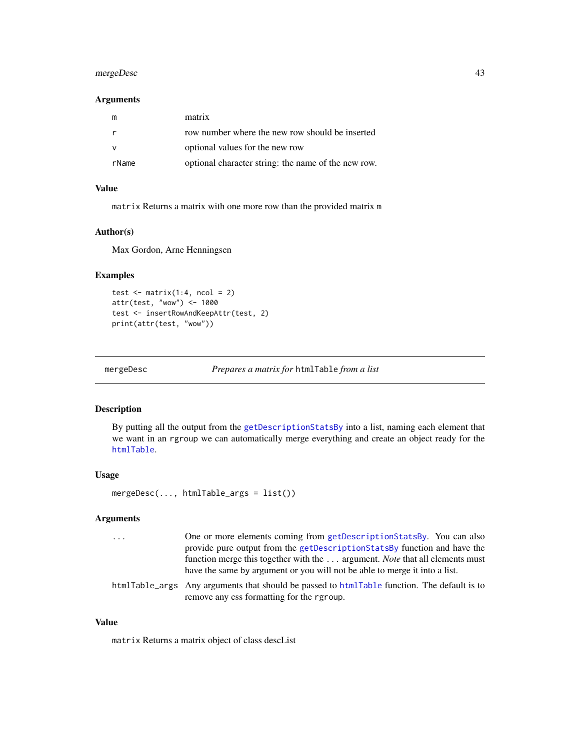## mergeDesc 43

#### Arguments

| m     | matrix                                              |
|-------|-----------------------------------------------------|
|       | row number where the new row should be inserted     |
|       | optional values for the new row                     |
| rName | optional character string: the name of the new row. |

## Value

matrix Returns a matrix with one more row than the provided matrix m

#### Author(s)

Max Gordon, Arne Henningsen

## Examples

```
test \leq matrix(1:4, ncol = 2)
attr(test, "wow") <- 1000
test <- insertRowAndKeepAttr(test, 2)
print(attr(test, "wow"))
```
mergeDesc *Prepares a matrix for* htmlTable *from a list*

### Description

By putting all the output from the [getDescriptionStatsBy](#page-30-0) into a list, naming each element that we want in an rgroup we can automatically merge everything and create an object ready for the [htmlTable](#page-0-0).

#### Usage

mergeDesc(..., htmlTable\_args = list())

#### Arguments

| $\cdots$ | One or more elements coming from getDescriptionStatsBy. You can also                        |
|----------|---------------------------------------------------------------------------------------------|
|          | provide pure output from the getDescriptionStatsBy function and have the                    |
|          | function merge this together with the  argument. <i>Note</i> that all elements must         |
|          | have the same by argument or you will not be able to merge it into a list.                  |
|          | htmlTable_args Any arguments that should be passed to htmlTable function. The default is to |

remove any css formatting for the rgroup.

#### Value

matrix Returns a matrix object of class descList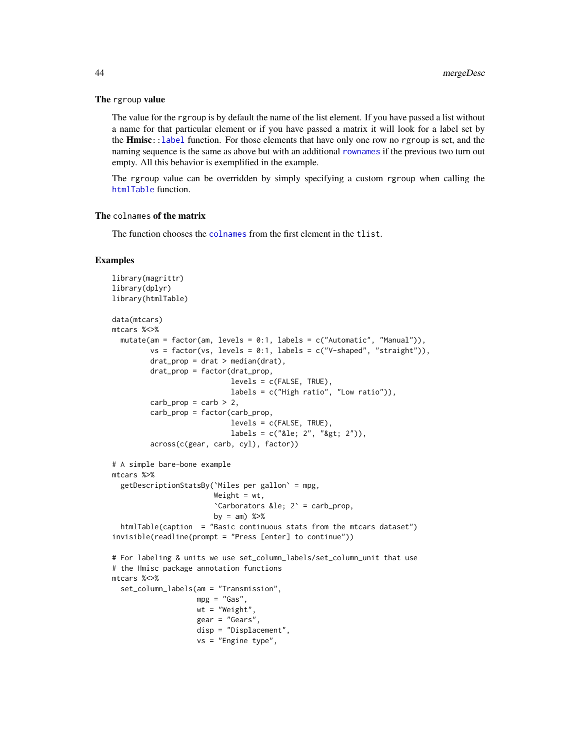#### The rgroup value

The value for the rgroup is by default the name of the list element. If you have passed a list without a name for that particular element or if you have passed a matrix it will look for a label set by the **Hmisc**:[:label](#page-0-0) function. For those elements that have only one row no rgroup is set, and the naming sequence is the same as above but with an additional [rownames](#page-0-0) if the previous two turn out empty. All this behavior is exemplified in the example.

The rgroup value can be overridden by simply specifying a custom rgroup when calling the [htmlTable](#page-0-0) function.

## The colnames of the matrix

The function chooses the [colnames](#page-0-0) from the first element in the tlist.

```
library(magrittr)
library(dplyr)
library(htmlTable)
data(mtcars)
mtcars %<>%
  mutate(am = factor(am, levels = 0:1, labels = c("Automatic", "Manual")),
        vs = factor(vs, levels = 0:1, labels = c("V-shaped", "straight")),
         drat\_prop = drat > median(drat),
        drat_prop = factor(drat_prop,
                            levels = c(FALSE, TRUE),
                            labels = c("High ratio", "Low ratio")),
         carb\_prop = carb > 2,
         carb_prop = factor(carb_prop,
                            levels = c(FALSE, TRUE),
                            labels = c("≤ 2", ">; 2")),
         across(c(gear, carb, cyl), factor))
# A simple bare-bone example
mtcars %>%
  getDescriptionStatsBy(`Miles per gallon` = mpg,
                        Weight = wt,
                        `Carborators ≤ 2` = carb_prop,
                       by = am) %>%
  htmlTable(caption = "Basic continuous stats from the mtcars dataset")
invisible(readline(prompt = "Press [enter] to continue"))
# For labeling & units we use set_column_labels/set_column_unit that use
# the Hmisc package annotation functions
mtcars %<>%
  set_column_labels(am = "Transmission",
                   mpg = "Gas",wt = "Weight",gear = "Gears",
                    disp = "Displacement",
                    vs = "Engine type",
```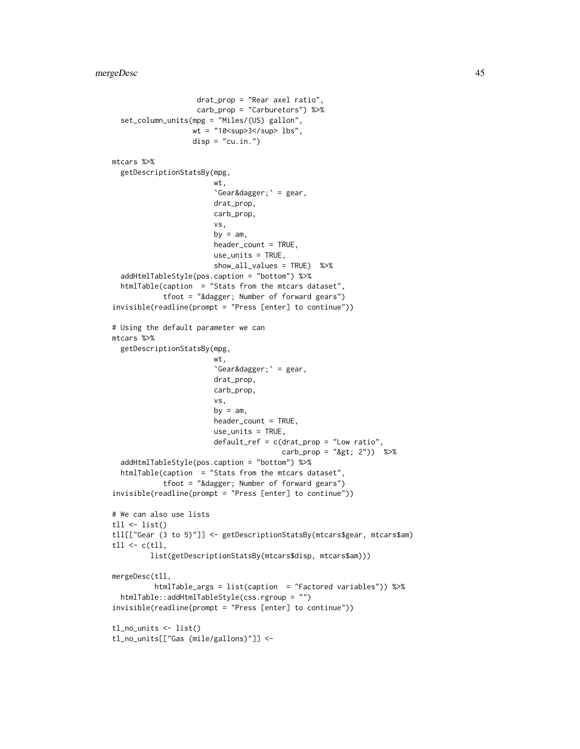```
drat_prop = "Rear axel ratio",
                    carb_prop = "Carburetors") %>%
 set_column_units(mpg = "Miles/(US) gallon",
                   wt = "10<sup>3</sup> lbs",
                   disp = "cu.in."mtcars %>%
 getDescriptionStatsBy(mpg,
                        wt,
                        \degreeGear†\degree = gear,
                        drat_prop,
                        carb_prop,
                        vs,
                        by = am,
                        header_count = TRUE,
                        use_units = TRUE,
                        show_all_values = TRUE) %>%
 addHtmlTableStyle(pos.caption = "bottom") %>%
 htmlTable(caption = "Stats from the mtcars dataset",
            tfoot = "&<i>diager</i>; Number of forward years")invisible(readline(prompt = "Press [enter] to continue"))
# Using the default parameter we can
mtcars %>%
 getDescriptionStatsBy(mpg,
                        wt,
                        \text{`Gear&dagger}; \text{' = gear},drat_prop,
                        carb_prop,
                        vs,
                        by = am,
                        header_count = TRUE,
                        use_units = TRUE,
                        default_ref = c(drat_prop = "Low ratio",
                                        carb\_prop = "8gt; 2") %>%
 addHtmlTableStyle(pos.caption = "bottom") %>%
 htmlTable(caption = "Stats from the mtcars dataset",
            tfoot = "† Number of forward gears")
invisible(readline(prompt = "Press [enter] to continue"))
# We can also use lists
tll \leftarrow list()
tll[["Gear (3 to 5)"]] <- getDescriptionStatsBy(mtcars$gear, mtcars$am)
tll \leq c(tll,
         list(getDescriptionStatsBy(mtcars$disp, mtcars$am)))
mergeDesc(tll,
          htmlTable_args = list(caption = "Factored variables")) %>%
 htmlTable::addHtmlTableStyle(css.rgroup = "")
invisible(readline(prompt = "Press [enter] to continue"))
tl_no_units <- list()
tl_no_units[["Gas (mile/gallons)"]] <-
```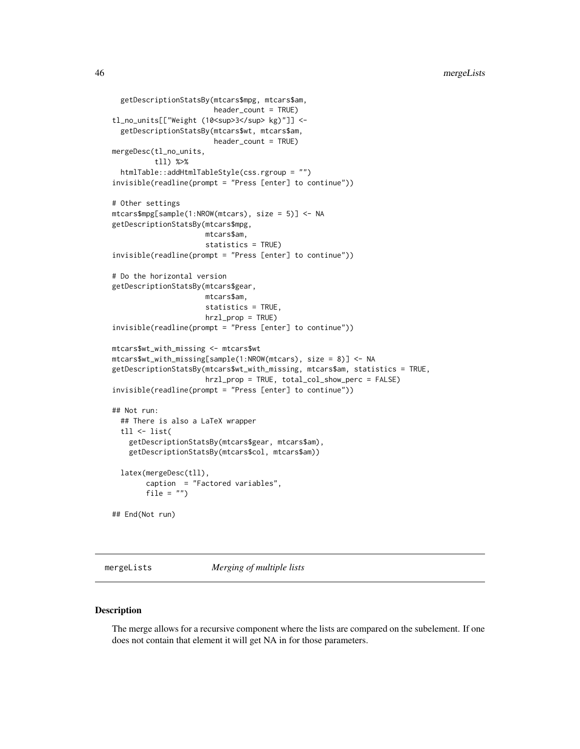```
getDescriptionStatsBy(mtcars$mpg, mtcars$am,
                        header_count = TRUE)
tl_no_units[["Weight (10<sup>3</sup> kg)"]] <-
 getDescriptionStatsBy(mtcars$wt, mtcars$am,
                        header_count = TRUE)
mergeDesc(tl_no_units,
          tll) %>%
 htmlTable::addHtmlTableStyle(css.rgroup = "")
invisible(readline(prompt = "Press [enter] to continue"))
# Other settings
mtcars$mpg[sample(1:NROW(mtcars), size = 5)] <- NA
getDescriptionStatsBy(mtcars$mpg,
                      mtcars$am,
                      statistics = TRUE)
invisible(readline(prompt = "Press [enter] to continue"))
# Do the horizontal version
getDescriptionStatsBy(mtcars$gear,
                      mtcars$am,
                      statistics = TRUE,
                      hrzl_prop = TRUE)
invisible(readline(prompt = "Press [enter] to continue"))
mtcars$wt_with_missing <- mtcars$wt
mtcars$wt_with_missing[sample(1:NROW(mtcars), size = 8)] <- NA
getDescriptionStatsBy(mtcars$wt_with_missing, mtcars$am, statistics = TRUE,
                      hrzl_prop = TRUE, total_col_show_perc = FALSE)
invisible(readline(prompt = "Press [enter] to continue"))
## Not run:
 ## There is also a LaTeX wrapper
 tll <- list(
   getDescriptionStatsBy(mtcars$gear, mtcars$am),
   getDescriptionStatsBy(mtcars$col, mtcars$am))
 latex(mergeDesc(tll),
       caption = "Factored variables",
       file = "")## End(Not run)
```
mergeLists *Merging of multiple lists*

#### Description

The merge allows for a recursive component where the lists are compared on the subelement. If one does not contain that element it will get NA in for those parameters.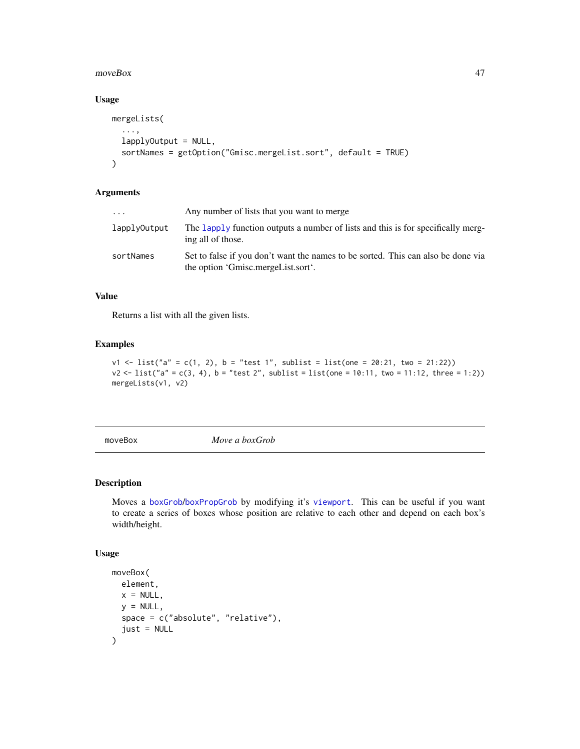#### moveBox 47

### Usage

```
mergeLists(
  ...,
  lapplyOutput = NULL,
  sortNames = getOption("Gmisc.mergeList.sort", default = TRUE)
\mathcal{L}
```
## Arguments

| .            | Any number of lists that you want to merge                                                                             |
|--------------|------------------------------------------------------------------------------------------------------------------------|
| lapplyOutput | The lapply function outputs a number of lists and this is for specifically merg-<br>ing all of those.                  |
| sortNames    | Set to false if you don't want the names to be sorted. This can also be done via<br>the option 'Gmisc.mergeList.sort'. |

## Value

Returns a list with all the given lists.

### Examples

```
v1 \leq list("a" = c(1, 2), b = "test 1", sublist = list(one = 20:21, two = 21:22))v2 < - list("a" = c(3, 4), b = "test 2", sublist = list(one = 10:11, two = 11:12, three = 1:2))
mergeLists(v1, v2)
```
<span id="page-46-0"></span>moveBox *Move a boxGrob*

## Description

Moves a [boxGrob](#page-8-0)/[boxPropGrob](#page-9-0) by modifying it's [viewport](#page-0-0). This can be useful if you want to create a series of boxes whose position are relative to each other and depend on each box's width/height.

```
moveBox(
  element,
  x = NULL,y = NULL,
  space = c("absolute", "relative"),
  just = NULL\mathcal{E}
```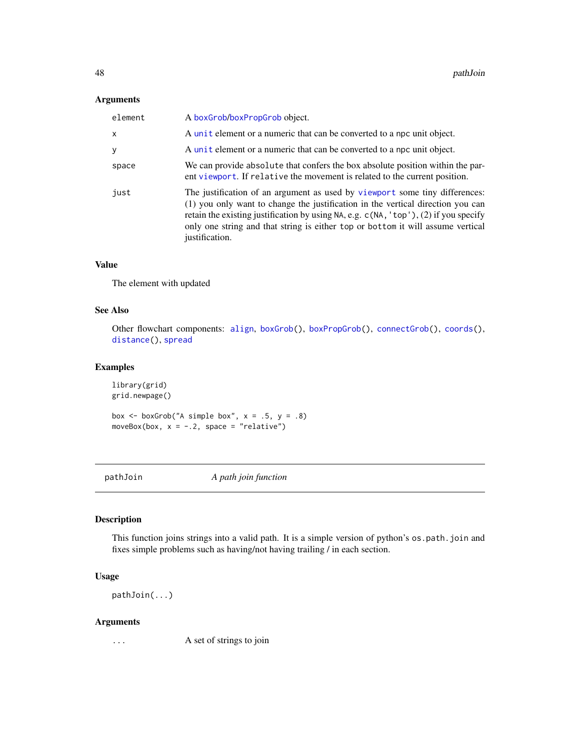### Arguments

| element | A boxGrob/boxPropGrob object.                                                                                                                                                                                                                                                                                                                               |
|---------|-------------------------------------------------------------------------------------------------------------------------------------------------------------------------------------------------------------------------------------------------------------------------------------------------------------------------------------------------------------|
| X       | A unit element or a numeric that can be converted to a npc unit object.                                                                                                                                                                                                                                                                                     |
| У       | A unit element or a numeric that can be converted to a npc unit object.                                                                                                                                                                                                                                                                                     |
| space   | We can provide absolute that confers the box absolute position within the par-<br>ent viewport. If relative the movement is related to the current position.                                                                                                                                                                                                |
| just    | The justification of an argument as used by viewport some tiny differences:<br>(1) you only want to change the justification in the vertical direction you can<br>retain the existing justification by using NA, e.g. c(NA, 'top'), (2) if you specify<br>only one string and that string is either top or bottom it will assume vertical<br>justification. |

## Value

The element with updated

## See Also

Other flowchart components: [align](#page-3-0), [boxGrob\(](#page-8-0)), [boxPropGrob\(](#page-9-0)), [connectGrob\(](#page-12-0)), [coords\(](#page-15-1)), [distance\(](#page-23-0)), [spread](#page-61-0)

## Examples

library(grid) grid.newpage()

box  $\le$  boxGrob("A simple box",  $x = .5$ ,  $y = .8$ ) moveBox(box,  $x = -.2$ , space = "relative")

pathJoin *A path join function*

## Description

This function joins strings into a valid path. It is a simple version of python's os.path.join and fixes simple problems such as having/not having trailing / in each section.

## Usage

pathJoin(...)

#### Arguments

... A set of strings to join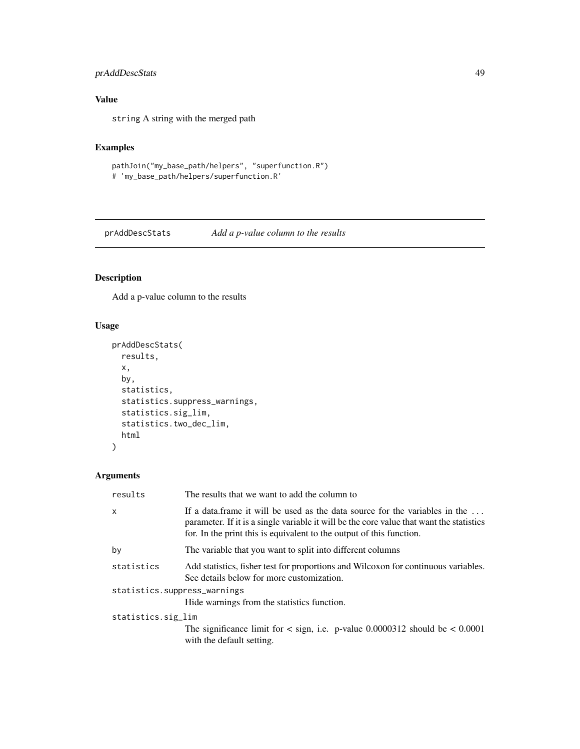## prAddDescStats 49

# Value

string A string with the merged path

## Examples

```
pathJoin("my_base_path/helpers", "superfunction.R")
# 'my_base_path/helpers/superfunction.R'
```
prAddDescStats *Add a p-value column to the results*

## Description

Add a p-value column to the results

## Usage

```
prAddDescStats(
  results,
  x,
 by,
  statistics,
 statistics.suppress_warnings,
 statistics.sig_lim,
  statistics.two_dec_lim,
 html
)
```
## Arguments

| results                      | The results that we want to add the column to                                                                                                                                                                                                   |  |
|------------------------------|-------------------------------------------------------------------------------------------------------------------------------------------------------------------------------------------------------------------------------------------------|--|
| x                            | If a data frame it will be used as the data source for the variables in the<br>parameter. If it is a single variable it will be the core value that want the statistics<br>for. In the print this is equivalent to the output of this function. |  |
| by                           | The variable that you want to split into different columns                                                                                                                                                                                      |  |
| statistics                   | Add statistics, fisher test for proportions and Wilcoxon for continuous variables.<br>See details below for more customization.                                                                                                                 |  |
| statistics.suppress_warnings |                                                                                                                                                                                                                                                 |  |
|                              | Hide warnings from the statistics function.                                                                                                                                                                                                     |  |
| statistics.sig_lim           |                                                                                                                                                                                                                                                 |  |
|                              | The significance limit for $\langle$ sign, i.e. p-value 0.0000312 should be $\langle$ 0.0001<br>with the default setting.                                                                                                                       |  |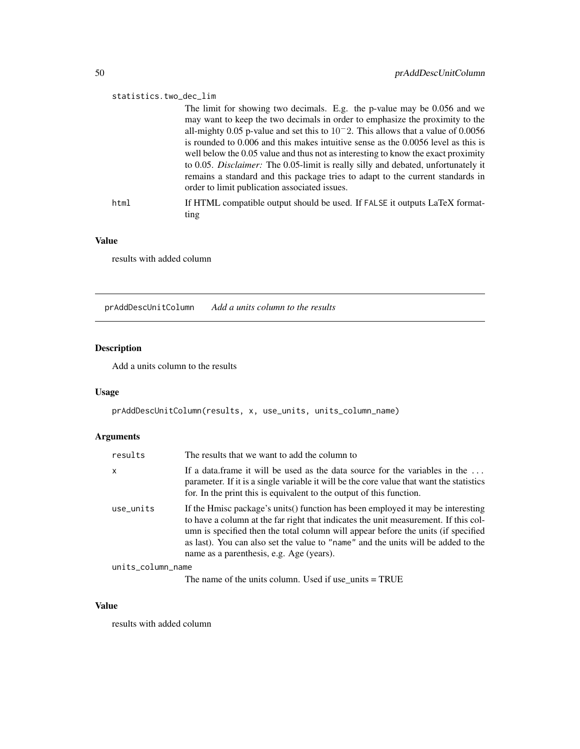#### statistics.two\_dec\_lim

The limit for showing two decimals. E.g. the p-value may be 0.056 and we may want to keep the two decimals in order to emphasize the proximity to the all-mighty 0.05 p-value and set this to 10−2. This allows that a value of 0.0056 is rounded to 0.006 and this makes intuitive sense as the 0.0056 level as this is well below the 0.05 value and thus not as interesting to know the exact proximity to 0.05. *Disclaimer:* The 0.05-limit is really silly and debated, unfortunately it remains a standard and this package tries to adapt to the current standards in order to limit publication associated issues.

html If HTML compatible output should be used. If FALSE it outputs LaTeX formatting

#### Value

results with added column

prAddDescUnitColumn *Add a units column to the results*

#### Description

Add a units column to the results

#### Usage

```
prAddDescUnitColumn(results, x, use_units, units_column_name)
```
#### Arguments

| results           | The results that we want to add the column to                                                                                                                                                                                                                                                                                                                                                |
|-------------------|----------------------------------------------------------------------------------------------------------------------------------------------------------------------------------------------------------------------------------------------------------------------------------------------------------------------------------------------------------------------------------------------|
| x                 | If a data.frame it will be used as the data source for the variables in the<br>parameter. If it is a single variable it will be the core value that want the statistics<br>for. In the print this is equivalent to the output of this function.                                                                                                                                              |
| use units         | If the Hmisc package's units() function has been employed it may be interesting<br>to have a column at the far right that indicates the unit measurement. If this col-<br>umn is specified then the total column will appear before the units (if specified<br>as last). You can also set the value to "name" and the units will be added to the<br>name as a parenthesis, e.g. Age (years). |
| units_column_name |                                                                                                                                                                                                                                                                                                                                                                                              |

The name of the units column. Used if use\_units = TRUE

#### Value

results with added column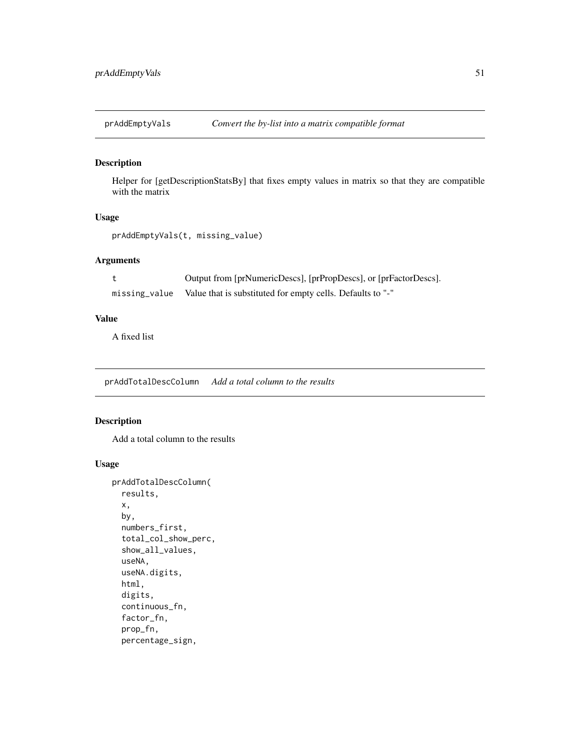prAddEmptyVals *Convert the by-list into a matrix compatible format*

## Description

Helper for [getDescriptionStatsBy] that fixes empty values in matrix so that they are compatible with the matrix

### Usage

```
prAddEmptyVals(t, missing_value)
```
#### Arguments

|               | Output from [prNumericDescs], [prPropDescs], or [prFactorDescs]. |
|---------------|------------------------------------------------------------------|
| missing_value | Value that is substituted for empty cells. Defaults to "-"       |

### Value

A fixed list

prAddTotalDescColumn *Add a total column to the results*

## Description

Add a total column to the results

```
prAddTotalDescColumn(
  results,
 x,
 by,
 numbers_first,
  total_col_show_perc,
  show_all_values,
 useNA,
 useNA.digits,
 html,
 digits,
  continuous_fn,
  factor_fn,
 prop_fn,
 percentage_sign,
```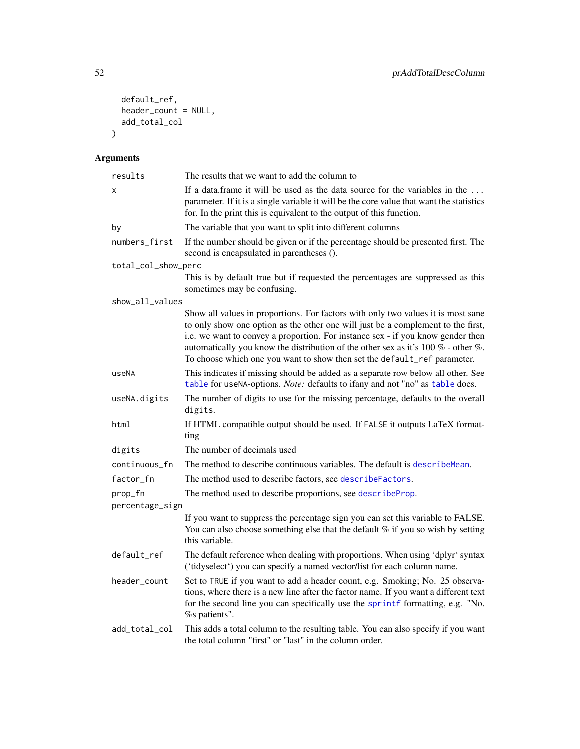```
default_ref,
  header_count = NULL,
  add_total_col
\mathcal{L}
```
# Arguments

| results             | The results that we want to add the column to                                                                                                                                                                                                                                                                                                                                                                              |
|---------------------|----------------------------------------------------------------------------------------------------------------------------------------------------------------------------------------------------------------------------------------------------------------------------------------------------------------------------------------------------------------------------------------------------------------------------|
| х                   | If a data frame it will be used as the data source for the variables in the<br>parameter. If it is a single variable it will be the core value that want the statistics<br>for. In the print this is equivalent to the output of this function.                                                                                                                                                                            |
| by                  | The variable that you want to split into different columns                                                                                                                                                                                                                                                                                                                                                                 |
| numbers_first       | If the number should be given or if the percentage should be presented first. The<br>second is encapsulated in parentheses ().                                                                                                                                                                                                                                                                                             |
| total_col_show_perc |                                                                                                                                                                                                                                                                                                                                                                                                                            |
|                     | This is by default true but if requested the percentages are suppressed as this<br>sometimes may be confusing.                                                                                                                                                                                                                                                                                                             |
| show_all_values     |                                                                                                                                                                                                                                                                                                                                                                                                                            |
|                     | Show all values in proportions. For factors with only two values it is most sane<br>to only show one option as the other one will just be a complement to the first,<br>i.e. we want to convey a proportion. For instance sex - if you know gender then<br>automatically you know the distribution of the other sex as it's $100\%$ - other %.<br>To choose which one you want to show then set the default_ref parameter. |
| useNA               | This indicates if missing should be added as a separate row below all other. See<br>table for useNA-options. Note: defaults to ifany and not "no" as table does.                                                                                                                                                                                                                                                           |
| useNA.digits        | The number of digits to use for the missing percentage, defaults to the overall<br>digits.                                                                                                                                                                                                                                                                                                                                 |
| html                | If HTML compatible output should be used. If FALSE it outputs LaTeX format-<br>ting                                                                                                                                                                                                                                                                                                                                        |
| digits              | The number of decimals used                                                                                                                                                                                                                                                                                                                                                                                                |
| continuous_fn       | The method to describe continuous variables. The default is describe Mean.                                                                                                                                                                                                                                                                                                                                                 |
| factor_fn           | The method used to describe factors, see describeFactors.                                                                                                                                                                                                                                                                                                                                                                  |
| prop_fn             | The method used to describe proportions, see describeProp.                                                                                                                                                                                                                                                                                                                                                                 |
| percentage_sign     |                                                                                                                                                                                                                                                                                                                                                                                                                            |
|                     | If you want to suppress the percentage sign you can set this variable to FALSE.<br>You can also choose something else that the default $%$ if you so wish by setting<br>this variable.                                                                                                                                                                                                                                     |
| default_ref         | The default reference when dealing with proportions. When using 'dplyr' syntax<br>('tidyselect') you can specify a named vector/list for each column name.                                                                                                                                                                                                                                                                 |
| header_count        | Set to TRUE if you want to add a header count, e.g. Smoking; No. 25 observa-<br>tions, where there is a new line after the factor name. If you want a different text<br>for the second line you can specifically use the sprintf formatting, e.g. "No.<br>% patients".                                                                                                                                                     |
| add_total_col       | This adds a total column to the resulting table. You can also specify if you want<br>the total column "first" or "last" in the column order.                                                                                                                                                                                                                                                                               |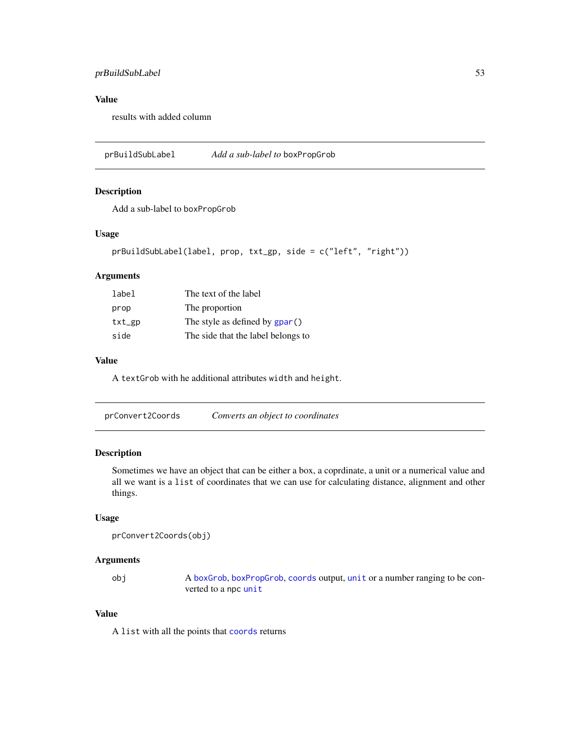## prBuildSubLabel 53

## Value

results with added column

prBuildSubLabel *Add a sub-label to* boxPropGrob

### Description

Add a sub-label to boxPropGrob

### Usage

```
prBuildSubLabel(label, prop, txt_gp, side = c("left", "right"))
```
## Arguments

| label  | The text of the label              |
|--------|------------------------------------|
| prop   | The proportion                     |
| txt_gp | The style as defined by $gpar()$   |
| side   | The side that the label belongs to |

#### Value

A textGrob with he additional attributes width and height.

| prConvert2Coords | Converts an object to coordinates |
|------------------|-----------------------------------|
|                  |                                   |

### Description

Sometimes we have an object that can be either a box, a coprdinate, a unit or a numerical value and all we want is a list of coordinates that we can use for calculating distance, alignment and other things.

### Usage

```
prConvert2Coords(obj)
```
#### Arguments

obj A [boxGrob](#page-8-0), [boxPropGrob](#page-9-0), [coords](#page-15-1) output, [unit](#page-0-0) or a number ranging to be converted to a npc [unit](#page-0-0)

## Value

A list with all the points that [coords](#page-15-1) returns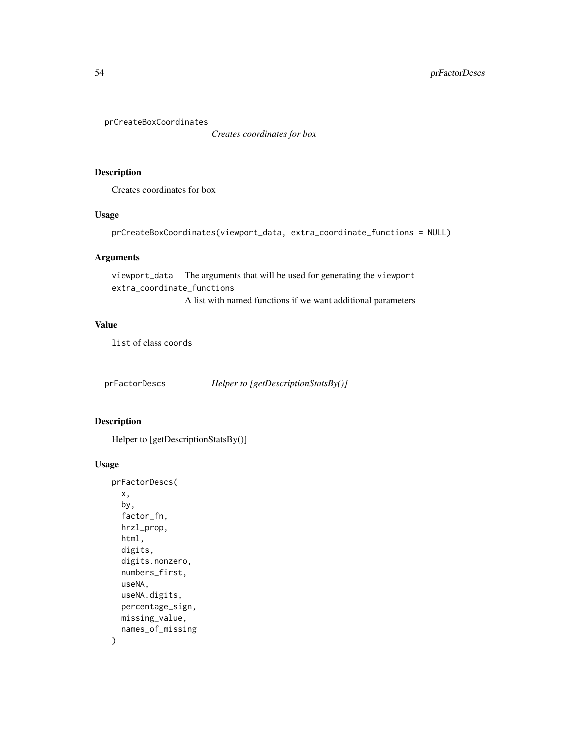prCreateBoxCoordinates

*Creates coordinates for box*

### Description

Creates coordinates for box

#### Usage

prCreateBoxCoordinates(viewport\_data, extra\_coordinate\_functions = NULL)

#### Arguments

viewport\_data The arguments that will be used for generating the viewport extra\_coordinate\_functions A list with named functions if we want additional parameters

## Value

list of class coords

prFactorDescs *Helper to [getDescriptionStatsBy()]*

## Description

Helper to [getDescriptionStatsBy()]

```
prFactorDescs(
  x,
 by,
 factor_fn,
 hrzl_prop,
 html,
 digits,
  digits.nonzero,
 numbers_first,
  useNA,
 useNA.digits,
 percentage_sign,
 missing_value,
 names_of_missing
)
```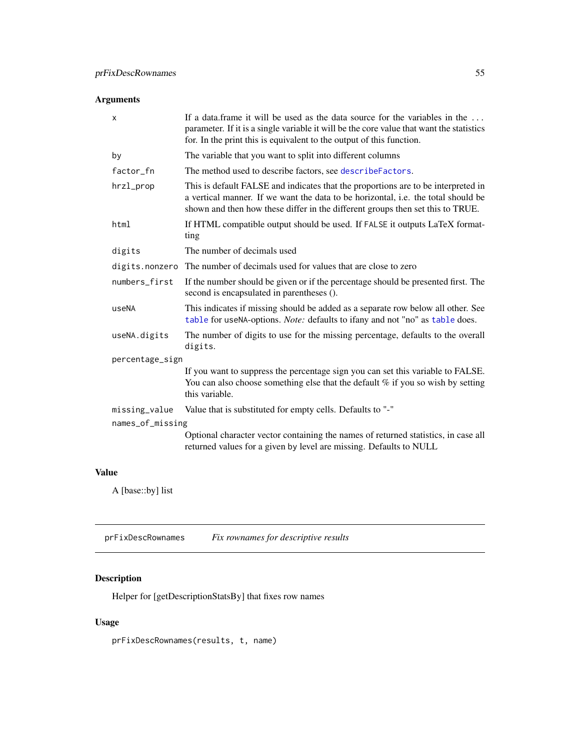## Arguments

| X                | If a data.frame it will be used as the data source for the variables in the<br>parameter. If it is a single variable it will be the core value that want the statistics<br>for. In the print this is equivalent to the output of this function.          |
|------------------|----------------------------------------------------------------------------------------------------------------------------------------------------------------------------------------------------------------------------------------------------------|
| by               | The variable that you want to split into different columns                                                                                                                                                                                               |
| factor_fn        | The method used to describe factors, see describe Factors.                                                                                                                                                                                               |
| hrzl_prop        | This is default FALSE and indicates that the proportions are to be interpreted in<br>a vertical manner. If we want the data to be horizontal, i.e. the total should be<br>shown and then how these differ in the different groups then set this to TRUE. |
| html             | If HTML compatible output should be used. If FALSE it outputs LaTeX format-<br>ting                                                                                                                                                                      |
| digits           | The number of decimals used                                                                                                                                                                                                                              |
| digits.nonzero   | The number of decimals used for values that are close to zero                                                                                                                                                                                            |
| numbers_first    | If the number should be given or if the percentage should be presented first. The<br>second is encapsulated in parentheses ().                                                                                                                           |
| useNA            | This indicates if missing should be added as a separate row below all other. See<br>table for useNA-options. Note: defaults to ifany and not "no" as table does.                                                                                         |
| useNA.digits     | The number of digits to use for the missing percentage, defaults to the overall<br>digits.                                                                                                                                                               |
| percentage_sign  |                                                                                                                                                                                                                                                          |
|                  | If you want to suppress the percentage sign you can set this variable to FALSE.<br>You can also choose something else that the default $%$ if you so wish by setting<br>this variable.                                                                   |
| missing_value    | Value that is substituted for empty cells. Defaults to "-"                                                                                                                                                                                               |
| names_of_missing |                                                                                                                                                                                                                                                          |
|                  | Optional character vector containing the names of returned statistics, in case all<br>returned values for a given by level are missing. Defaults to NULL                                                                                                 |

## Value

A [base::by] list

prFixDescRownames *Fix rownames for descriptive results*

## Description

Helper for [getDescriptionStatsBy] that fixes row names

## Usage

prFixDescRownames(results, t, name)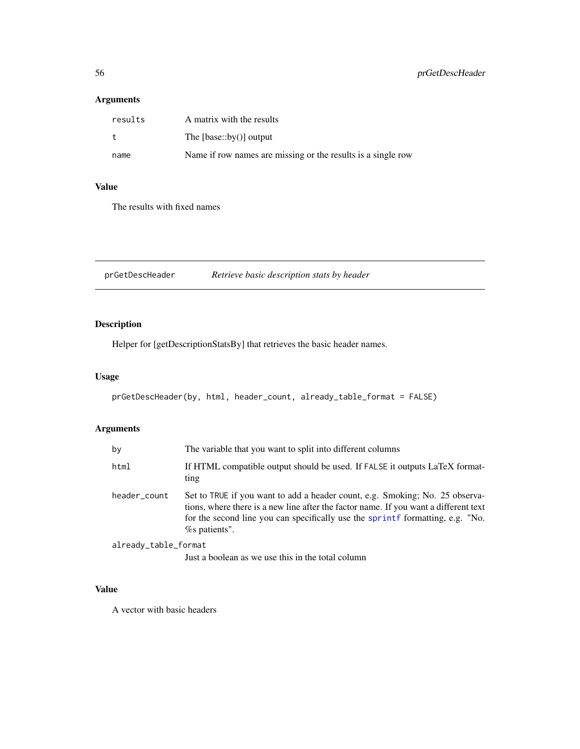## Arguments

| results | A matrix with the results                                    |
|---------|--------------------------------------------------------------|
| t       | The $[base::by()]$ output                                    |
| name    | Name if row names are missing or the results is a single row |

## Value

The results with fixed names

prGetDescHeader *Retrieve basic description stats by header*

## Description

Helper for [getDescriptionStatsBy] that retrieves the basic header names.

#### Usage

```
prGetDescHeader(by, html, header_count, already_table_format = FALSE)
```
# Arguments

| by                   | The variable that you want to split into different columns                                                                                                                                                                                                                 |
|----------------------|----------------------------------------------------------------------------------------------------------------------------------------------------------------------------------------------------------------------------------------------------------------------------|
| html                 | If HTML compatible output should be used. If FALSE it outputs LaTeX format-<br>ting                                                                                                                                                                                        |
| header_count         | Set to TRUE if you want to add a header count, e.g. Smoking; No. 25 observa-<br>tions, where there is a new line after the factor name. If you want a different text<br>for the second line you can specifically use the sprintf formatting, e.g. "No.<br>$%$ s patients". |
| already_table_format |                                                                                                                                                                                                                                                                            |
|                      | Just a boolean as we use this in the total column                                                                                                                                                                                                                          |

## Value

A vector with basic headers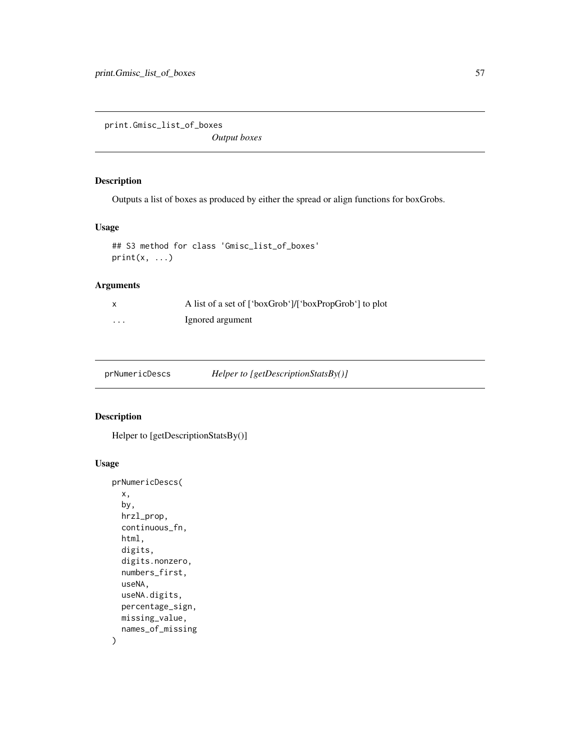print.Gmisc\_list\_of\_boxes

*Output boxes*

## Description

Outputs a list of boxes as produced by either the spread or align functions for boxGrobs.

## Usage

```
## S3 method for class 'Gmisc_list_of_boxes'
print(x, \ldots)
```
## Arguments

| X        | A list of a set of ['boxGrob']/['boxPropGrob'] to plot |
|----------|--------------------------------------------------------|
| $\cdots$ | Ignored argument                                       |

prNumericDescs *Helper to [getDescriptionStatsBy()]*

#### Description

```
Helper to [getDescriptionStatsBy()]
```

```
prNumericDescs(
  x,
 by,
 hrzl_prop,
 continuous_fn,
 html,
 digits,
  digits.nonzero,
  numbers_first,
  useNA,
 useNA.digits,
 percentage_sign,
 missing_value,
  names_of_missing
\mathcal{E}
```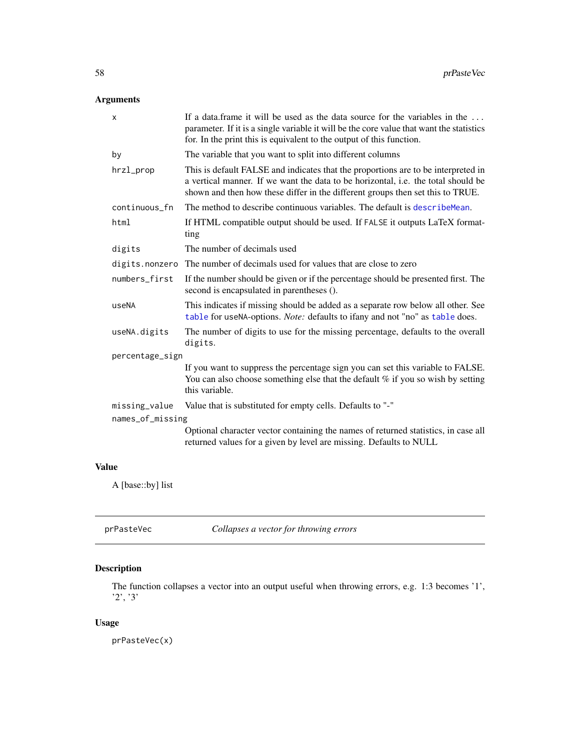## Arguments

| X                | If a data frame it will be used as the data source for the variables in the<br>parameter. If it is a single variable it will be the core value that want the statistics<br>for. In the print this is equivalent to the output of this function.          |
|------------------|----------------------------------------------------------------------------------------------------------------------------------------------------------------------------------------------------------------------------------------------------------|
| by               | The variable that you want to split into different columns                                                                                                                                                                                               |
| hrzl_prop        | This is default FALSE and indicates that the proportions are to be interpreted in<br>a vertical manner. If we want the data to be horizontal, i.e. the total should be<br>shown and then how these differ in the different groups then set this to TRUE. |
| continuous_fn    | The method to describe continuous variables. The default is describe Mean.                                                                                                                                                                               |
| html             | If HTML compatible output should be used. If FALSE it outputs LaTeX format-<br>ting                                                                                                                                                                      |
| digits           | The number of decimals used                                                                                                                                                                                                                              |
| digits.nonzero   | The number of decimals used for values that are close to zero                                                                                                                                                                                            |
| numbers_first    | If the number should be given or if the percentage should be presented first. The<br>second is encapsulated in parentheses ().                                                                                                                           |
| useNA            | This indicates if missing should be added as a separate row below all other. See<br>table for useNA-options. Note: defaults to ifany and not "no" as table does.                                                                                         |
| useNA.digits     | The number of digits to use for the missing percentage, defaults to the overall<br>digits.                                                                                                                                                               |
| percentage_sign  |                                                                                                                                                                                                                                                          |
|                  | If you want to suppress the percentage sign you can set this variable to FALSE.<br>You can also choose something else that the default $%$ if you so wish by setting<br>this variable.                                                                   |
| missing_value    | Value that is substituted for empty cells. Defaults to "-"                                                                                                                                                                                               |
| names_of_missing |                                                                                                                                                                                                                                                          |
|                  | Optional character vector containing the names of returned statistics, in case all<br>returned values for a given by level are missing. Defaults to NULL                                                                                                 |
|                  |                                                                                                                                                                                                                                                          |

# Value

A [base::by] list

# Description

The function collapses a vector into an output useful when throwing errors, e.g. 1:3 becomes '1', '2', '3'

## Usage

prPasteVec(x)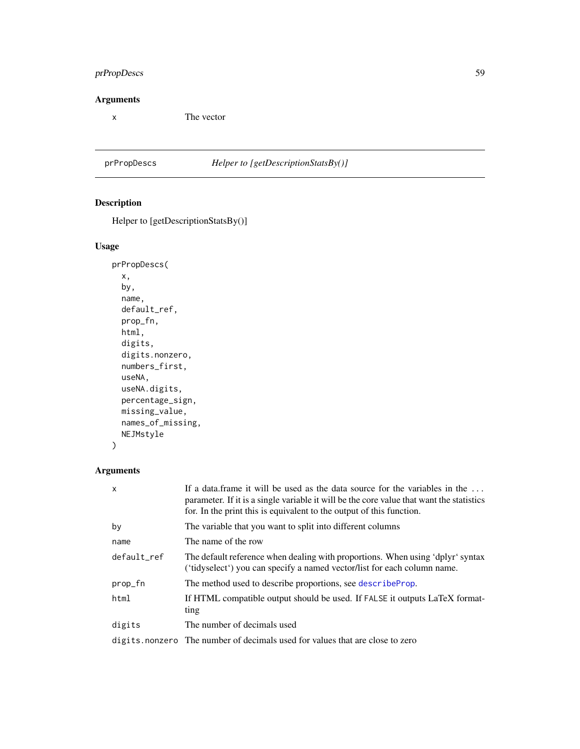## prPropDescs 59

## Arguments

x The vector

## prPropDescs *Helper to [getDescriptionStatsBy()]*

# Description

Helper to [getDescriptionStatsBy()]

## Usage

```
prPropDescs(
 x,
 by,
 name,
 default_ref,
 prop_fn,
 html,
  digits,
 digits.nonzero,
 numbers_first,
 useNA,
 useNA.digits,
 percentage_sign,
 missing_value,
 names_of_missing,
 NEJMstyle
)
```
## Arguments

| x           | If a data.frame it will be used as the data source for the variables in the<br>parameter. If it is a single variable it will be the core value that want the statistics<br>for. In the print this is equivalent to the output of this function. |
|-------------|-------------------------------------------------------------------------------------------------------------------------------------------------------------------------------------------------------------------------------------------------|
| by          | The variable that you want to split into different columns                                                                                                                                                                                      |
| name        | The name of the row                                                                                                                                                                                                                             |
| default ref | The default reference when dealing with proportions. When using 'dplyr' syntax<br>('tidyselect') you can specify a named vector/list for each column name.                                                                                      |
| prop_fn     | The method used to describe proportions, see describe Prop.                                                                                                                                                                                     |
| html        | If HTML compatible output should be used. If FALSE it outputs LaTeX format-<br>ting                                                                                                                                                             |
| digits      | The number of decimals used                                                                                                                                                                                                                     |
|             | digits nonzero The number of decimals used for values that are close to zero                                                                                                                                                                    |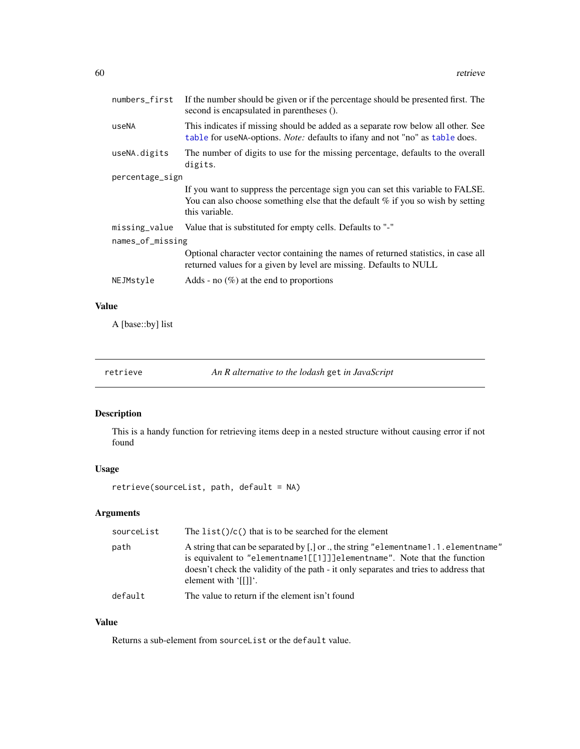| numbers_first    | If the number should be given or if the percentage should be presented first. The<br>second is encapsulated in parentheses ().                                                         |  |
|------------------|----------------------------------------------------------------------------------------------------------------------------------------------------------------------------------------|--|
| useNA            | This indicates if missing should be added as a separate row below all other. See<br>table for useNA-options. Note: defaults to ifany and not "no" as table does.                       |  |
| useNA.digits     | The number of digits to use for the missing percentage, defaults to the overall<br>digits.                                                                                             |  |
| percentage_sign  |                                                                                                                                                                                        |  |
|                  | If you want to suppress the percentage sign you can set this variable to FALSE.<br>You can also choose something else that the default $%$ if you so wish by setting<br>this variable. |  |
| missing_value    | Value that is substituted for empty cells. Defaults to "-"                                                                                                                             |  |
| names_of_missing |                                                                                                                                                                                        |  |
|                  | Optional character vector containing the names of returned statistics, in case all<br>returned values for a given by level are missing. Defaults to NULL                               |  |
| NEJMstyle        | Adds - no $(\%)$ at the end to proportions                                                                                                                                             |  |

## Value

A [base::by] list

<span id="page-59-0"></span>retrieve *An R alternative to the lodash* get *in JavaScript*

## Description

This is a handy function for retrieving items deep in a nested structure without causing error if not found

## Usage

retrieve(sourceList, path, default = NA)

## Arguments

| sourceList | The list( $\frac{1}{c}$ ) that is to be searched for the element                                                                                                                                                                                                                            |
|------------|---------------------------------------------------------------------------------------------------------------------------------------------------------------------------------------------------------------------------------------------------------------------------------------------|
| path       | A string that can be separated by $\lceil$ , or  the string "element name 1.1. element name"<br>is equivalent to "elementname1[[1]]]elementname". Note that the function<br>doesn't check the validity of the path - it only separates and tries to address that<br>element with $'[[]]'$ . |
| default    | The value to return if the element isn't found                                                                                                                                                                                                                                              |

## Value

Returns a sub-element from sourceList or the default value.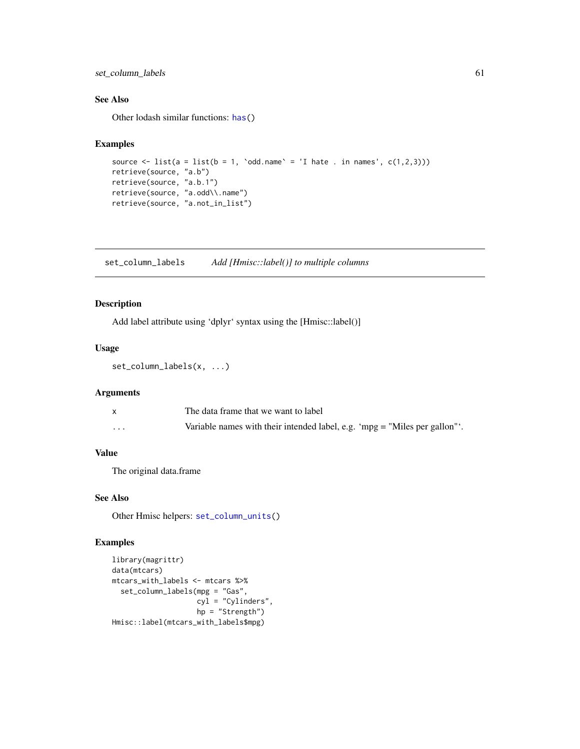## set\_column\_labels 61

### See Also

Other lodash similar functions: [has\(](#page-41-0))

#### Examples

```
source \le list(a = list(b = 1, `odd.name` = 'I hate . in names', c(1,2,3)))
retrieve(source, "a.b")
retrieve(source, "a.b.1")
retrieve(source, "a.odd\\.name")
retrieve(source, "a.not_in_list")
```
<span id="page-60-0"></span>set\_column\_labels *Add [Hmisc::label()] to multiple columns*

### Description

Add label attribute using 'dplyr' syntax using the [Hmisc::label()]

### Usage

set\_column\_labels(x, ...)

## Arguments

|          | The data frame that we want to label                                         |
|----------|------------------------------------------------------------------------------|
| $\cdots$ | Variable names with their intended label, e.g. 'mpg $=$ "Miles per gallon"'. |

## Value

The original data.frame

#### See Also

Other Hmisc helpers: [set\\_column\\_units\(](#page-61-1))

```
library(magrittr)
data(mtcars)
mtcars_with_labels <- mtcars %>%
  set_column_labels(mpg = "Gas",
                    cyl = "Cylinders",
                    hp = "Strength")
Hmisc::label(mtcars_with_labels$mpg)
```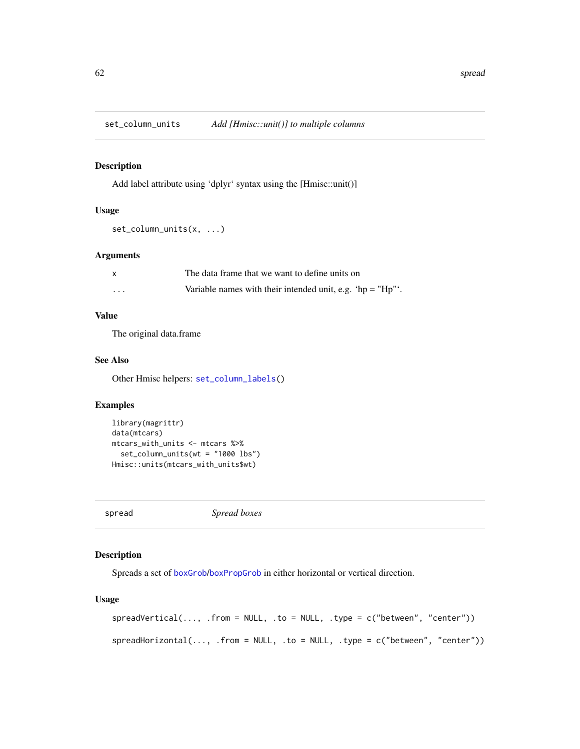<span id="page-61-1"></span>set\_column\_units *Add [Hmisc::unit()] to multiple columns*

## Description

Add label attribute using 'dplyr' syntax using the [Hmisc::unit()]

#### Usage

set\_column\_units(x, ...)

### Arguments

|   | The data frame that we want to define units on                  |
|---|-----------------------------------------------------------------|
| . | Variable names with their intended unit, e.g. 'hp = " $Hp''$ '. |

## Value

The original data.frame

### See Also

Other Hmisc helpers: [set\\_column\\_labels\(](#page-60-0))

## Examples

```
library(magrittr)
data(mtcars)
mtcars_with_units <- mtcars %>%
  set_column_units(wt = "1000 lbs")
Hmisc::units(mtcars_with_units$wt)
```
spread *Spread boxes*

## Description

Spreads a set of [boxGrob](#page-8-0)/[boxPropGrob](#page-9-0) in either horizontal or vertical direction.

```
spreadVertical(..., .from = NULL, .to = NULL, .type = c("between", "center"))
spreadHorizontal(..., .from = NULL, .to = NULL, .type = c("between", "center")
```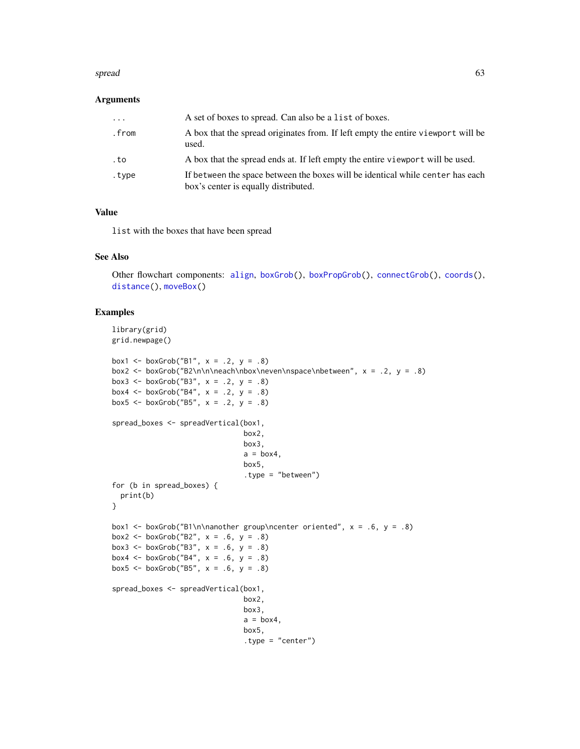#### spread 63

#### Arguments

| .     | A set of boxes to spread. Can also be a list of boxes.                                                                 |
|-------|------------------------------------------------------------------------------------------------------------------------|
| .from | A box that the spread originates from. If left empty the entire viewport will be<br>used.                              |
| . to  | A box that the spread ends at. If left empty the entire viewport will be used.                                         |
| .tvpe | If between the space between the boxes will be identical while center has each<br>box's center is equally distributed. |

#### Value

list with the boxes that have been spread

#### See Also

Other flowchart components: [align](#page-3-0), [boxGrob\(](#page-8-0)), [boxPropGrob\(](#page-9-0)), [connectGrob\(](#page-12-0)), [coords\(](#page-15-1)), [distance\(](#page-23-0)), [moveBox\(](#page-46-0))

```
library(grid)
grid.newpage()
box1 <- boxGrob("B1", x = .2, y = .8)
box2 <- boxGrob("B2\n\n\neach\nbox\neven\nspace\nbetween", x = .2, y = .8)
box3 <- boxGrob("B3", x = .2, y = .8)
box4 <- boxGrob("B4", x = .2, y = .8)
box5 <- boxGrob("B5", x = .2, y = .8)
spread_boxes <- spreadVertical(box1,
                               box2,
                               box3,
                               a = box4,
                               box5,
                               .type = "between")
for (b in spread_boxes) {
  print(b)
}
box1 <- boxGrob("B1\n\nanother group\ncenter oriented", x = .6, y = .8)
box2 <- boxGrob("B2", x = .6, y = .8)
box3 <- boxGrob("B3", x = .6, y = .8)
box4 <- boxGrob("B4", x = .6, y = .8)
box5 <- boxGrob("B5", x = .6, y = .8)
spread_boxes <- spreadVertical(box1,
                               box2,
                               box3,
                               a = box4,
                               box5,
                               .type = "center")
```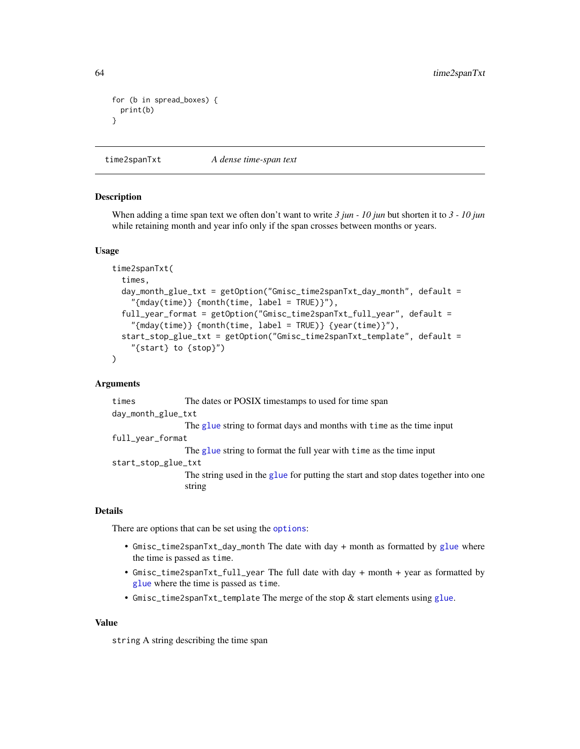```
for (b in spread_boxes) {
 print(b)
}
```
time2spanTxt *A dense time-span text*

#### **Description**

When adding a time span text we often don't want to write *3 jun - 10 jun* but shorten it to *3 - 10 jun* while retaining month and year info only if the span crosses between months or years.

#### Usage

```
time2spanTxt(
  times,
  day_month_glue_txt = getOption("Gmisc_time2spanTxt_day_month", default =
    "{mday(time)} {month(time, label = TRUE)}"),
  full_year_format = getOption("Gmisc_time2spanTxt_full_year", default =
    "{mday(time)} {month(time, label = TRUE)} {year(time)}"),
  start_stop_glue_txt = getOption("Gmisc_time2spanTxt_template", default =
    "{start} to {stop}")
\mathcal{L}
```
#### Arguments

times The dates or POSIX timestamps to used for time span day\_month\_glue\_txt The [glue](#page-0-0) string to format days and months with time as the time input full\_year\_format The [glue](#page-0-0) string to format the full year with time as the time input start\_stop\_glue\_txt The string used in the [glue](#page-0-0) for putting the start and stop dates together into one string

## Details

There are [options](#page-0-0) that can be set using the options:

- Gmisc\_time2spanTxt\_day\_month The date with day + month as formatted by [glue](#page-0-0) where the time is passed as time.
- Gmisc\_time2spanTxt\_full\_year The full date with day + month + year as formatted by [glue](#page-0-0) where the time is passed as time.
- Gmisc\_time2spanTxt\_template The merge of the stop & start elements using [glue](#page-0-0).

#### Value

string A string describing the time span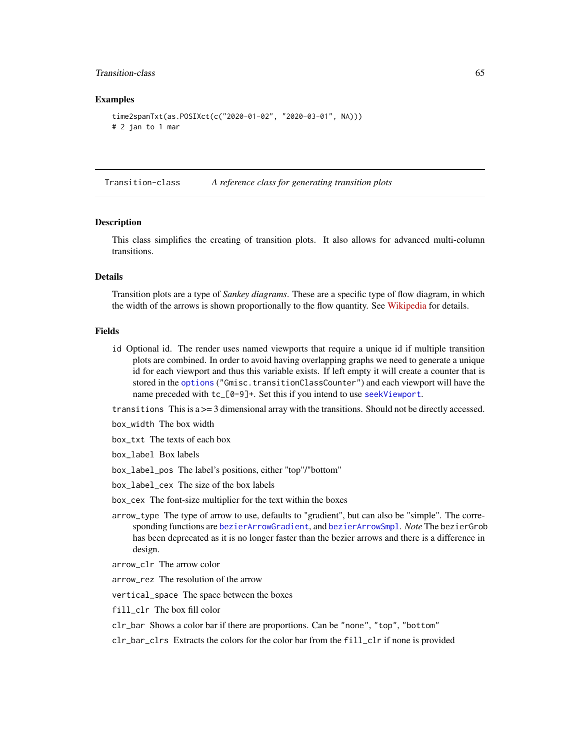### Transition-class 65

#### Examples

```
time2spanTxt(as.POSIXct(c("2020-01-02", "2020-03-01", NA)))
# 2 jan to 1 mar
```
Transition-class *A reference class for generating transition plots*

#### Description

This class simplifies the creating of transition plots. It also allows for advanced multi-column transitions.

## Details

Transition plots are a type of *Sankey diagrams*. These are a specific type of flow diagram, in which the width of the arrows is shown proportionally to the flow quantity. See [Wikipedia](https://en.wikipedia.org/wiki/Sankey_diagram) for details.

#### Fields

id Optional id. The render uses named viewports that require a unique id if multiple transition plots are combined. In order to avoid having overlapping graphs we need to generate a unique id for each viewport and thus this variable exists. If left empty it will create a counter that is stored in the [options](#page-0-0) ("Gmisc.transitionClassCounter") and each viewport will have the name preceded with tc\_[0-9]+. Set this if you intend to use [seekViewport](#page-0-0).

transitions This is  $a \geq 3$  dimensional array with the transitions. Should not be directly accessed.

- box\_width The box width
- box\_txt The texts of each box
- box\_label Box labels
- box\_label\_pos The label's positions, either "top"/"bottom"
- box\_label\_cex The size of the box labels
- box\_cex The font-size multiplier for the text within the boxes
- arrow\_type The type of arrow to use, defaults to "gradient", but can also be "simple". The corresponding functions are [bezierArrowGradient](#page-4-0), and [bezierArrowSmpl](#page-6-0). *Note* The bezierGrob has been deprecated as it is no longer faster than the bezier arrows and there is a difference in design.
- arrow\_clr The arrow color
- arrow\_rez The resolution of the arrow
- vertical\_space The space between the boxes
- fill\_clr The box fill color
- clr\_bar Shows a color bar if there are proportions. Can be "none", "top", "bottom"
- clr\_bar\_clrs Extracts the colors for the color bar from the fill\_clr if none is provided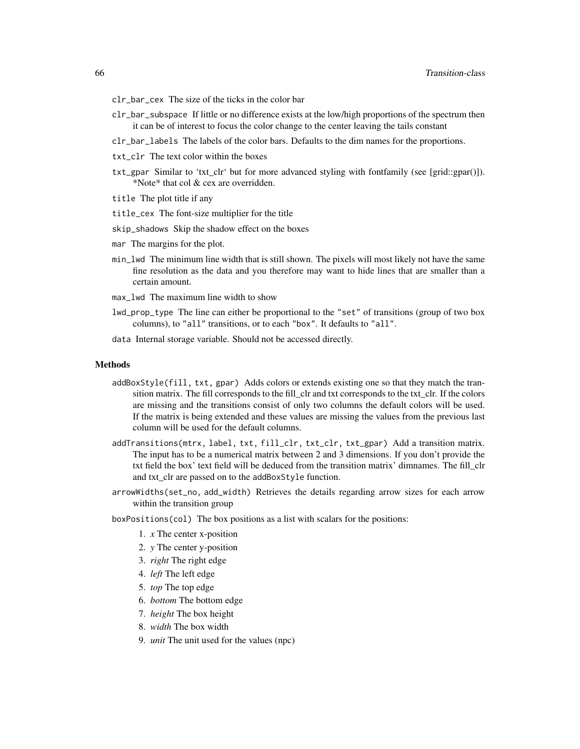- clr\_bar\_cex The size of the ticks in the color bar
- clr\_bar\_subspace If little or no difference exists at the low/high proportions of the spectrum then it can be of interest to focus the color change to the center leaving the tails constant
- clr\_bar\_labels The labels of the color bars. Defaults to the dim names for the proportions.
- txt\_clr The text color within the boxes
- txt\_gpar Similar to 'txt\_clr' but for more advanced styling with fontfamily (see [grid::gpar()]). \*Note\* that col & cex are overridden.
- title The plot title if any
- title\_cex The font-size multiplier for the title
- skip\_shadows Skip the shadow effect on the boxes
- mar The margins for the plot.
- min\_lwd The minimum line width that is still shown. The pixels will most likely not have the same fine resolution as the data and you therefore may want to hide lines that are smaller than a certain amount.
- max\_lwd The maximum line width to show
- lwd\_prop\_type The line can either be proportional to the "set" of transitions (group of two box columns), to "all" transitions, or to each "box". It defaults to "all".
- data Internal storage variable. Should not be accessed directly.

#### Methods

- addBoxStyle(fill, txt, gpar) Adds colors or extends existing one so that they match the transition matrix. The fill corresponds to the fill\_clr and txt corresponds to the txt\_clr. If the colors are missing and the transitions consist of only two columns the default colors will be used. If the matrix is being extended and these values are missing the values from the previous last column will be used for the default columns.
- addTransitions(mtrx, label, txt, fill\_clr, txt\_clr, txt\_gpar) Add a transition matrix. The input has to be a numerical matrix between 2 and 3 dimensions. If you don't provide the txt field the box' text field will be deduced from the transition matrix' dimnames. The fill\_clr and txt\_clr are passed on to the addBoxStyle function.
- arrowWidths(set\_no, add\_width) Retrieves the details regarding arrow sizes for each arrow within the transition group
- boxPositions(col) The box positions as a list with scalars for the positions:
	- 1. *x* The center x-position
	- 2. *y* The center y-position
	- 3. *right* The right edge
	- 4. *left* The left edge
	- 5. *top* The top edge
	- 6. *bottom* The bottom edge
	- 7. *height* The box height
	- 8. *width* The box width
	- 9. *unit* The unit used for the values (npc)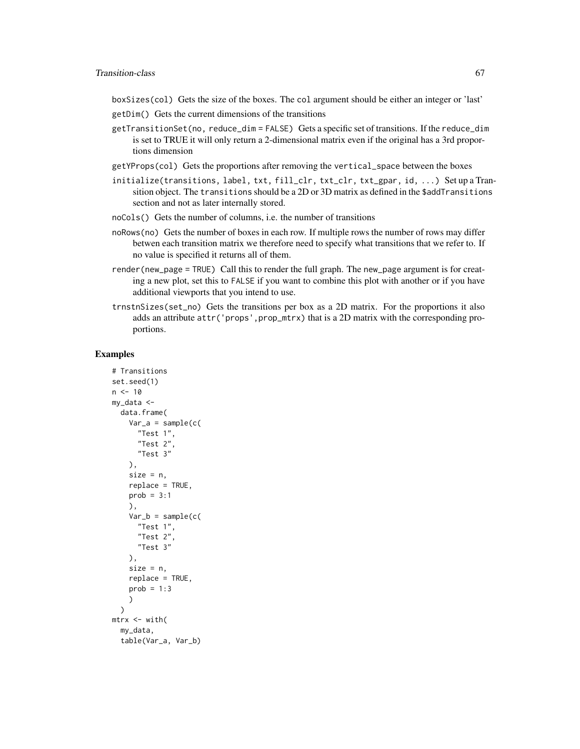boxSizes(col) Gets the size of the boxes. The col argument should be either an integer or 'last'

- getDim() Gets the current dimensions of the transitions
- getTransitionSet(no, reduce\_dim = FALSE) Gets a specific set of transitions. If the reduce\_dim is set to TRUE it will only return a 2-dimensional matrix even if the original has a 3rd proportions dimension
- getYProps(col) Gets the proportions after removing the vertical\_space between the boxes
- initialize(transitions, label, txt, fill\_clr, txt\_clr, txt\_gpar, id, ...) Set up a Transition object. The transitions should be a 2D or 3D matrix as defined in the \$addTransitions section and not as later internally stored.
- noCols() Gets the number of columns, i.e. the number of transitions
- noRows(no) Gets the number of boxes in each row. If multiple rows the number of rows may differ betwen each transition matrix we therefore need to specify what transitions that we refer to. If no value is specified it returns all of them.
- render(new\_page = TRUE) Call this to render the full graph. The new\_page argument is for creating a new plot, set this to FALSE if you want to combine this plot with another or if you have additional viewports that you intend to use.
- trnstnSizes(set\_no) Gets the transitions per box as a 2D matrix. For the proportions it also adds an attribute  $attr('props',prop\_mtrx)$  that is a 2D matrix with the corresponding proportions.

```
# Transitions
set.seed(1)
n < -10my_data <-
 data.frame(
    Var_a = sample(c()"Test 1",
      "Test 2",
      "Test 3"
    ),
    size = n,
    replace = TRUE,
    prob = 3:1),
    Var_b = sample(c)"Test 1",
      "Test 2",
      "Test 3"
    ),
    size = n,
    replace = TRUE,
    prob = 1:3)
 \lambdamtrx <- with(
 my_data,
 table(Var_a, Var_b)
```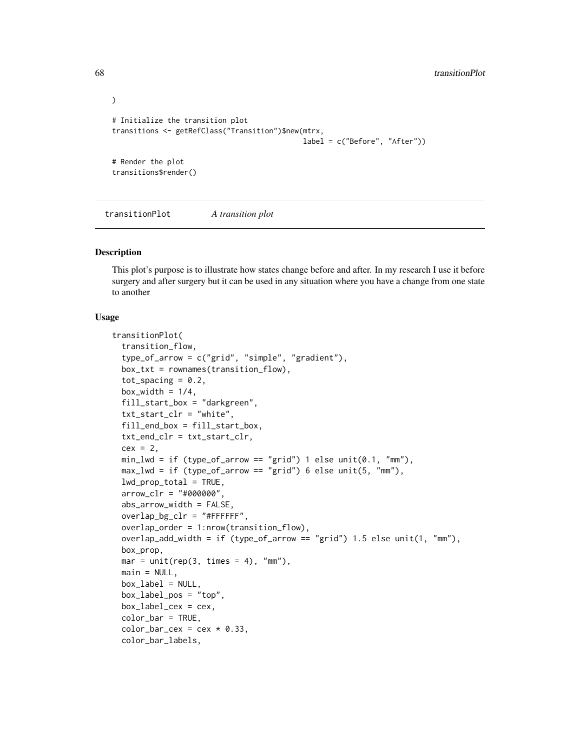```
\mathcal{L}# Initialize the transition plot
transitions <- getRefClass("Transition")$new(mtrx,
                                                label = c("Before", "After"))
# Render the plot
transitions$render()
```
transitionPlot *A transition plot*

#### Description

This plot's purpose is to illustrate how states change before and after. In my research I use it before surgery and after surgery but it can be used in any situation where you have a change from one state to another

```
transitionPlot(
  transition_flow,
  type_of_arrow = c("grid", "simple", "gradient"),
  box_txt = rownames(transition_flow),
  tot_spacing = 0.2,
  box_width = 1/4,
  fill_start_box = "darkgreen",
  txt_start_clr = "white",
  fill_end_box = fill_start_box,
  txt_end_clr = txt_start_clr,
  cex = 2,
  min_lwd = if (type_of_arrow == "grid") 1 else unit(0.1, "mm"),
  max_lwd = if (type_of_arrow == "grid") 6 else unit(5, "mm"),
  lwd\_prop\_total = TRUE,arrow_c1r = "#000000",abs_arrow_width = FALSE,
  overlap_bg_clr = "HFFFFF",
  overlap_order = 1:nrow(transition_flow),
  overlap_add_width = if (type_of_arrow == "grid") 1.5 else unit(1, "mm"),
  box_prop,
  mar = unit(rep(3, times = 4), "mm"),main = NULL,box\_label = NULL,
  box_label_pos = "top",
  box\_label\_cex = cex.
  color_bar = TRUE,
  color\_bar_cex = cex * 0.33,
  color_bar_labels,
```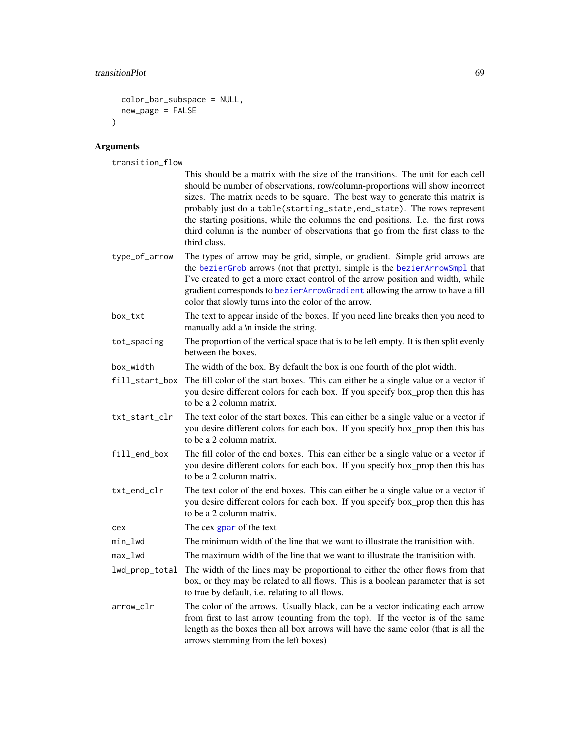## transitionPlot 69

```
color_bar_subspace = NULL,
 new_page = FALSE
\mathcal{L}
```
# Arguments

transition\_flow

|                | This should be a matrix with the size of the transitions. The unit for each cell<br>should be number of observations, row/column-proportions will show incorrect<br>sizes. The matrix needs to be square. The best way to generate this matrix is<br>probably just do a table(starting_state, end_state). The rows represent<br>the starting positions, while the columns the end positions. I.e. the first rows<br>third column is the number of observations that go from the first class to the<br>third class. |
|----------------|--------------------------------------------------------------------------------------------------------------------------------------------------------------------------------------------------------------------------------------------------------------------------------------------------------------------------------------------------------------------------------------------------------------------------------------------------------------------------------------------------------------------|
| type_of_arrow  | The types of arrow may be grid, simple, or gradient. Simple grid arrows are<br>the bezierGrob arrows (not that pretty), simple is the bezierArrowSmpl that<br>I've created to get a more exact control of the arrow position and width, while<br>gradient corresponds to bezierArrowGradient allowing the arrow to have a fill<br>color that slowly turns into the color of the arrow.                                                                                                                             |
| box_txt        | The text to appear inside of the boxes. If you need line breaks then you need to<br>manually add a \n inside the string.                                                                                                                                                                                                                                                                                                                                                                                           |
| tot_spacing    | The proportion of the vertical space that is to be left empty. It is then split evenly<br>between the boxes.                                                                                                                                                                                                                                                                                                                                                                                                       |
| box_width      | The width of the box. By default the box is one fourth of the plot width.                                                                                                                                                                                                                                                                                                                                                                                                                                          |
| fill_start_box | The fill color of the start boxes. This can either be a single value or a vector if<br>you desire different colors for each box. If you specify box_prop then this has<br>to be a 2 column matrix.                                                                                                                                                                                                                                                                                                                 |
| txt_start_clr  | The text color of the start boxes. This can either be a single value or a vector if<br>you desire different colors for each box. If you specify box_prop then this has<br>to be a 2 column matrix.                                                                                                                                                                                                                                                                                                                 |
| fill_end_box   | The fill color of the end boxes. This can either be a single value or a vector if<br>you desire different colors for each box. If you specify box_prop then this has<br>to be a 2 column matrix.                                                                                                                                                                                                                                                                                                                   |
| txt_end_clr    | The text color of the end boxes. This can either be a single value or a vector if<br>you desire different colors for each box. If you specify box_prop then this has<br>to be a 2 column matrix.                                                                                                                                                                                                                                                                                                                   |
| cex            | The cex gpar of the text                                                                                                                                                                                                                                                                                                                                                                                                                                                                                           |
| min_lwd        | The minimum width of the line that we want to illustrate the tranisition with.                                                                                                                                                                                                                                                                                                                                                                                                                                     |
| max_lwd        | The maximum width of the line that we want to illustrate the tranisition with.                                                                                                                                                                                                                                                                                                                                                                                                                                     |
| lwd_prop_total | The width of the lines may be proportional to either the other flows from that<br>box, or they may be related to all flows. This is a boolean parameter that is set<br>to true by default, i.e. relating to all flows.                                                                                                                                                                                                                                                                                             |
| arrow_clr      | The color of the arrows. Usually black, can be a vector indicating each arrow<br>from first to last arrow (counting from the top). If the vector is of the same<br>length as the boxes then all box arrows will have the same color (that is all the<br>arrows stemming from the left boxes)                                                                                                                                                                                                                       |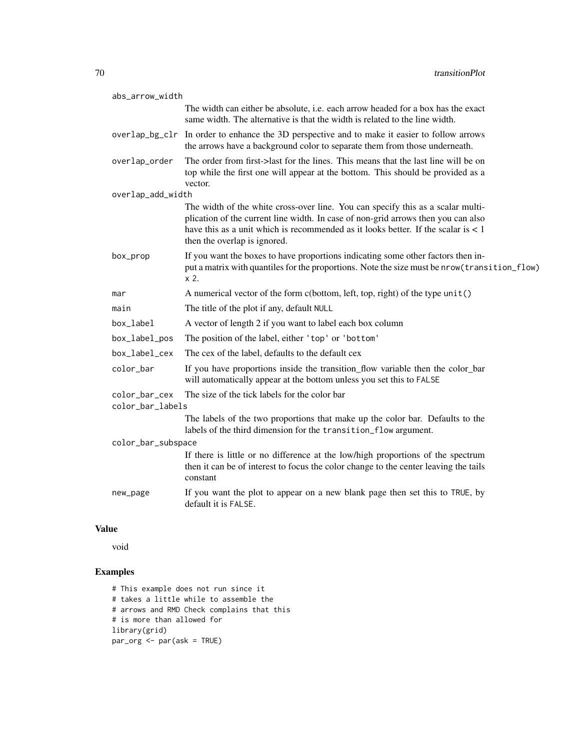| abs_arrow_width    |                                                                                                                                                                                                                                                                                             |
|--------------------|---------------------------------------------------------------------------------------------------------------------------------------------------------------------------------------------------------------------------------------------------------------------------------------------|
|                    | The width can either be absolute, i.e. each arrow headed for a box has the exact<br>same width. The alternative is that the width is related to the line width.                                                                                                                             |
|                    | overlap_bg_clr In order to enhance the 3D perspective and to make it easier to follow arrows<br>the arrows have a background color to separate them from those underneath.                                                                                                                  |
| overlap_order      | The order from first->last for the lines. This means that the last line will be on<br>top while the first one will appear at the bottom. This should be provided as a<br>vector.                                                                                                            |
| overlap_add_width  |                                                                                                                                                                                                                                                                                             |
|                    | The width of the white cross-over line. You can specify this as a scalar multi-<br>plication of the current line width. In case of non-grid arrows then you can also<br>have this as a unit which is recommended as it looks better. If the scalar is $< 1$<br>then the overlap is ignored. |
| box_prop           | If you want the boxes to have proportions indicating some other factors then in-<br>put a matrix with quantiles for the proportions. Note the size must be nrow (transition_flow)<br>$x2$ .                                                                                                 |
| mar                | A numerical vector of the form c(bottom, left, top, right) of the type unit()                                                                                                                                                                                                               |
| main               | The title of the plot if any, default NULL                                                                                                                                                                                                                                                  |
| box_label          | A vector of length 2 if you want to label each box column                                                                                                                                                                                                                                   |
| box_label_pos      | The position of the label, either 'top' or 'bottom'                                                                                                                                                                                                                                         |
| box_label_cex      | The cex of the label, defaults to the default cex                                                                                                                                                                                                                                           |
| color_bar          | If you have proportions inside the transition_flow variable then the color_bar<br>will automatically appear at the bottom unless you set this to FALSE                                                                                                                                      |
| color_bar_cex      | The size of the tick labels for the color bar                                                                                                                                                                                                                                               |
| color_bar_labels   |                                                                                                                                                                                                                                                                                             |
|                    | The labels of the two proportions that make up the color bar. Defaults to the<br>labels of the third dimension for the transition_flow argument.                                                                                                                                            |
| color_bar_subspace |                                                                                                                                                                                                                                                                                             |
|                    | If there is little or no difference at the low/high proportions of the spectrum<br>then it can be of interest to focus the color change to the center leaving the tails<br>constant                                                                                                         |
| new_page           | If you want the plot to appear on a new blank page then set this to TRUE, by<br>default it is FALSE.                                                                                                                                                                                        |

## Value

void

```
# This example does not run since it
# takes a little while to assemble the
# arrows and RMD Check complains that this
# is more than allowed for
library(grid)
par_org <- par(ask = TRUE)
```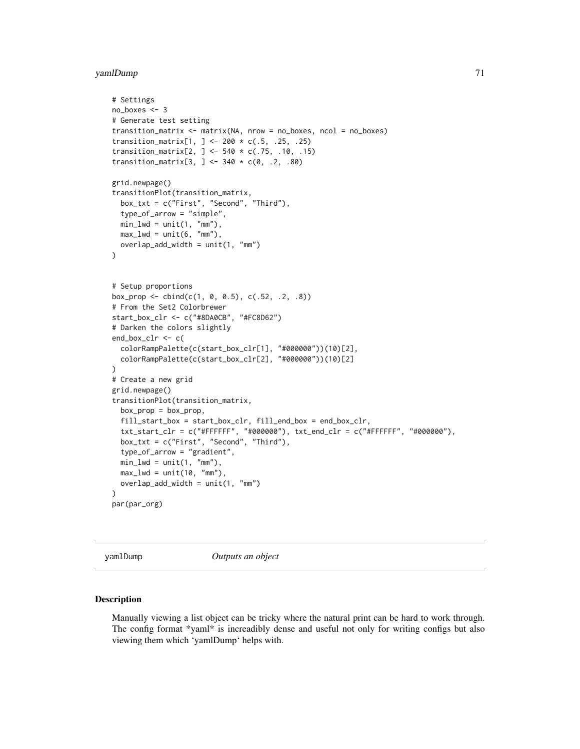## yamlDump 71

```
# Settings
no_boxes <- 3
# Generate test setting
transition_matrix <- matrix(NA, nrow = no_boxes, ncol = no_boxes)
transition_matrix[1, ] <- 200 * c(.5, .25, .25)
transition_matrix[2, ] <- 540 * c(.75, .10, .15)transition_matrix[3, ] <- 340 * c(0, .2, .80)grid.newpage()
transitionPlot(transition_matrix,
  box_txt = c("First", "Second", "Third"),
  type_of_arrow = "simple",
  min_lwd = unit(1, "mm"),
  max_lwd = unit(6, "mm"),
  overlap\_add\_width = unit(1, "mm"))
# Setup proportions
box_prop <- cbind(c(1, 0, 0.5), c(.52, .2, .8))
# From the Set2 Colorbrewer
start_box_clr <- c("#8DA0CB", "#FC8D62")
# Darken the colors slightly
end_box_clr <- c(
  colorRampPalette(c(start_box_clr[1], "#000000"))(10)[2],
  colorRampPalette(c(start_box_clr[2], "#000000"))(10)[2]
\lambda# Create a new grid
grid.newpage()
transitionPlot(transition_matrix,
  box\_prop = box\_prop,fill_start_box = start_box_clr, fill_end_box = end_box_clr,
  txt_xstart_clr = c("#FFFFFF", "#000000"), txt_and_clr = c("#FFFFFF", "#000000"),box_txt = c("First", "Second", "Third"),
  type_of_arrow = "gradient",
  min_lwd = unit(1, 'mm''),
  max_lwd = unit(10, "mm"),
  overlap\_add\_width = unit(1, "mm"))
par(par_org)
```
yamlDump *Outputs an object*

#### **Description**

Manually viewing a list object can be tricky where the natural print can be hard to work through. The config format \*yaml\* is increadibly dense and useful not only for writing configs but also viewing them which 'yamlDump' helps with.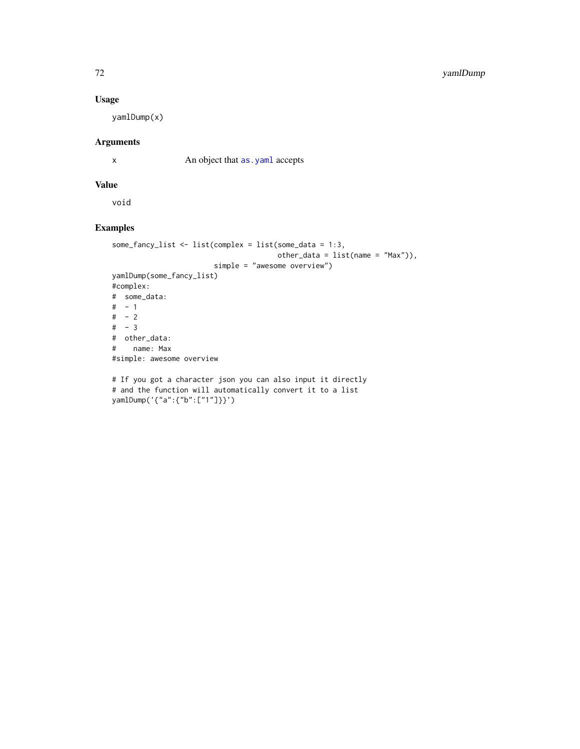## Usage

yamlDump(x)

## Arguments

x An object that as . yaml accepts

#### Value

void

```
some_fancy_list <- list(complex = list(some_data = 1:3,
                                     other_data = list(name = "Max")),
                       simple = "awesome overview")
yamlDump(some_fancy_list)
#complex:
# some_data:
# - 1# - 2# - 3# other_data:
# name: Max
#simple: awesome overview
# If you got a character json you can also input it directly
```

```
# and the function will automatically convert it to a list
yamlDump('{"a":{"b":["1"]}}')
```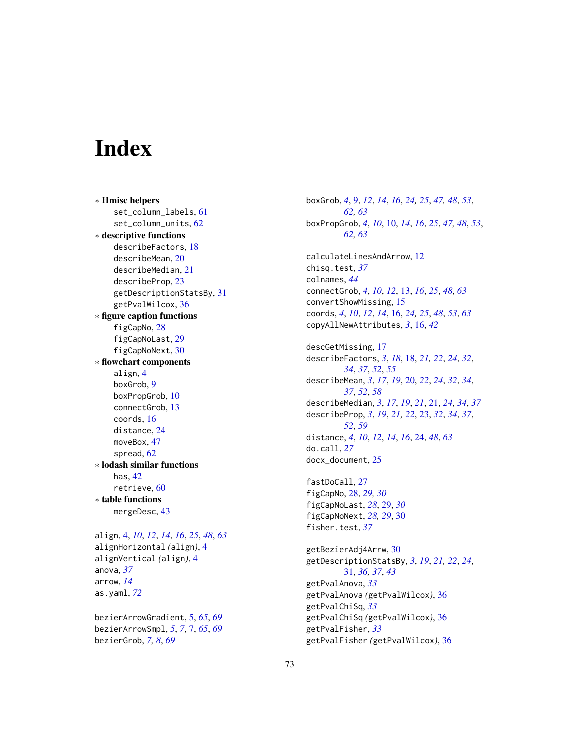## **Index**

∗ Hmisc helpers set\_column\_labels, [61](#page-60-0) set\_column\_units, [62](#page-61-0) ∗ descriptive functions describeFactors, [18](#page-17-0) describeMean, [20](#page-19-0) describeMedian, [21](#page-20-0) describeProp, [23](#page-22-0) getDescriptionStatsBy, [31](#page-30-0) getPvalWilcox, [36](#page-35-0) ∗ figure caption functions figCapNo, [28](#page-27-0) figCapNoLast, [29](#page-28-0) figCapNoNext, [30](#page-29-0) ∗ flowchart components align, [4](#page-3-0) boxGrob, [9](#page-8-0) boxPropGrob, [10](#page-9-0) connectGrob, [13](#page-12-0) coords, [16](#page-15-0) distance, [24](#page-23-0) moveBox, [47](#page-46-0) spread, [62](#page-61-0) ∗ lodash similar functions has, [42](#page-41-0) retrieve, [60](#page-59-0) ∗ table functions mergeDesc, [43](#page-42-0)

align, [4,](#page-3-0) *[10](#page-9-0)*, *[12](#page-11-0)*, *[14](#page-13-0)*, *[16](#page-15-0)*, *[25](#page-24-0)*, *[48](#page-47-0)*, *[63](#page-62-0)* alignHorizontal *(*align*)*, [4](#page-3-0) alignVertical *(*align*)*, [4](#page-3-0) anova, *[37](#page-36-0)* arrow, *[14](#page-13-0)* as.yaml, *[72](#page-71-0)*

bezierArrowGradient, [5,](#page-4-0) *[65](#page-64-0)*, *[69](#page-68-0)* bezierArrowSmpl, *[5](#page-4-0)*, *[7](#page-6-0)*, [7,](#page-6-0) *[65](#page-64-0)*, *[69](#page-68-0)* bezierGrob, *[7,](#page-6-0) [8](#page-7-0)*, *[69](#page-68-0)*

boxGrob, *[4](#page-3-0)*, [9,](#page-8-0) *[12](#page-11-0)*, *[14](#page-13-0)*, *[16](#page-15-0)*, *[24,](#page-23-0) [25](#page-24-0)*, *[47,](#page-46-0) [48](#page-47-0)*, *[53](#page-52-0)*, *[62,](#page-61-0) [63](#page-62-0)* boxPropGrob, *[4](#page-3-0)*, *[10](#page-9-0)*, [10,](#page-9-0) *[14](#page-13-0)*, *[16](#page-15-0)*, *[25](#page-24-0)*, *[47,](#page-46-0) [48](#page-47-0)*, *[53](#page-52-0)*, *[62,](#page-61-0) [63](#page-62-0)* calculateLinesAndArrow, [12](#page-11-0) chisq.test, *[37](#page-36-0)* colnames, *[44](#page-43-0)* connectGrob, *[4](#page-3-0)*, *[10](#page-9-0)*, *[12](#page-11-0)*, [13,](#page-12-0) *[16](#page-15-0)*, *[25](#page-24-0)*, *[48](#page-47-0)*, *[63](#page-62-0)* convertShowMissing, [15](#page-14-0) coords, *[4](#page-3-0)*, *[10](#page-9-0)*, *[12](#page-11-0)*, *[14](#page-13-0)*, [16,](#page-15-0) *[24,](#page-23-0) [25](#page-24-0)*, *[48](#page-47-0)*, *[53](#page-52-0)*, *[63](#page-62-0)* copyAllNewAttributes, *[3](#page-2-0)*, [16,](#page-15-0) *[42](#page-41-0)* descGetMissing, [17](#page-16-0) describeFactors, *[3](#page-2-0)*, *[18](#page-17-0)*, [18,](#page-17-0) *[21,](#page-20-0) [22](#page-21-0)*, *[24](#page-23-0)*, *[32](#page-31-0)*, *[34](#page-33-0)*, *[37](#page-36-0)*, *[52](#page-51-0)*, *[55](#page-54-0)* describeMean, *[3](#page-2-0)*, *[17](#page-16-0)*, *[19](#page-18-0)*, [20,](#page-19-0) *[22](#page-21-0)*, *[24](#page-23-0)*, *[32](#page-31-0)*, *[34](#page-33-0)*, *[37](#page-36-0)*, *[52](#page-51-0)*, *[58](#page-57-0)* describeMedian, *[3](#page-2-0)*, *[17](#page-16-0)*, *[19](#page-18-0)*, *[21](#page-20-0)*, [21,](#page-20-0) *[24](#page-23-0)*, *[34](#page-33-0)*, *[37](#page-36-0)* describeProp, *[3](#page-2-0)*, *[19](#page-18-0)*, *[21,](#page-20-0) [22](#page-21-0)*, [23,](#page-22-0) *[32](#page-31-0)*, *[34](#page-33-0)*, *[37](#page-36-0)*, *[52](#page-51-0)*, *[59](#page-58-0)* distance, *[4](#page-3-0)*, *[10](#page-9-0)*, *[12](#page-11-0)*, *[14](#page-13-0)*, *[16](#page-15-0)*, [24,](#page-23-0) *[48](#page-47-0)*, *[63](#page-62-0)* do.call, *[27](#page-26-0)* docx\_document, [25](#page-24-0) fastDoCall, [27](#page-26-0) figCapNo, [28,](#page-27-0) *[29,](#page-28-0) [30](#page-29-0)* figCapNoLast, *[28](#page-27-0)*, [29,](#page-28-0) *[30](#page-29-0)* figCapNoNext, *[28,](#page-27-0) [29](#page-28-0)*, [30](#page-29-0) fisher.test, *[37](#page-36-0)* getBezierAdj4Arrw, [30](#page-29-0) getDescriptionStatsBy, *[3](#page-2-0)*, *[19](#page-18-0)*, *[21,](#page-20-0) [22](#page-21-0)*, *[24](#page-23-0)*, [31,](#page-30-0) *[36,](#page-35-0) [37](#page-36-0)*, *[43](#page-42-0)* getPvalAnova, *[33](#page-32-0)*

getPvalAnova *(*getPvalWilcox*)*, [36](#page-35-0) getPvalChiSq, *[33](#page-32-0)* getPvalChiSq *(*getPvalWilcox*)*, [36](#page-35-0) getPvalFisher, *[33](#page-32-0)* getPvalFisher *(*getPvalWilcox*)*, [36](#page-35-0)